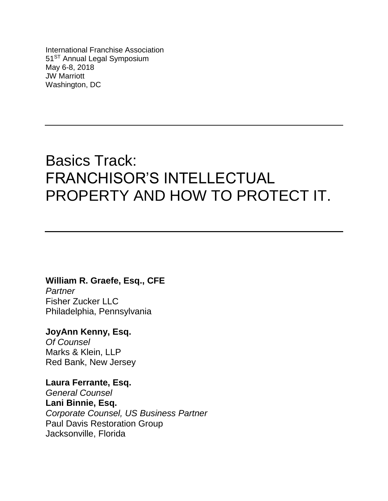International Franchise Association 51<sup>ST</sup> Annual Legal Symposium May 6-8, 2018 JW Marriott Washington, DC

# Basics Track: FRANCHISOR'S INTELLECTUAL PROPERTY AND HOW TO PROTECT IT.

# **William R. Graefe, Esq., CFE**

*Partner* Fisher Zucker LLC Philadelphia, Pennsylvania

# **JoyAnn Kenny, Esq.**

*Of Counsel* Marks & Klein, LLP Red Bank, New Jersey

**Laura Ferrante, Esq.** 

*General Counsel* **Lani Binnie, Esq.**  *Corporate Counsel, US Business Partner* Paul Davis Restoration Group Jacksonville, Florida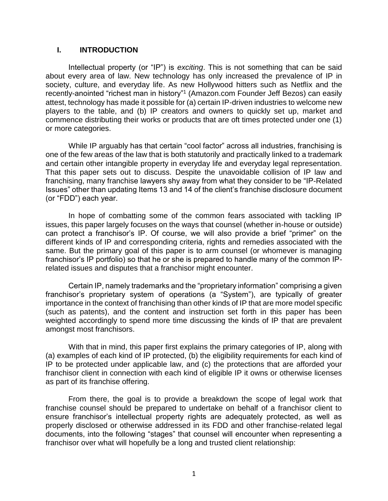#### **I. INTRODUCTION**

Intellectual property (or "IP") is *exciting*. This is not something that can be said about every area of law. New technology has only increased the prevalence of IP in society, culture, and everyday life. As new Hollywood hitters such as Netflix and the recently-anointed "richest man in history"<sup>1</sup> (Amazon.com Founder Jeff Bezos) can easily attest, technology has made it possible for (a) certain IP-driven industries to welcome new players to the table, and (b) IP creators and owners to quickly set up, market and commence distributing their works or products that are oft times protected under one (1) or more categories.

While IP arguably has that certain "cool factor" across all industries, franchising is one of the few areas of the law that is both statutorily and practically linked to a trademark and certain other intangible property in everyday life and everyday legal representation. That this paper sets out to discuss. Despite the unavoidable collision of IP law and franchising, many franchise lawyers shy away from what they consider to be "IP-Related Issues" other than updating Items 13 and 14 of the client's franchise disclosure document (or "FDD") each year.

In hope of combatting some of the common fears associated with tackling IP issues, this paper largely focuses on the ways that counsel (whether in-house or outside) can protect a franchisor's IP. Of course, we will also provide a brief "primer" on the different kinds of IP and corresponding criteria, rights and remedies associated with the same. But the primary goal of this paper is to arm counsel (or whomever is managing franchisor's IP portfolio) so that he or she is prepared to handle many of the common IPrelated issues and disputes that a franchisor might encounter.

Certain IP, namely trademarks and the "proprietary information" comprising a given franchisor's proprietary system of operations (a "System"), are typically of greater importance in the context of franchising than other kinds of IP that are more model specific (such as patents), and the content and instruction set forth in this paper has been weighted accordingly to spend more time discussing the kinds of IP that are prevalent amongst most franchisors.

With that in mind, this paper first explains the primary categories of IP, along with (a) examples of each kind of IP protected, (b) the eligibility requirements for each kind of IP to be protected under applicable law, and (c) the protections that are afforded your franchisor client in connection with each kind of eligible IP it owns or otherwise licenses as part of its franchise offering.

From there, the goal is to provide a breakdown the scope of legal work that franchise counsel should be prepared to undertake on behalf of a franchisor client to ensure franchisor's intellectual property rights are adequately protected, as well as properly disclosed or otherwise addressed in its FDD and other franchise-related legal documents, into the following "stages" that counsel will encounter when representing a franchisor over what will hopefully be a long and trusted client relationship: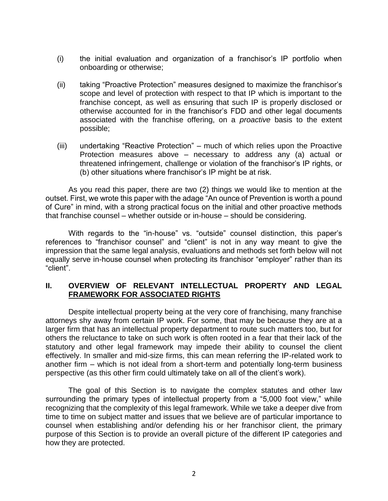- (i) the initial evaluation and organization of a franchisor's IP portfolio when onboarding or otherwise;
- (ii) taking "Proactive Protection" measures designed to maximize the franchisor's scope and level of protection with respect to that IP which is important to the franchise concept, as well as ensuring that such IP is properly disclosed or otherwise accounted for in the franchisor's FDD and other legal documents associated with the franchise offering, on a *proactive* basis to the extent possible;
- (iii) undertaking "Reactive Protection" much of which relies upon the Proactive Protection measures above – necessary to address any (a) actual or threatened infringement, challenge or violation of the franchisor's IP rights, or (b) other situations where franchisor's IP might be at risk.

As you read this paper, there are two (2) things we would like to mention at the outset. First, we wrote this paper with the adage "An ounce of Prevention is worth a pound of Cure" in mind, with a strong practical focus on the initial and other proactive methods that franchise counsel – whether outside or in-house – should be considering.

With regards to the "in-house" vs. "outside" counsel distinction, this paper's references to "franchisor counsel" and "client" is not in any way meant to give the impression that the same legal analysis, evaluations and methods set forth below will not equally serve in-house counsel when protecting its franchisor "employer" rather than its "client".

#### **II. OVERVIEW OF RELEVANT INTELLECTUAL PROPERTY AND LEGAL FRAMEWORK FOR ASSOCIATED RIGHTS**

Despite intellectual property being at the very core of franchising, many franchise attorneys shy away from certain IP work. For some, that may be because they are at a larger firm that has an intellectual property department to route such matters too, but for others the reluctance to take on such work is often rooted in a fear that their lack of the statutory and other legal framework may impede their ability to counsel the client effectively. In smaller and mid-size firms, this can mean referring the IP-related work to another firm – which is not ideal from a short-term and potentially long-term business perspective (as this other firm could ultimately take on all of the client's work).

The goal of this Section is to navigate the complex statutes and other law surrounding the primary types of intellectual property from a "5,000 foot view," while recognizing that the complexity of this legal framework. While we take a deeper dive from time to time on subject matter and issues that we believe are of particular importance to counsel when establishing and/or defending his or her franchisor client, the primary purpose of this Section is to provide an overall picture of the different IP categories and how they are protected.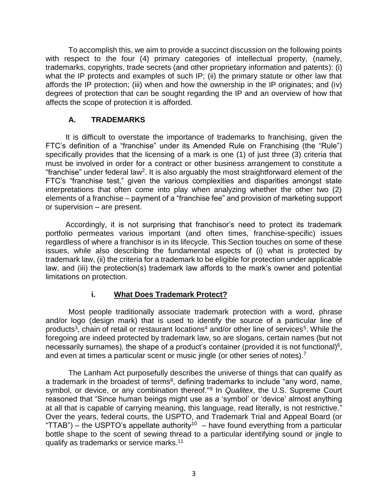To accomplish this, we aim to provide a succinct discussion on the following points with respect to the four (4) primary categories of intellectual property, (namely, trademarks, copyrights, trade secrets (and other proprietary information and patents): (i) what the IP protects and examples of such IP; (ii) the primary statute or other law that affords the IP protection; (iii) when and how the ownership in the IP originates; and (iv) degrees of protection that can be sought regarding the IP and an overview of how that affects the scope of protection it is afforded.

# **A. TRADEMARKS**

It is difficult to overstate the importance of trademarks to franchising, given the FTC's definition of a "franchise" under its Amended Rule on Franchising (the "Rule") specifically provides that the licensing of a mark is one (1) of just three (3) criteria that must be involved in order for a contract or other business arrangement to constitute a "franchise" under federal law<sup>2</sup>. It is also arguably the most straightforward element of the FTC's "franchise test," given the various complexities and disparities amongst state interpretations that often come into play when analyzing whether the other two (2) elements of a franchise – payment of a "franchise fee" and provision of marketing support or supervision – are present.

Accordingly, it is not surprising that franchisor's need to protect its trademark portfolio permeates various important (and often times, franchise-specific) issues regardless of where a franchisor is in its lifecycle. This Section touches on some of these issues, while also describing the fundamental aspects of (i) what is protected by trademark law, (ii) the criteria for a trademark to be eligible for protection under applicable law, and (iii) the protection(s) trademark law affords to the mark's owner and potential limitations on protection.

# **i. What Does Trademark Protect?**

Most people traditionally associate trademark protection with a word, phrase and/or logo (design mark) that is used to identify the source of a particular line of products<sup>3</sup>, chain of retail or restaurant locations<sup>4</sup> and/or other line of services<sup>5</sup>. While the foregoing are indeed protected by trademark law, so are slogans, certain names (but not necessarily surnames), the shape of a product's container (provided it is not functional)<sup>6</sup>, and even at times a particular scent or music jingle (or other series of notes).<sup>7</sup>

The Lanham Act purposefully describes the universe of things that can qualify as a trademark in the broadest of terms<sup>8</sup>, defining trademarks to include "any word, name, symbol, or device, or any combination thereof."<sup>9</sup> In *Qualitex*, the U.S. Supreme Court reasoned that "Since human beings might use as a 'symbol' or 'device' almost anything at all that is capable of carrying meaning, this language, read literally, is not restrictive." Over the years, federal courts, the USPTO, and Trademark Trial and Appeal Board (or "TTAB") – the USPTO's appellate authority<sup>10</sup> – have found everything from a particular bottle shape to the scent of sewing thread to a particular identifying sound or jingle to qualify as trademarks or service marks.<sup>11</sup>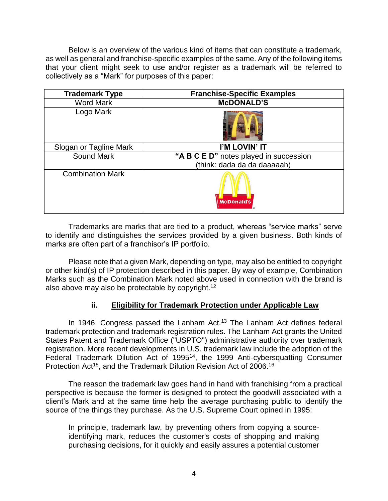Below is an overview of the various kind of items that can constitute a trademark, as well as general and franchise-specific examples of the same. Any of the following items that your client might seek to use and/or register as a trademark will be referred to collectively as a "Mark" for purposes of this paper:

| <b>Trademark Type</b>   | <b>Franchise-Specific Examples</b>     |
|-------------------------|----------------------------------------|
| <b>Word Mark</b>        | <b>McDONALD'S</b>                      |
| Logo Mark               |                                        |
| Slogan or Tagline Mark  | I'M LOVIN' IT                          |
| <b>Sound Mark</b>       | "A B C E D" notes played in succession |
|                         | (think: dada da da daaaaah)            |
| <b>Combination Mark</b> | <b>McDonald's</b>                      |

Trademarks are marks that are tied to a product, whereas "service marks" serve to identify and distinguishes the services provided by a given business. Both kinds of marks are often part of a franchisor's IP portfolio.

Please note that a given Mark, depending on type, may also be entitled to copyright or other kind(s) of IP protection described in this paper. By way of example, Combination Marks such as the Combination Mark noted above used in connection with the brand is also above may also be protectable by copyright.<sup>12</sup>

# **ii. Eligibility for Trademark Protection under Applicable Law**

In 1946, Congress passed the Lanham Act.<sup>13</sup> The Lanham Act defines federal trademark protection and trademark registration rules. The Lanham Act grants the United States Patent and Trademark Office ("USPTO") administrative authority over trademark registration. More recent developments in U.S. trademark law include the adoption of the Federal Trademark Dilution Act of 1995<sup>14</sup>, the 1999 Anti-cybersquatting Consumer Protection Act<sup>15</sup>, and the Trademark Dilution Revision Act of 2006.<sup>16</sup>

The reason the trademark law goes hand in hand with franchising from a practical perspective is because the former is designed to protect the goodwill associated with a client's Mark and at the same time help the average purchasing public to identify the source of the things they purchase. As the U.S. Supreme Court opined in 1995:

In principle, trademark law, by preventing others from copying a sourceidentifying mark, reduces the customer's costs of shopping and making purchasing decisions, for it quickly and easily assures a potential customer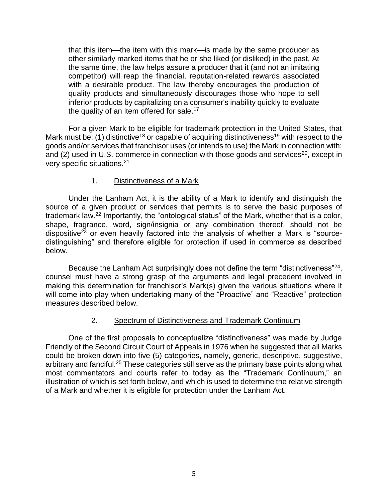that this item—the item with this mark—is made by the same producer as other similarly marked items that he or she liked (or disliked) in the past. At the same time, the law helps assure a producer that it (and not an imitating competitor) will reap the financial, reputation-related rewards associated with a desirable product. The law thereby encourages the production of quality products and simultaneously discourages those who hope to sell inferior products by capitalizing on a consumer's inability quickly to evaluate the quality of an item offered for sale.<sup>17</sup>

For a given Mark to be eligible for trademark protection in the United States, that Mark must be: (1) distinctive<sup>18</sup> or capable of acquiring distinctiveness<sup>19</sup> with respect to the goods and/or services that franchisor uses (or intends to use) the Mark in connection with; and  $(2)$  used in U.S. commerce in connection with those goods and services<sup>20</sup>, except in very specific situations. 21

#### 1. Distinctiveness of a Mark

Under the Lanham Act, it is the ability of a Mark to identify and distinguish the source of a given product or services that permits is to serve the basic purposes of trademark law.<sup>22</sup> Importantly, the "ontological status" of the Mark, whether that is a color, shape, fragrance, word, sign/insignia or any combination thereof, should not be dispositive<sup>23</sup> or even heavily factored into the analysis of whether a Mark is "sourcedistinguishing" and therefore eligible for protection if used in commerce as described below.

Because the Lanham Act surprisingly does not define the term "distinctiveness"<sup>24</sup>, counsel must have a strong grasp of the arguments and legal precedent involved in making this determination for franchisor's Mark(s) given the various situations where it will come into play when undertaking many of the "Proactive" and "Reactive" protection measures described below.

#### 2. Spectrum of Distinctiveness and Trademark Continuum

One of the first proposals to conceptualize "distinctiveness" was made by Judge Friendly of the Second Circuit Court of Appeals in 1976 when he suggested that all Marks could be broken down into five (5) categories, namely, generic, descriptive, suggestive, arbitrary and fanciful.<sup>25</sup> These categories still serve as the primary base points along what most commentators and courts refer to today as the "Trademark Continuum," an illustration of which is set forth below, and which is used to determine the relative strength of a Mark and whether it is eligible for protection under the Lanham Act.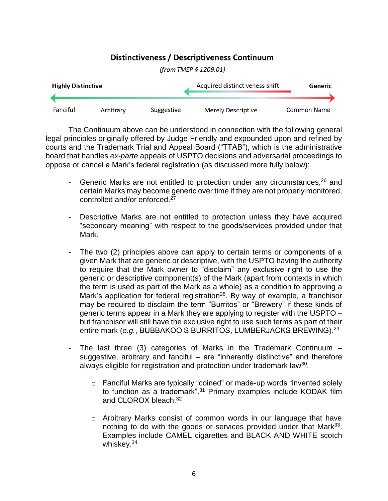# Distinctiveness / Descriptiveness Continuum



(from TMEP § 1209.01)

The Continuum above can be understood in connection with the following general legal principles originally offered by Judge Friendly and expounded upon and refined by courts and the Trademark Trial and Appeal Board ("TTAB"), which is the administrative board that handles *ex-parte* appeals of USPTO decisions and adversarial proceedings to oppose or cancel a Mark's federal registration (as discussed more fully below):

- Generic Marks are not entitled to protection under any circumstances, <sup>26</sup> and certain Marks may become generic over time if they are not properly monitored, controlled and/or enforced.<sup>27</sup>
- Descriptive Marks are not entitled to protection unless they have acquired "secondary meaning" with respect to the goods/services provided under that Mark.
- The two (2) principles above can apply to certain terms or components of a given Mark that are generic or descriptive, with the USPTO having the authority to require that the Mark owner to "disclaim" any exclusive right to use the generic or descriptive component(s) of the Mark (apart from contexts in which the term is used as part of the Mark as a whole) as a condition to approving a Mark's application for federal registration<sup>28</sup>. By way of example, a franchisor may be required to disclaim the term "Burritos" or "Brewery" if these kinds of generic terms appear in a Mark they are applying to register with the USPTO – but franchisor will still have the exclusive right to use such terms as part of their entire mark (*e.g.*, BUBBAKOO'S BURRITOS, LUMBERJACKS BREWING).<sup>29</sup>
- The last three (3) categories of Marks in the Trademark Continuum  $$ suggestive, arbitrary and fanciful – are "inherently distinctive" and therefore always eligible for registration and protection under trademark law<sup>30</sup>.
	- o Fanciful Marks are typically "coined" or made-up words "invented solely to function as a trademark".<sup>31</sup> Primary examples include KODAK film and CLOROX bleach.<sup>32</sup>
	- $\circ$  Arbitrary Marks consist of common words in our language that have nothing to do with the goods or services provided under that Mark<sup>33</sup>. Examples include CAMEL cigarettes and BLACK AND WHITE scotch whiskey. 34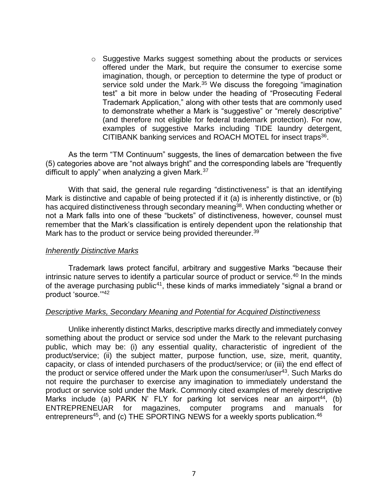o Suggestive Marks suggest something about the products or services offered under the Mark, but require the consumer to exercise some imagination, though, or perception to determine the type of product or service sold under the Mark.<sup>35</sup> We discuss the foregoing "imagination test" a bit more in below under the heading of "Prosecuting Federal Trademark Application," along with other tests that are commonly used to demonstrate whether a Mark is "suggestive" or "merely descriptive" (and therefore not eligible for federal trademark protection). For now, examples of suggestive Marks including TIDE laundry detergent, CITIBANK banking services and ROACH MOTEL for insect traps<sup>36</sup>.

As the term "TM Continuum" suggests, the lines of demarcation between the five (5) categories above are "not always bright" and the corresponding labels are "frequently difficult to apply" when analyzing a given Mark. $37$ 

With that said, the general rule regarding "distinctiveness" is that an identifying Mark is distinctive and capable of being protected if it (a) is inherently distinctive, or (b) has acquired distinctiveness through secondary meaning<sup>38</sup>. When conducting whether or not a Mark falls into one of these "buckets" of distinctiveness, however, counsel must remember that the Mark's classification is entirely dependent upon the relationship that Mark has to the product or service being provided thereunder.<sup>39</sup>

#### *Inherently Distinctive Marks*

Trademark laws protect fanciful, arbitrary and suggestive Marks "because their intrinsic nature serves to identify a particular source of product or service.<sup>40</sup> In the minds of the average purchasing public<sup>41</sup>, these kinds of marks immediately "signal a brand or product 'source.'"<sup>42</sup>

#### *Descriptive Marks, Secondary Meaning and Potential for Acquired Distinctiveness*

Unlike inherently distinct Marks, descriptive marks directly and immediately convey something about the product or service sod under the Mark to the relevant purchasing public, which may be: (i) any essential quality, characteristic of ingredient of the product/service; (ii) the subject matter, purpose function, use, size, merit, quantity, capacity, or class of intended purchasers of the product/service; or (iii) the end effect of the product or service offered under the Mark upon the consumer/user<sup>43</sup>. Such Marks do not require the purchaser to exercise any imagination to immediately understand the product or service sold under the Mark. Commonly cited examples of merely descriptive Marks include (a) PARK N' FLY for parking lot services near an airport<sup>44</sup>, (b) ENTREPRENEUAR for magazines, computer programs and manuals for entrepreneurs<sup>45</sup>, and (c) THE SPORTING NEWS for a weekly sports publication.<sup>46</sup>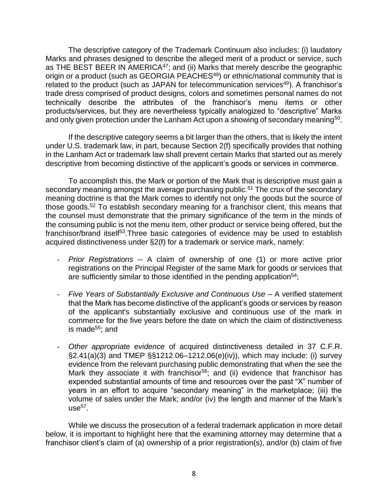The descriptive category of the Trademark Continuum also includes: (i) laudatory Marks and phrases designed to describe the alleged merit of a product or service, such as THE BEST BEER IN AMERICA<sup>47</sup>; and (ii) Marks that merely describe the geographic origin or a product (such as GEORGIA PEACHES<sup>48</sup>) or ethnic/national community that is related to the product (such as JAPAN for telecommunication services<sup>49</sup>). A franchisor's trade dress comprised of product designs, colors and sometimes personal names do not technically describe the attributes of the franchisor's menu items or other products/services, but they are nevertheless typically analogized to "descriptive" Marks and only given protection under the Lanham Act upon a showing of secondary meaning<sup>50</sup>.

If the descriptive category seems a bit larger than the others, that is likely the intent under U.S. trademark law, in part, because Section 2(f) specifically provides that nothing in the Lanham Act or trademark law shall prevent certain Marks that started out as merely descriptive from becoming distinctive of the applicant's goods or services in commerce.

To accomplish this, the Mark or portion of the Mark that is descriptive must gain a secondary meaning amongst the average purchasing public.<sup>51</sup> The crux of the secondary meaning doctrine is that the Mark comes to identify not only the goods but the source of those goods.<sup>52</sup> To establish secondary meaning for a franchisor client, this means that the counsel must demonstrate that the primary significance of the term in the minds of the consuming public is not the menu item, other product or service being offered, but the franchisor/brand itself<sup>53</sup>. Three basic categories of evidence may be used to establish acquired distinctiveness under §2(f) for a trademark or service mark, namely:

- *Prior Registrations* -- A claim of ownership of one (1) or more active prior registrations on the Principal Register of the same Mark for goods or services that are sufficiently similar to those identified in the pending application<sup>54</sup>;
- *Five Years of Substantially Exclusive and Continuous Use* A verified statement that the Mark has become distinctive of the applicant's goods or services by reason of the applicant's substantially exclusive and continuous use of the mark in commerce for the five years before the date on which the claim of distinctiveness is made<sup>55</sup>; and
- *Other appropriate evidence* of acquired distinctiveness detailed in 37 C.F.R. §2.41(a)(3) and TMEP §§1212.06–1212.06(e)(iv)), which may include: (i) survey evidence from the relevant purchasing public demonstrating that when the see the Mark they associate it with franchisor<sup>56</sup>; and (ii) evidence that franchisor has expended substantial amounts of time and resources over the past "X" number of years in an effort to acquire "secondary meaning" in the marketplace; (iii) the volume of sales under the Mark; and/or (iv) the length and manner of the Mark's use $^{57}$ .

While we discuss the prosecution of a federal trademark application in more detail below, it is important to highlight here that the examining attorney may determine that a franchisor client's claim of (a) ownership of a prior registration(s), and/or (b) claim of five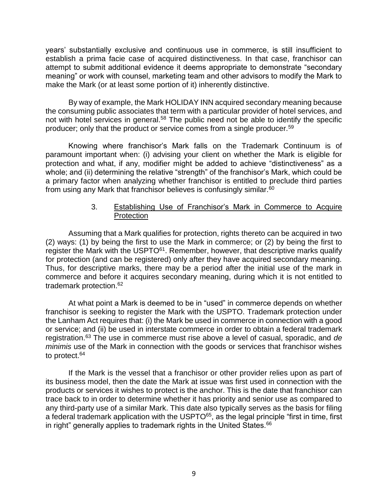years' substantially exclusive and continuous use in commerce, is still insufficient to establish a prima facie case of acquired distinctiveness. In that case, franchisor can attempt to submit additional evidence it deems appropriate to demonstrate "secondary meaning" or work with counsel, marketing team and other advisors to modify the Mark to make the Mark (or at least some portion of it) inherently distinctive.

By way of example, the Mark HOLIDAY INN acquired secondary meaning because the consuming public associates that term with a particular provider of hotel services, and not with hotel services in general.<sup>58</sup> The public need not be able to identify the specific producer; only that the product or service comes from a single producer.<sup>59</sup>

Knowing where franchisor's Mark falls on the Trademark Continuum is of paramount important when: (i) advising your client on whether the Mark is eligible for protection and what, if any, modifier might be added to achieve "distinctiveness" as a whole; and (ii) determining the relative "strength" of the franchisor's Mark, which could be a primary factor when analyzing whether franchisor is entitled to preclude third parties from using any Mark that franchisor believes is confusingly similar.<sup>60</sup>

#### 3. Establishing Use of Franchisor's Mark in Commerce to Acquire **Protection**

Assuming that a Mark qualifies for protection, rights thereto can be acquired in two (2) ways: (1) by being the first to use the Mark in commerce; or (2) by being the first to register the Mark with the USPTO<sup>61</sup>. Remember, however, that descriptive marks qualify for protection (and can be registered) only after they have acquired secondary meaning. Thus, for descriptive marks, there may be a period after the initial use of the mark in commerce and before it acquires secondary meaning, during which it is not entitled to trademark protection.<sup>62</sup>

At what point a Mark is deemed to be in "used" in commerce depends on whether franchisor is seeking to register the Mark with the USPTO. Trademark protection under the Lanham Act requires that: (i) the Mark be used in commerce in connection with a good or service; and (ii) be used in interstate commerce in order to obtain a federal trademark registration.<sup>63</sup> The use in commerce must rise above a level of casual, sporadic, and *de minimis* use of the Mark in connection with the goods or services that franchisor wishes to protect.<sup>64</sup>

If the Mark is the vessel that a franchisor or other provider relies upon as part of its business model, then the date the Mark at issue was first used in connection with the products or services it wishes to protect is the anchor. This is the date that franchisor can trace back to in order to determine whether it has priority and senior use as compared to any third-party use of a similar Mark. This date also typically serves as the basis for filing a federal trademark application with the USPTO<sup>65</sup>, as the legal principle "first in time, first in right" generally applies to trademark rights in the United States.<sup>66</sup>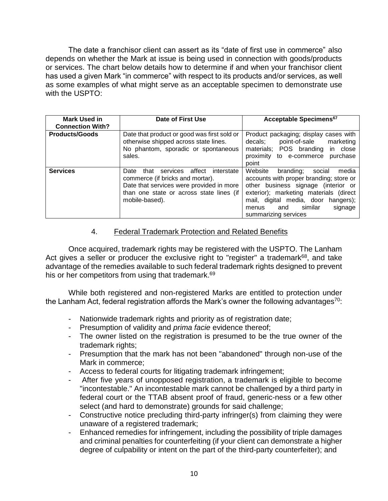The date a franchisor client can assert as its "date of first use in commerce" also depends on whether the Mark at issue is being used in connection with goods/products or services. The chart below details how to determine if and when your franchisor client has used a given Mark "in commerce" with respect to its products and/or services, as well as some examples of what might serve as an acceptable specimen to demonstrate use with the USPTO:

| <b>Mark Used in</b><br><b>Connection With?</b> | Date of First Use                                                                                                                                                                           | Acceptable Specimens <sup>67</sup>                                                                                                                                                                                                                                       |
|------------------------------------------------|---------------------------------------------------------------------------------------------------------------------------------------------------------------------------------------------|--------------------------------------------------------------------------------------------------------------------------------------------------------------------------------------------------------------------------------------------------------------------------|
| <b>Products/Goods</b>                          | Date that product or good was first sold or<br>otherwise shipped across state lines.<br>No phantom, sporadic or spontaneous<br>sales.                                                       | Product packaging; display cases with<br>point-of-sale<br>decals;<br>marketing<br>materials; POS branding in close<br>proximity to e-commerce<br>purchase<br>point                                                                                                       |
| <b>Services</b>                                | affect<br>interstate<br>that services<br>Date<br>commerce (if bricks and mortar).<br>Date that services were provided in more<br>than one state or across state lines (if<br>mobile-based). | Website<br>branding;<br>social<br>media<br>accounts with proper branding; store or<br>other business signage (interior or<br>exterior); marketing materials (direct<br>mail, digital media, door hangers);<br>similar<br>signage<br>and<br>menus<br>summarizing services |

## 4. Federal Trademark Protection and Related Benefits

Once acquired, trademark rights may be registered with the USPTO. The Lanham Act gives a seller or producer the exclusive right to "register" a trademark $68$ , and take advantage of the remedies available to such federal trademark rights designed to prevent his or her competitors from using that trademark.<sup>69</sup>

While both registered and non-registered Marks are entitled to protection under the Lanham Act, federal registration affords the Mark's owner the following advantages<sup>70</sup>:

- Nationwide trademark rights and priority as of registration date;
- Presumption of validity and *prima facie* evidence thereof;
- The owner listed on the registration is presumed to be the true owner of the trademark rights;
- Presumption that the mark has not been "abandoned" through non-use of the Mark in commerce;
- Access to federal courts for litigating trademark infringement;
- After five years of unopposed registration, a trademark is eligible to become "incontestable." An incontestable mark cannot be challenged by a third party in federal court or the TTAB absent proof of fraud, generic-ness or a few other select (and hard to demonstrate) grounds for said challenge;
- Constructive notice precluding third-party infringer(s) from claiming they were unaware of a registered trademark;
- Enhanced remedies for infringement, including the possibility of triple damages and criminal penalties for counterfeiting (if your client can demonstrate a higher degree of culpability or intent on the part of the third-party counterfeiter); and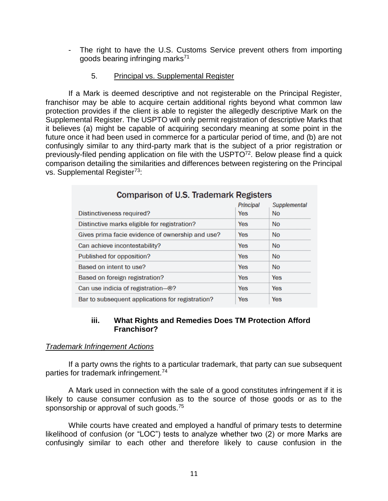- The right to have the U.S. Customs Service prevent others from importing goods bearing infringing marks<sup>71</sup>

#### 5. Principal vs. Supplemental Register

If a Mark is deemed descriptive and not registerable on the Principal Register, franchisor may be able to acquire certain additional rights beyond what common law protection provides if the client is able to register the allegedly descriptive Mark on the Supplemental Register. The USPTO will only permit registration of descriptive Marks that it believes (a) might be capable of acquiring secondary meaning at some point in the future once it had been used in commerce for a particular period of time, and (b) are not confusingly similar to any third-party mark that is the subject of a prior registration or previously-filed pending application on file with the USPTO<sup>72</sup>. Below please find a quick comparison detailing the similarities and differences between registering on the Principal vs. Supplemental Register<sup>73</sup>:

| Companson of 0.5. Haughlath Registers            |                         |                           |  |  |
|--------------------------------------------------|-------------------------|---------------------------|--|--|
| <b>Distinctiveness required?</b>                 | Principal<br><b>Yes</b> | Supplemental<br><b>No</b> |  |  |
| Distinctive marks eligible for registration?     | <b>Yes</b>              | <b>No</b>                 |  |  |
| Gives prima facie evidence of ownership and use? | Yes                     | <b>No</b>                 |  |  |
| Can achieve incontestability?                    | <b>Yes</b>              | <b>No</b>                 |  |  |
| Published for opposition?                        | Yes                     | <b>No</b>                 |  |  |
| Based on intent to use?                          | Yes                     | <b>No</b>                 |  |  |
| Based on foreign registration?                   | <b>Yes</b>              | Yes                       |  |  |
| Can use indicia of registration--®?              | Yes                     | Yes                       |  |  |
| Bar to subsequent applications for registration? | <b>Yes</b>              | <b>Yes</b>                |  |  |

# Comparison of LLC Trademark Dedictors

#### **iii. What Rights and Remedies Does TM Protection Afford Franchisor?**

#### *Trademark Infringement Actions*

If a party owns the rights to a particular trademark, that party can sue subsequent parties for trademark infringement.<sup>74</sup>

A Mark used in connection with the sale of a good constitutes infringement if it is likely to cause consumer confusion as to the source of those goods or as to the sponsorship or approval of such goods.<sup>75</sup>

While courts have created and employed a handful of primary tests to determine likelihood of confusion (or "LOC") tests to analyze whether two (2) or more Marks are confusingly similar to each other and therefore likely to cause confusion in the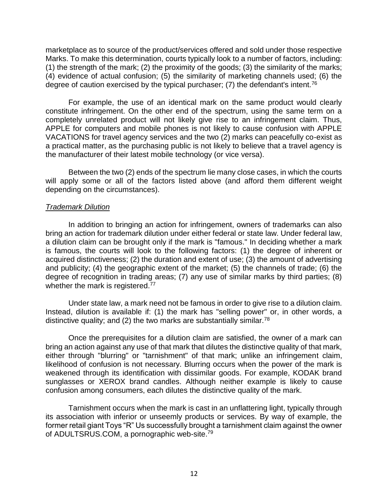marketplace as to source of the product/services offered and sold under those respective Marks. To make this determination, courts typically look to a number of factors, including: (1) the strength of the mark; (2) the proximity of the goods; (3) the similarity of the marks; (4) evidence of actual confusion; (5) the similarity of marketing channels used; (6) the degree of caution exercised by the typical purchaser; (7) the defendant's intent.<sup>76</sup>

For example, the use of an identical mark on the same product would clearly constitute infringement. On the other end of the spectrum, using the same term on a completely unrelated product will not likely give rise to an infringement claim. Thus, APPLE for computers and mobile phones is not likely to cause confusion with APPLE VACATIONS for travel agency services and the two (2) marks can peacefully co-exist as a practical matter, as the purchasing public is not likely to believe that a travel agency is the manufacturer of their latest mobile technology (or vice versa).

Between the two (2) ends of the spectrum lie many close cases, in which the courts will apply some or all of the factors listed above (and afford them different weight depending on the circumstances).

#### *Trademark Dilution*

In addition to bringing an action for infringement, owners of trademarks can also bring an action for trademark dilution under either federal or state law. Under federal law, a dilution claim can be brought only if the mark is "famous." In deciding whether a mark is famous, the courts will look to the following factors: (1) the degree of inherent or acquired distinctiveness; (2) the duration and extent of use; (3) the amount of advertising and publicity; (4) the geographic extent of the market; (5) the channels of trade; (6) the degree of recognition in trading areas; (7) any use of similar marks by third parties; (8) whether the mark is registered.<sup>77</sup>

Under state law, a mark need not be famous in order to give rise to a dilution claim. Instead, dilution is available if: (1) the mark has "selling power" or, in other words, a distinctive quality; and (2) the two marks are substantially similar.<sup>78</sup>

Once the prerequisites for a dilution claim are satisfied, the owner of a mark can bring an action against any use of that mark that dilutes the distinctive quality of that mark, either through "blurring" or "tarnishment" of that mark; unlike an infringement claim, likelihood of confusion is not necessary. Blurring occurs when the power of the mark is weakened through its identification with dissimilar goods. For example, KODAK brand sunglasses or XEROX brand candles. Although neither example is likely to cause confusion among consumers, each dilutes the distinctive quality of the mark.

Tarnishment occurs when the mark is cast in an unflattering light, typically through its association with inferior or unseemly products or services. By way of example, the former retail giant Toys "R" Us successfully brought a tarnishment claim against the owner of ADULTSRUS.COM, a pornographic web-site.79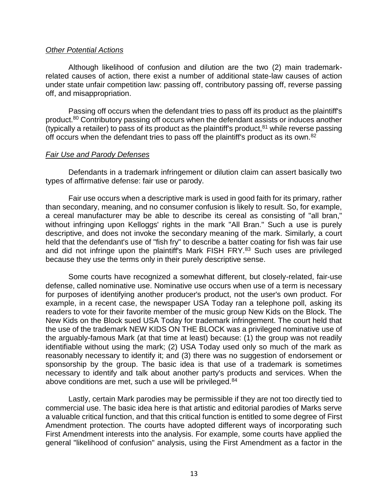#### *Other Potential Actions*

Although likelihood of confusion and dilution are the two (2) main trademarkrelated causes of action, there exist a number of additional state-law causes of action under state unfair competition law: passing off, contributory passing off, reverse passing off, and misappropriation.

Passing off occurs when the defendant tries to pass off its product as the plaintiff's product.<sup>80</sup> Contributory passing off occurs when the defendant assists or induces another (typically a retailer) to pass of its product as the plaintiff's product,  $81$  while reverse passing off occurs when the defendant tries to pass off the plaintiff's product as its own.<sup>82</sup>

#### *Fair Use and Parody Defenses*

Defendants in a trademark infringement or dilution claim can assert basically two types of affirmative defense: fair use or parody.

Fair use occurs when a descriptive mark is used in good faith for its primary, rather than secondary, meaning, and no consumer confusion is likely to result. So, for example, a cereal manufacturer may be able to describe its cereal as consisting of "all bran," without infringing upon Kelloggs' rights in the mark "All Bran." Such a use is purely descriptive, and does not invoke the secondary meaning of the mark. Similarly, a court held that the defendant's use of "fish fry" to describe a batter coating for fish was fair use and did not infringe upon the plaintiff's Mark FISH FRY.<sup>83</sup> Such uses are privileged because they use the terms only in their purely descriptive sense.

Some courts have recognized a somewhat different, but closely-related, fair-use defense, called nominative use. Nominative use occurs when use of a term is necessary for purposes of identifying another producer's product, not the user's own product. For example, in a recent case, the newspaper USA Today ran a telephone poll, asking its readers to vote for their favorite member of the music group New Kids on the Block. The New Kids on the Block sued USA Today for trademark infringement. The court held that the use of the trademark NEW KIDS ON THE BLOCK was a privileged nominative use of the arguably-famous Mark (at that time at least) because: (1) the group was not readily identifiable without using the mark; (2) USA Today used only so much of the mark as reasonably necessary to identify it; and (3) there was no suggestion of endorsement or sponsorship by the group. The basic idea is that use of a trademark is sometimes necessary to identify and talk about another party's products and services. When the above conditions are met, such a use will be privileged.<sup>84</sup>

Lastly, certain Mark parodies may be permissible if they are not too directly tied to commercial use. The basic idea here is that artistic and editorial parodies of Marks serve a valuable critical function, and that this critical function is entitled to some degree of First Amendment protection. The courts have adopted different ways of incorporating such First Amendment interests into the analysis. For example, some courts have applied the general "likelihood of confusion" analysis, using the First Amendment as a factor in the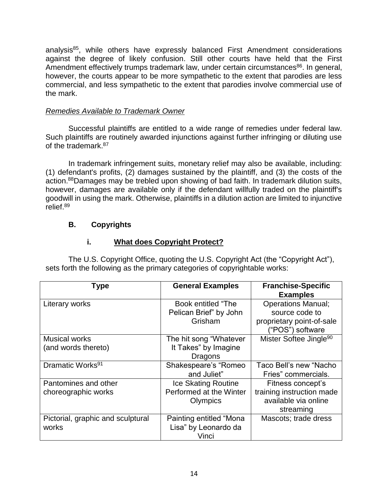analysis<sup>85</sup>, while others have expressly balanced First Amendment considerations against the degree of likely confusion. Still other courts have held that the First Amendment effectively trumps trademark law, under certain circumstances<sup>86</sup>. In general, however, the courts appear to be more sympathetic to the extent that parodies are less commercial, and less sympathetic to the extent that parodies involve commercial use of the mark.

# *Remedies Available to Trademark Owner*

Successful plaintiffs are entitled to a wide range of remedies under federal law. Such plaintiffs are routinely awarded injunctions against further infringing or diluting use of the trademark.<sup>87</sup>

In trademark infringement suits, monetary relief may also be available, including: (1) defendant's profits, (2) damages sustained by the plaintiff, and (3) the costs of the action.<sup>88</sup>Damages may be trebled upon showing of bad faith. In trademark dilution suits, however, damages are available only if the defendant willfully traded on the plaintiff's goodwill in using the mark. Otherwise, plaintiffs in a dilution action are limited to injunctive relief.<sup>89</sup>

# **B. Copyrights**

# **i. What does Copyright Protect?**

The U.S. Copyright Office, quoting the U.S. Copyright Act (the "Copyright Act"), sets forth the following as the primary categories of copyrightable works:

| <b>Type</b>                       | <b>General Examples</b>             | <b>Franchise-Specific</b><br><b>Examples</b>  |
|-----------------------------------|-------------------------------------|-----------------------------------------------|
| Literary works                    | Book entitled "The                  | <b>Operations Manual;</b>                     |
|                                   | Pelican Brief" by John              | source code to                                |
|                                   | Grisham                             | proprietary point-of-sale<br>("POS") software |
| <b>Musical works</b>              | The hit song "Whatever              | Mister Softee Jingle <sup>90</sup>            |
| (and words thereto)               | It Takes" by Imagine                |                                               |
|                                   | Dragons                             |                                               |
| Dramatic Works <sup>91</sup>      | Shakespeare's "Romeo<br>and Juliet" | Taco Bell's new "Nacho<br>Fries" commercials. |
| Pantomines and other              | Ice Skating Routine                 | Fitness concept's                             |
| choreographic works               | Performed at the Winter             | training instruction made                     |
|                                   | Olympics                            | available via online<br>streaming             |
| Pictorial, graphic and sculptural | Painting entitled "Mona             | Mascots; trade dress                          |
| works                             | Lisa" by Leonardo da                |                                               |
|                                   | Vinci                               |                                               |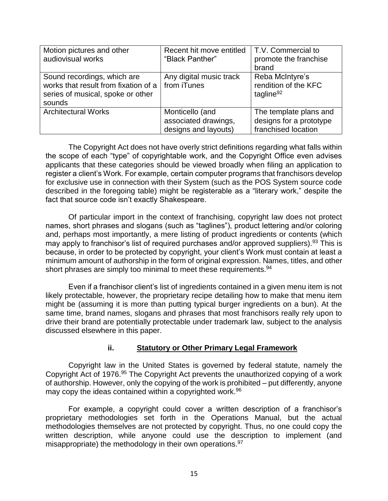| Motion pictures and other<br>audiovisual works                                                                     | Recent hit move entitled<br>"Black Panther"                     | T.V. Commercial to<br>promote the franchise<br>brand                     |
|--------------------------------------------------------------------------------------------------------------------|-----------------------------------------------------------------|--------------------------------------------------------------------------|
| Sound recordings, which are<br>works that result from fixation of a<br>series of musical, spoke or other<br>sounds | Any digital music track<br>from iTunes                          | Reba McIntyre's<br>rendition of the KFC<br>tagline <sup>92</sup>         |
| <b>Architectural Works</b>                                                                                         | Monticello (and<br>associated drawings,<br>designs and layouts) | The template plans and<br>designs for a prototype<br>franchised location |

The Copyright Act does not have overly strict definitions regarding what falls within the scope of each "type" of copyrightable work, and the Copyright Office even advises applicants that these categories should be viewed broadly when filing an application to register a client's Work. For example, certain computer programs that franchisors develop for exclusive use in connection with their System (such as the POS System source code described in the foregoing table) might be registerable as a "literary work," despite the fact that source code isn't exactly Shakespeare.

Of particular import in the context of franchising, copyright law does not protect names, short phrases and slogans (such as "taglines"), product lettering and/or coloring and, perhaps most importantly, a mere listing of product ingredients or contents (which may apply to franchisor's list of required purchases and/or approved suppliers).<sup>93</sup> This is because, in order to be protected by copyright, your client's Work must contain at least a minimum amount of authorship in the form of original expression. Names, titles, and other short phrases are simply too minimal to meet these requirements.<sup>94</sup>

Even if a franchisor client's list of ingredients contained in a given menu item is not likely protectable, however, the proprietary recipe detailing how to make that menu item might be (assuming it is more than putting typical burger ingredients on a bun). At the same time, brand names, slogans and phrases that most franchisors really rely upon to drive their brand are potentially protectable under trademark law, subject to the analysis discussed elsewhere in this paper.

#### **ii. Statutory or Other Primary Legal Framework**

Copyright law in the United States is governed by federal statute, namely the Copyright Act of 1976.<sup>95</sup> The Copyright Act prevents the unauthorized copying of a work of authorship. However, only the copying of the work is prohibited – put differently, anyone may copy the ideas contained within a copyrighted work.<sup>96</sup>

For example, a copyright could cover a written description of a franchisor's proprietary methodologies set forth in the Operations Manual, but the actual methodologies themselves are not protected by copyright. Thus, no one could copy the written description, while anyone could use the description to implement (and misappropriate) the methodology in their own operations.<sup>97</sup>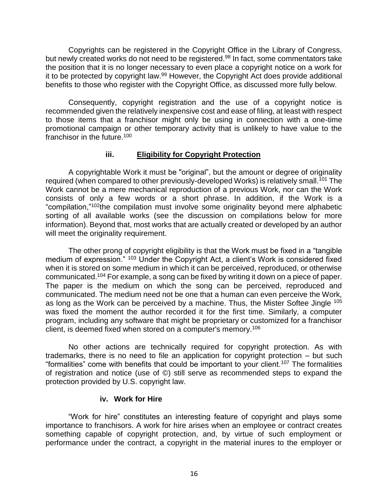Copyrights can be registered in the Copyright Office in the Library of Congress, but newly created works do not need to be registered.<sup>98</sup> In fact, some commentators take the position that it is no longer necessary to even place a copyright notice on a work for it to be protected by copyright law.<sup>99</sup> However, the Copyright Act does provide additional benefits to those who register with the Copyright Office, as discussed more fully below.

Consequently, copyright registration and the use of a copyright notice is recommended given the relatively inexpensive cost and ease of filing, at least with respect to those items that a franchisor might only be using in connection with a one-time promotional campaign or other temporary activity that is unlikely to have value to the franchisor in the future.<sup>100</sup>

## **iii. Eligibility for Copyright Protection**

A copyrightable Work it must be "original", but the amount or degree of originality required (when compared to other previously-developed Works) is relatively small.<sup>101</sup> The Work cannot be a mere mechanical reproduction of a previous Work, nor can the Work consists of only a few words or a short phrase. In addition, if the Work is a "compilation,"<sup>102</sup>the compilation must involve some originality beyond mere alphabetic sorting of all available works (see the discussion on compilations below for more information). Beyond that, most works that are actually created or developed by an author will meet the originality requirement.

The other prong of copyright eligibility is that the Work must be fixed in a "tangible medium of expression." 103 Under the Copyright Act, a client's Work is considered fixed when it is stored on some medium in which it can be perceived, reproduced, or otherwise communicated.<sup>104</sup> For example, a song can be fixed by writing it down on a piece of paper. The paper is the medium on which the song can be perceived, reproduced and communicated. The medium need not be one that a human can even perceive the Work, as long as the Work can be perceived by a machine. Thus, the Mister Softee Jingle <sup>105</sup> was fixed the moment the author recorded it for the first time. Similarly, a computer program, including any software that might be proprietary or customized for a franchisor client, is deemed fixed when stored on a computer's memory.<sup>106</sup>

No other actions are technically required for copyright protection. As with trademarks, there is no need to file an application for copyright protection – but such "formalities" come with benefits that could be important to your client.<sup>107</sup> The formalities of registration and notice (use of ©) still serve as recommended steps to expand the protection provided by U.S. copyright law.

#### **iv. Work for Hire**

"Work for hire" constitutes an interesting feature of copyright and plays some importance to franchisors. A work for hire arises when an employee or contract creates something capable of copyright protection, and, by virtue of such employment or performance under the contract, a copyright in the material inures to the employer or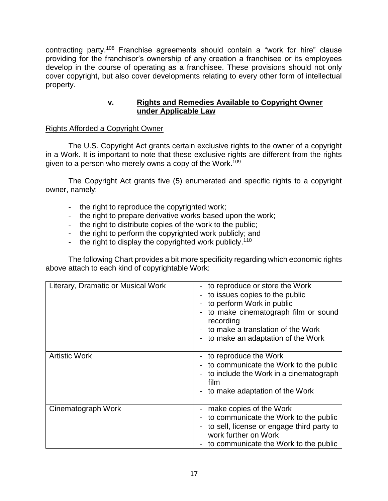contracting party.<sup>108</sup> Franchise agreements should contain a "work for hire" clause providing for the franchisor's ownership of any creation a franchisee or its employees develop in the course of operating as a franchisee. These provisions should not only cover copyright, but also cover developments relating to every other form of intellectual property.

# **v. Rights and Remedies Available to Copyright Owner under Applicable Law**

# Rights Afforded a Copyright Owner

The U.S. Copyright Act grants certain exclusive rights to the owner of a copyright in a Work. It is important to note that these exclusive rights are different from the rights given to a person who merely owns a copy of the Work. 109

The Copyright Act grants five (5) enumerated and specific rights to a copyright owner, namely:

- the right to reproduce the copyrighted work;
- the right to prepare derivative works based upon the work;
- the right to distribute copies of the work to the public;
- the right to perform the copyrighted work publicly; and
- the right to display the copyrighted work publicly.<sup>110</sup>

The following Chart provides a bit more specificity regarding which economic rights above attach to each kind of copyrightable Work:

| Literary, Dramatic or Musical Work | - to reproduce or store the Work<br>to issues copies to the public<br>to perform Work in public<br>to make cinematograph film or sound<br>recording<br>to make a translation of the Work<br>- to make an adaptation of the Work |
|------------------------------------|---------------------------------------------------------------------------------------------------------------------------------------------------------------------------------------------------------------------------------|
| <b>Artistic Work</b>               | to reproduce the Work<br>to communicate the Work to the public<br>to include the Work in a cinematograph<br>film<br>to make adaptation of the Work                                                                              |
| Cinematograph Work                 | make copies of the Work<br>to communicate the Work to the public<br>to sell, license or engage third party to<br>work further on Work<br>to communicate the Work to the public                                                  |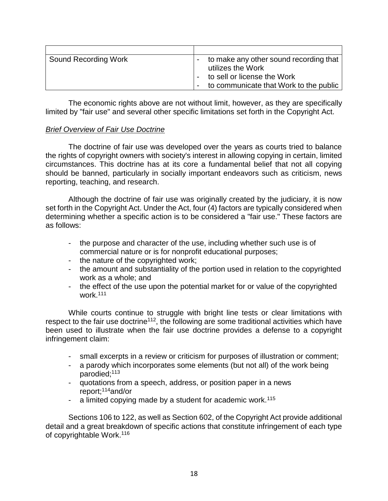| <b>Sound Recording Work</b> | to make any other sound recording that<br>utilizes the Work<br>to sell or license the Work<br>to communicate that Work to the public |
|-----------------------------|--------------------------------------------------------------------------------------------------------------------------------------|

The economic rights above are not without limit, however, as they are specifically limited by "fair use" and several other specific limitations set forth in the Copyright Act.

#### *Brief Overview of Fair Use Doctrine*

The doctrine of fair use was developed over the years as courts tried to balance the rights of copyright owners with society's interest in allowing copying in certain, limited circumstances. This doctrine has at its core a fundamental belief that not all copying should be banned, particularly in socially important endeavors such as criticism, news reporting, teaching, and research.

Although the doctrine of fair use was originally created by the judiciary, it is now set forth in the Copyright Act. Under the Act, four (4) factors are typically considered when determining whether a specific action is to be considered a "fair use." These factors are as follows:

- the purpose and character of the use, including whether such use is of commercial nature or is for nonprofit educational purposes;
- the nature of the copyrighted work;
- the amount and substantiality of the portion used in relation to the copyrighted work as a whole; and
- the effect of the use upon the potential market for or value of the copyrighted work.<sup>111</sup>

While courts continue to struggle with bright line tests or clear limitations with respect to the fair use doctrine<sup>112</sup>, the following are some traditional activities which have been used to illustrate when the fair use doctrine provides a defense to a copyright infringement claim:

- small excerpts in a review or criticism for purposes of illustration or comment;
- a parody which incorporates some elements (but not all) of the work being parodied;<sup>113</sup>
- quotations from a speech, address, or position paper in a news report;<sup>114</sup>and/or
- a limited copying made by a student for academic work.<sup>115</sup>

Sections 106 to 122, as well as Section 602, of the Copyright Act provide additional detail and a great breakdown of specific actions that constitute infringement of each type of copyrightable Work.<sup>116</sup>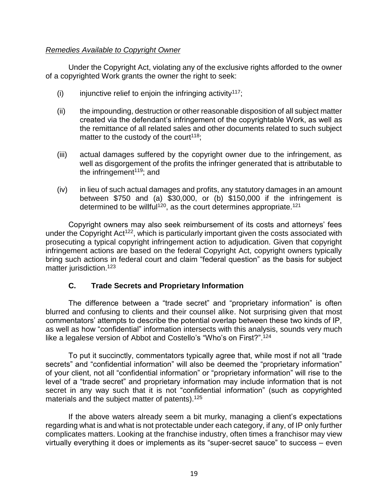#### *Remedies Available to Copyright Owner*

Under the Copyright Act, violating any of the exclusive rights afforded to the owner of a copyrighted Work grants the owner the right to seek:

- (i) injunctive relief to enjoin the infringing activity<sup>117</sup>;
- (ii) the impounding, destruction or other reasonable disposition of all subject matter created via the defendant's infringement of the copyrightable Work, as well as the remittance of all related sales and other documents related to such subject matter to the custody of the court<sup>118</sup>;
- (iii) actual damages suffered by the copyright owner due to the infringement, as well as disgorgement of the profits the infringer generated that is attributable to the infringement<sup> $119$ </sup>; and
- (iv) in lieu of such actual damages and profits, any statutory damages in an amount between \$750 and (a) \$30,000, or (b) \$150,000 if the infringement is determined to be willful<sup>120</sup>, as the court determines appropriate.<sup>121</sup>

Copyright owners may also seek reimbursement of its costs and attorneys' fees under the Copyright Act<sup>122</sup>, which is particularly important given the costs associated with prosecuting a typical copyright infringement action to adjudication. Given that copyright infringement actions are based on the federal Copyright Act, copyright owners typically bring such actions in federal court and claim "federal question" as the basis for subject matter jurisdiction.<sup>123</sup>

# **C. Trade Secrets and Proprietary Information**

The difference between a "trade secret" and "proprietary information" is often blurred and confusing to clients and their counsel alike. Not surprising given that most commentators' attempts to describe the potential overlap between these two kinds of IP, as well as how "confidential" information intersects with this analysis, sounds very much like a legalese version of Abbot and Costello's "Who's on First?".<sup>124</sup>

To put it succinctly, commentators typically agree that, while most if not all "trade secrets" and "confidential information" will also be deemed the "proprietary information" of your client, not all "confidential information" or "proprietary information" will rise to the level of a "trade secret" and proprietary information may include information that is not secret in any way such that it is not "confidential information" (such as copyrighted materials and the subject matter of patents).<sup>125</sup>

If the above waters already seem a bit murky, managing a client's expectations regarding what is and what is not protectable under each category, if any, of IP only further complicates matters. Looking at the franchise industry, often times a franchisor may view virtually everything it does or implements as its "super-secret sauce" to success – even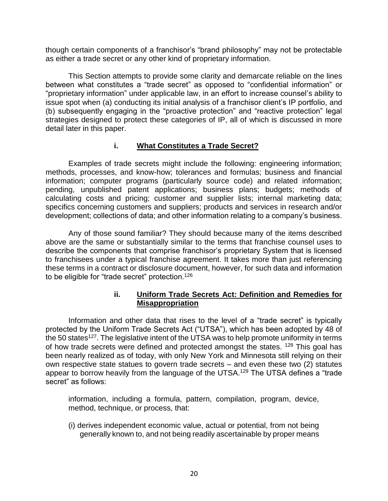though certain components of a franchisor's "brand philosophy" may not be protectable as either a trade secret or any other kind of proprietary information.

This Section attempts to provide some clarity and demarcate reliable on the lines between what constitutes a "trade secret" as opposed to "confidential information" or "proprietary information" under applicable law, in an effort to increase counsel's ability to issue spot when (a) conducting its initial analysis of a franchisor client's IP portfolio, and (b) subsequently engaging in the "proactive protection" and "reactive protection" legal strategies designed to protect these categories of IP, all of which is discussed in more detail later in this paper.

## **i. What Constitutes a Trade Secret?**

Examples of trade secrets might include the following: engineering information; methods, processes, and know-how; tolerances and formulas; business and financial information; computer programs (particularly source code) and related information; pending, unpublished patent applications; business plans; budgets; methods of calculating costs and pricing; customer and supplier lists; internal marketing data; specifics concerning customers and suppliers; products and services in research and/or development; collections of data; and other information relating to a company's business.

Any of those sound familiar? They should because many of the items described above are the same or substantially similar to the terms that franchise counsel uses to describe the components that comprise franchisor's proprietary System that is licensed to franchisees under a typical franchise agreement. It takes more than just referencing these terms in a contract or disclosure document, however, for such data and information to be eligible for "trade secret" protection.<sup>126</sup>

## **ii. Uniform Trade Secrets Act: Definition and Remedies for Misappropriation**

Information and other data that rises to the level of a "trade secret" is typically protected by the Uniform Trade Secrets Act ("UTSA"), which has been adopted by 48 of the 50 states<sup>127</sup>. The legislative intent of the UTSA was to help promote uniformity in terms of how trade secrets were defined and protected amongst the states. <sup>128</sup> This goal has been nearly realized as of today, with only New York and Minnesota still relying on their own respective state statues to govern trade secrets – and even these two (2) statutes appear to borrow heavily from the language of the UTSA.<sup>129</sup> The UTSA defines a "trade secret" as follows:

information, including a formula, pattern, compilation, program, device, method, technique, or process, that:

(i) derives independent economic value, actual or potential, from not being generally known to, and not being readily ascertainable by proper means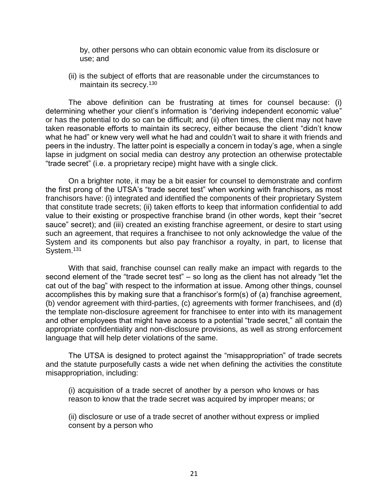by, other persons who can obtain economic value from its disclosure or use; and

(ii) is the subject of efforts that are reasonable under the circumstances to maintain its secrecy.<sup>130</sup>

The above definition can be frustrating at times for counsel because: (i) determining whether your client's information is "deriving independent economic value" or has the potential to do so can be difficult; and (ii) often times, the client may not have taken reasonable efforts to maintain its secrecy, either because the client "didn't know what he had" or knew very well what he had and couldn't wait to share it with friends and peers in the industry. The latter point is especially a concern in today's age, when a single lapse in judgment on social media can destroy any protection an otherwise protectable "trade secret" (i.e. a proprietary recipe) might have with a single click.

On a brighter note, it may be a bit easier for counsel to demonstrate and confirm the first prong of the UTSA's "trade secret test" when working with franchisors, as most franchisors have: (i) integrated and identified the components of their proprietary System that constitute trade secrets; (ii) taken efforts to keep that information confidential to add value to their existing or prospective franchise brand (in other words, kept their "secret sauce" secret); and (iii) created an existing franchise agreement, or desire to start using such an agreement, that requires a franchisee to not only acknowledge the value of the System and its components but also pay franchisor a royalty, in part, to license that System.<sup>131</sup>

With that said, franchise counsel can really make an impact with regards to the second element of the "trade secret test" – so long as the client has not already "let the cat out of the bag" with respect to the information at issue. Among other things, counsel accomplishes this by making sure that a franchisor's form(s) of (a) franchise agreement, (b) vendor agreement with third-parties, (c) agreements with former franchisees, and (d) the template non-disclosure agreement for franchisee to enter into with its management and other employees that might have access to a potential "trade secret," all contain the appropriate confidentiality and non-disclosure provisions, as well as strong enforcement language that will help deter violations of the same.

The UTSA is designed to protect against the "misappropriation" of trade secrets and the statute purposefully casts a wide net when defining the activities the constitute misappropriation, including:

(i) acquisition of a trade secret of another by a person who knows or has reason to know that the trade secret was acquired by improper means; or

(ii) disclosure or use of a trade secret of another without express or implied consent by a person who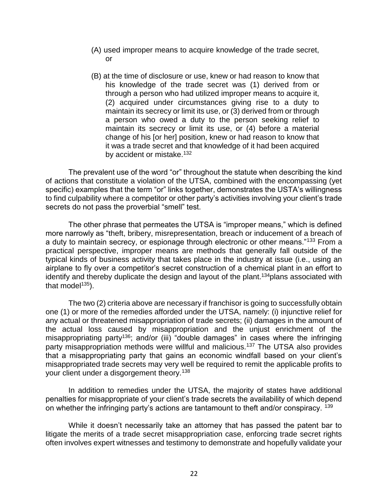- (A) used improper means to acquire knowledge of the trade secret, or
- (B) at the time of disclosure or use, knew or had reason to know that his knowledge of the trade secret was (1) derived from or through a person who had utilized improper means to acquire it, (2) acquired under circumstances giving rise to a duty to maintain its secrecy or limit its use, or (3) derived from or through a person who owed a duty to the person seeking relief to maintain its secrecy or limit its use, or (4) before a material change of his [or her] position, knew or had reason to know that it was a trade secret and that knowledge of it had been acquired by accident or mistake.<sup>132</sup>

The prevalent use of the word "or" throughout the statute when describing the kind of actions that constitute a violation of the UTSA, combined with the encompassing (yet specific) examples that the term "or" links together, demonstrates the USTA's willingness to find culpability where a competitor or other party's activities involving your client's trade secrets do not pass the proverbial "smell" test.

The other phrase that permeates the UTSA is "improper means," which is defined more narrowly as "theft, bribery, misrepresentation, breach or inducement of a breach of a duty to maintain secrecy, or espionage through electronic or other means."<sup>133</sup> From a practical perspective, improper means are methods that generally fall outside of the typical kinds of business activity that takes place in the industry at issue (i.e., using an airplane to fly over a competitor's secret construction of a chemical plant in an effort to identify and thereby duplicate the design and layout of the plant.<sup>134</sup> plans associated with that model $135$ ).

The two (2) criteria above are necessary if franchisor is going to successfully obtain one (1) or more of the remedies afforded under the UTSA, namely: (i) injunctive relief for any actual or threatened misappropriation of trade secrets; (ii) damages in the amount of the actual loss caused by misappropriation and the unjust enrichment of the misappropriating party<sup>136</sup>; and/or (iii) "double damages" in cases where the infringing party misappropriation methods were willful and malicious.<sup>137</sup> The UTSA also provides that a misappropriating party that gains an economic windfall based on your client's misappropriated trade secrets may very well be required to remit the applicable profits to your client under a disgorgement theory.<sup>138</sup>

In addition to remedies under the UTSA, the majority of states have additional penalties for misappropriate of your client's trade secrets the availability of which depend on whether the infringing party's actions are tantamount to theft and/or conspiracy. <sup>139</sup>

While it doesn't necessarily take an attorney that has passed the patent bar to litigate the merits of a trade secret misappropriation case, enforcing trade secret rights often involves expert witnesses and testimony to demonstrate and hopefully validate your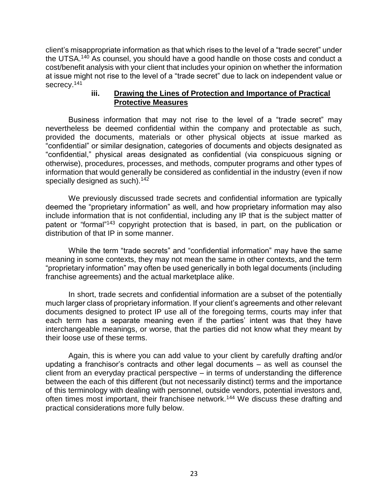client's misappropriate information as that which rises to the level of a "trade secret" under the UTSA.<sup>140</sup> As counsel, you should have a good handle on those costs and conduct a cost/benefit analysis with your client that includes your opinion on whether the information at issue might not rise to the level of a "trade secret" due to lack on independent value or secrecy.<sup>141</sup>

#### **iii. Drawing the Lines of Protection and Importance of Practical Protective Measures**

Business information that may not rise to the level of a "trade secret" may nevertheless be deemed confidential within the company and protectable as such, provided the documents, materials or other physical objects at issue marked as "confidential" or similar designation, categories of documents and objects designated as "confidential," physical areas designated as confidential (via conspicuous signing or otherwise), procedures, processes, and methods, computer programs and other types of information that would generally be considered as confidential in the industry (even if now specially designed as such).<sup>142</sup>

We previously discussed trade secrets and confidential information are typically deemed the "proprietary information" as well, and how proprietary information may also include information that is not confidential, including any IP that is the subject matter of patent or "formal"<sup>143</sup> copyright protection that is based, in part, on the publication or distribution of that IP in some manner.

While the term "trade secrets" and "confidential information" may have the same meaning in some contexts, they may not mean the same in other contexts, and the term "proprietary information" may often be used generically in both legal documents (including franchise agreements) and the actual marketplace alike.

In short, trade secrets and confidential information are a subset of the potentially much larger class of proprietary information. If your client's agreements and other relevant documents designed to protect IP use all of the foregoing terms, courts may infer that each term has a separate meaning even if the parties' intent was that they have interchangeable meanings, or worse, that the parties did not know what they meant by their loose use of these terms.

Again, this is where you can add value to your client by carefully drafting and/or updating a franchisor's contracts and other legal documents – as well as counsel the client from an everyday practical perspective – in terms of understanding the difference between the each of this different (but not necessarily distinct) terms and the importance of this terminology with dealing with personnel, outside vendors, potential investors and, often times most important, their franchisee network.<sup>144</sup> We discuss these drafting and practical considerations more fully below.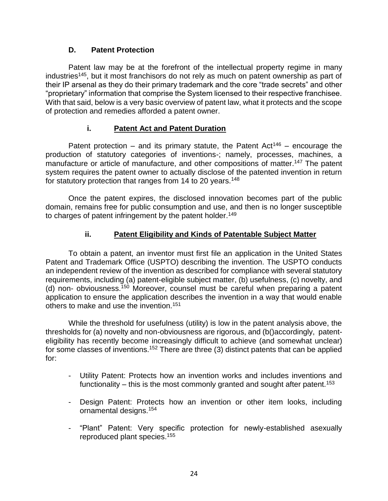# **D. Patent Protection**

Patent law may be at the forefront of the intellectual property regime in many industries<sup>145</sup>, but it most franchisors do not rely as much on patent ownership as part of their IP arsenal as they do their primary trademark and the core "trade secrets" and other "proprietary" information that comprise the System licensed to their respective franchisee. With that said, below is a very basic overview of patent law, what it protects and the scope of protection and remedies afforded a patent owner.

# **i. Patent Act and Patent Duration**

Patent protection – and its primary statute, the Patent Act<sup>146</sup> – encourage the production of statutory categories of inventions-; namely, processes, machines, a manufacture or article of manufacture, and other compositions of matter.<sup>147</sup> The patent system requires the patent owner to actually disclose of the patented invention in return for statutory protection that ranges from 14 to 20 years.<sup>148</sup>

Once the patent expires, the disclosed innovation becomes part of the public domain, remains free for public consumption and use, and then is no longer susceptible to charges of patent infringement by the patent holder.<sup>149</sup>

## **ii. Patent Eligibility and Kinds of Patentable Subject Matter**

To obtain a patent, an inventor must first file an application in the United States Patent and Trademark Office (USPTO) describing the invention. The USPTO conducts an independent review of the invention as described for compliance with several statutory requirements, including (a) patent-eligible subject matter, (b) usefulness, (c) novelty, and (d) non- obviousness.<sup>150</sup> Moreover, counsel must be careful when preparing a patent application to ensure the application describes the invention in a way that would enable others to make and use the invention.<sup>151</sup>

While the threshold for usefulness (utility) is low in the patent analysis above, the thresholds for (a) novelty and non-obviousness are rigorous, and (b()accordingly, patenteligibility has recently become increasingly difficult to achieve (and somewhat unclear) for some classes of inventions.<sup>152</sup> There are three (3) distinct patents that can be applied for:

- Utility Patent: Protects how an invention works and includes inventions and functionality – this is the most commonly granted and sought after patent.<sup>153</sup>
- Design Patent: Protects how an invention or other item looks, including ornamental designs.<sup>154</sup>
- "Plant" Patent: Very specific protection for newly-established asexually reproduced plant species.155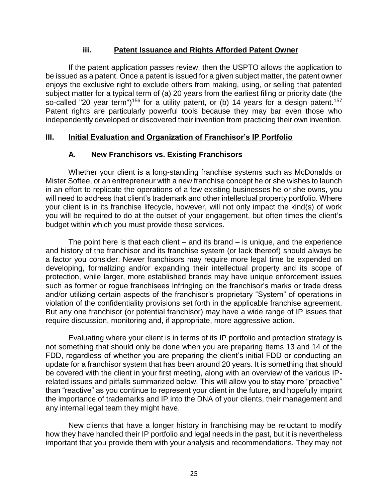## **iii. Patent Issuance and Rights Afforded Patent Owner**

If the patent application passes review, then the USPTO allows the application to be issued as a patent. Once a patent is issued for a given subject matter, the patent owner enjoys the exclusive right to exclude others from making, using, or selling that patented subject matter for a typical term of (a) 20 years from the earliest filing or priority date (the so-called "20 year term")<sup>156</sup> for a utility patent, or (b) 14 years for a design patent.<sup>157</sup> Patent rights are particularly powerful tools because they may bar even those who independently developed or discovered their invention from practicing their own invention.

# **III. Initial Evaluation and Organization of Franchisor's IP Portfolio**

# **A. New Franchisors vs. Existing Franchisors**

Whether your client is a long-standing franchise systems such as McDonalds or Mister Softee, or an entrepreneur with a new franchise concept he or she wishes to launch in an effort to replicate the operations of a few existing businesses he or she owns, you will need to address that client's trademark and other intellectual property portfolio. Where your client is in its franchise lifecycle, however, will not only impact the kind(s) of work you will be required to do at the outset of your engagement, but often times the client's budget within which you must provide these services.

The point here is that each client – and its brand – is unique, and the experience and history of the franchisor and its franchise system (or lack thereof) should always be a factor you consider. Newer franchisors may require more legal time be expended on developing, formalizing and/or expanding their intellectual property and its scope of protection, while larger, more established brands may have unique enforcement issues such as former or rogue franchisees infringing on the franchisor's marks or trade dress and/or utilizing certain aspects of the franchisor's proprietary "System" of operations in violation of the confidentiality provisions set forth in the applicable franchise agreement. But any one franchisor (or potential franchisor) may have a wide range of IP issues that require discussion, monitoring and, if appropriate, more aggressive action.

Evaluating where your client is in terms of its IP portfolio and protection strategy is not something that should only be done when you are preparing Items 13 and 14 of the FDD, regardless of whether you are preparing the client's initial FDD or conducting an update for a franchisor system that has been around 20 years. It is something that should be covered with the client in your first meeting, along with an overview of the various IPrelated issues and pitfalls summarized below. This will allow you to stay more "proactive" than "reactive" as you continue to represent your client in the future, and hopefully imprint the importance of trademarks and IP into the DNA of your clients, their management and any internal legal team they might have.

New clients that have a longer history in franchising may be reluctant to modify how they have handled their IP portfolio and legal needs in the past, but it is nevertheless important that you provide them with your analysis and recommendations. They may not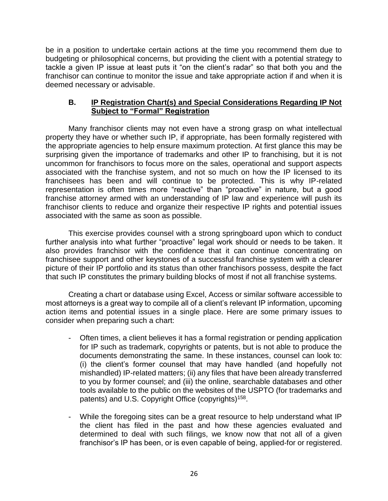be in a position to undertake certain actions at the time you recommend them due to budgeting or philosophical concerns, but providing the client with a potential strategy to tackle a given IP issue at least puts it "on the client's radar" so that both you and the franchisor can continue to monitor the issue and take appropriate action if and when it is deemed necessary or advisable.

# **B. IP Registration Chart(s) and Special Considerations Regarding IP Not Subject to "Formal" Registration**

Many franchisor clients may not even have a strong grasp on what intellectual property they have or whether such IP, if appropriate, has been formally registered with the appropriate agencies to help ensure maximum protection. At first glance this may be surprising given the importance of trademarks and other IP to franchising, but it is not uncommon for franchisors to focus more on the sales, operational and support aspects associated with the franchise system, and not so much on how the IP licensed to its franchisees has been and will continue to be protected. This is why IP-related representation is often times more "reactive" than "proactive" in nature, but a good franchise attorney armed with an understanding of IP law and experience will push its franchisor clients to reduce and organize their respective IP rights and potential issues associated with the same as soon as possible.

This exercise provides counsel with a strong springboard upon which to conduct further analysis into what further "proactive" legal work should or needs to be taken. It also provides franchisor with the confidence that it can continue concentrating on franchisee support and other keystones of a successful franchise system with a clearer picture of their IP portfolio and its status than other franchisors possess, despite the fact that such IP constitutes the primary building blocks of most if not all franchise systems.

Creating a chart or database using Excel, Access or similar software accessible to most attorneys is a great way to compile all of a client's relevant IP information, upcoming action items and potential issues in a single place. Here are some primary issues to consider when preparing such a chart:

- Often times, a client believes it has a formal registration or pending application for IP such as trademark, copyrights or patents, but is not able to produce the documents demonstrating the same. In these instances, counsel can look to: (i) the client's former counsel that may have handled (and hopefully not mishandled) IP-related matters; (ii) any files that have been already transferred to you by former counsel; and (iii) the online, searchable databases and other tools available to the public on the websites of the USPTO (for trademarks and patents) and U.S. Copyright Office (copyrights)<sup>158</sup>.
- While the foregoing sites can be a great resource to help understand what IP the client has filed in the past and how these agencies evaluated and determined to deal with such filings, we know now that not all of a given franchisor's IP has been, or is even capable of being, applied-for or registered.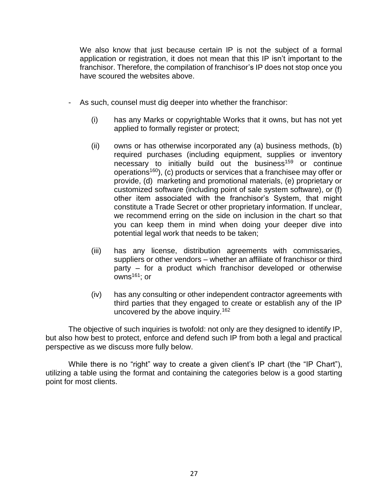We also know that just because certain IP is not the subject of a formal application or registration, it does not mean that this IP isn't important to the franchisor. Therefore, the compilation of franchisor's IP does not stop once you have scoured the websites above.

- As such, counsel must dig deeper into whether the franchisor:
	- (i) has any Marks or copyrightable Works that it owns, but has not yet applied to formally register or protect;
	- (ii) owns or has otherwise incorporated any (a) business methods, (b) required purchases (including equipment, supplies or inventory necessary to initially build out the business<sup>159</sup> or continue operations<sup>160</sup>), (c) products or services that a franchisee may offer or provide, (d) marketing and promotional materials, (e) proprietary or customized software (including point of sale system software), or (f) other item associated with the franchisor's System, that might constitute a Trade Secret or other proprietary information. If unclear, we recommend erring on the side on inclusion in the chart so that you can keep them in mind when doing your deeper dive into potential legal work that needs to be taken;
	- (iii) has any license, distribution agreements with commissaries, suppliers or other vendors – whether an affiliate of franchisor or third party – for a product which franchisor developed or otherwise  $^{-161}$ ; or
	- (iv) has any consulting or other independent contractor agreements with third parties that they engaged to create or establish any of the IP uncovered by the above inquiry. 162

The objective of such inquiries is twofold: not only are they designed to identify IP, but also how best to protect, enforce and defend such IP from both a legal and practical perspective as we discuss more fully below.

While there is no "right" way to create a given client's IP chart (the "IP Chart"), utilizing a table using the format and containing the categories below is a good starting point for most clients.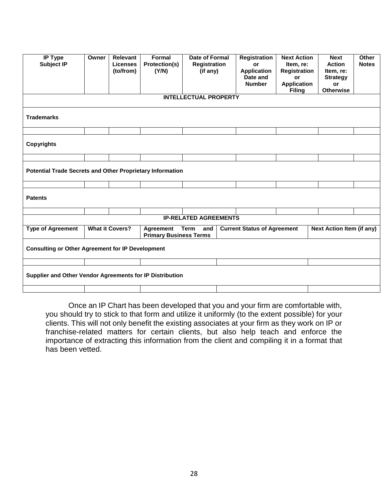| <b>IP Type</b><br><b>Subject IP</b>                              | Owner | Relevant<br><b>Licenses</b><br>(to/from) | Formal<br>Protection(s)<br>(Y/N)                  | <b>Date of Formal</b><br><b>Registration</b><br>(if any) | <b>Registration</b><br>or<br><b>Application</b><br>Date and<br><b>Number</b> | <b>Next Action</b><br>Item, re:<br><b>Registration</b><br>or<br><b>Application</b><br><b>Filing</b> | <b>Next</b><br><b>Action</b><br>Item, re:<br><b>Strategy</b><br>or<br><b>Otherwise</b> | Other<br><b>Notes</b> |
|------------------------------------------------------------------|-------|------------------------------------------|---------------------------------------------------|----------------------------------------------------------|------------------------------------------------------------------------------|-----------------------------------------------------------------------------------------------------|----------------------------------------------------------------------------------------|-----------------------|
|                                                                  |       |                                          |                                                   | <b>INTELLECTUAL PROPERTY</b>                             |                                                                              |                                                                                                     |                                                                                        |                       |
| <b>Trademarks</b>                                                |       |                                          |                                                   |                                                          |                                                                              |                                                                                                     |                                                                                        |                       |
|                                                                  |       |                                          |                                                   |                                                          |                                                                              |                                                                                                     |                                                                                        |                       |
| <b>Copyrights</b>                                                |       |                                          |                                                   |                                                          |                                                                              |                                                                                                     |                                                                                        |                       |
|                                                                  |       |                                          |                                                   |                                                          |                                                                              |                                                                                                     |                                                                                        |                       |
| <b>Potential Trade Secrets and Other Proprietary Information</b> |       |                                          |                                                   |                                                          |                                                                              |                                                                                                     |                                                                                        |                       |
|                                                                  |       |                                          |                                                   |                                                          |                                                                              |                                                                                                     |                                                                                        |                       |
| <b>Patents</b>                                                   |       |                                          |                                                   |                                                          |                                                                              |                                                                                                     |                                                                                        |                       |
|                                                                  |       |                                          |                                                   |                                                          |                                                                              |                                                                                                     |                                                                                        |                       |
|                                                                  |       |                                          |                                                   | <b>IP-RELATED AGREEMENTS</b>                             |                                                                              |                                                                                                     |                                                                                        |                       |
| <b>Type of Agreement</b>                                         |       | <b>What it Covers?</b>                   | <b>Agreement</b><br><b>Primary Business Terms</b> | Term<br>and                                              | <b>Current Status of Agreement</b>                                           |                                                                                                     | <b>Next Action Item (if any)</b>                                                       |                       |
| <b>Consulting or Other Agreement for IP Development</b>          |       |                                          |                                                   |                                                          |                                                                              |                                                                                                     |                                                                                        |                       |
|                                                                  |       |                                          |                                                   |                                                          |                                                                              |                                                                                                     |                                                                                        |                       |
| Supplier and Other Vendor Agreements for IP Distribution         |       |                                          |                                                   |                                                          |                                                                              |                                                                                                     |                                                                                        |                       |
|                                                                  |       |                                          |                                                   |                                                          |                                                                              |                                                                                                     |                                                                                        |                       |

Once an IP Chart has been developed that you and your firm are comfortable with, you should try to stick to that form and utilize it uniformly (to the extent possible) for your clients. This will not only benefit the existing associates at your firm as they work on IP or franchise-related matters for certain clients, but also help teach and enforce the importance of extracting this information from the client and compiling it in a format that has been vetted.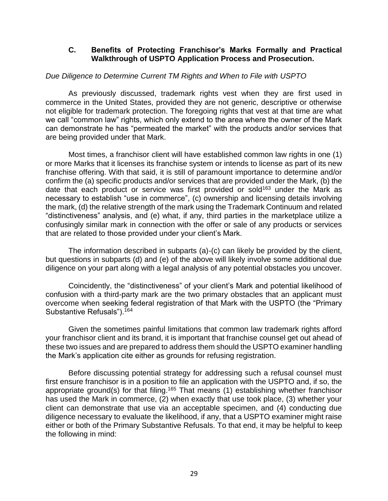#### **C. Benefits of Protecting Franchisor's Marks Formally and Practical Walkthrough of USPTO Application Process and Prosecution.**

#### *Due Diligence to Determine Current TM Rights and When to File with USPTO*

As previously discussed, trademark rights vest when they are first used in commerce in the United States, provided they are not generic, descriptive or otherwise not eligible for trademark protection. The foregoing rights that vest at that time are what we call "common law" rights, which only extend to the area where the owner of the Mark can demonstrate he has "permeated the market" with the products and/or services that are being provided under that Mark.

Most times, a franchisor client will have established common law rights in one (1) or more Marks that it licenses its franchise system or intends to license as part of its new franchise offering. With that said, it is still of paramount importance to determine and/or confirm the (a) specific products and/or services that are provided under the Mark, (b) the date that each product or service was first provided or sold<sup>163</sup> under the Mark as necessary to establish "use in commerce", (c) ownership and licensing details involving the mark, (d) the relative strength of the mark using the Trademark Continuum and related "distinctiveness" analysis, and (e) what, if any, third parties in the marketplace utilize a confusingly similar mark in connection with the offer or sale of any products or services that are related to those provided under your client's Mark.

The information described in subparts (a)-(c) can likely be provided by the client, but questions in subparts (d) and (e) of the above will likely involve some additional due diligence on your part along with a legal analysis of any potential obstacles you uncover.

Coincidently, the "distinctiveness" of your client's Mark and potential likelihood of confusion with a third-party mark are the two primary obstacles that an applicant must overcome when seeking federal registration of that Mark with the USPTO (the "Primary Substantive Refusals").<sup>164</sup>

Given the sometimes painful limitations that common law trademark rights afford your franchisor client and its brand, it is important that franchise counsel get out ahead of these two issues and are prepared to address them should the USPTO examiner handling the Mark's application cite either as grounds for refusing registration.

Before discussing potential strategy for addressing such a refusal counsel must first ensure franchisor is in a position to file an application with the USPTO and, if so, the appropriate ground(s) for that filing.<sup>165</sup> That means (1) establishing whether franchisor has used the Mark in commerce,  $(2)$  when exactly that use took place, (3) whether your client can demonstrate that use via an acceptable specimen, and (4) conducting due diligence necessary to evaluate the likelihood, if any, that a USPTO examiner might raise either or both of the Primary Substantive Refusals. To that end, it may be helpful to keep the following in mind: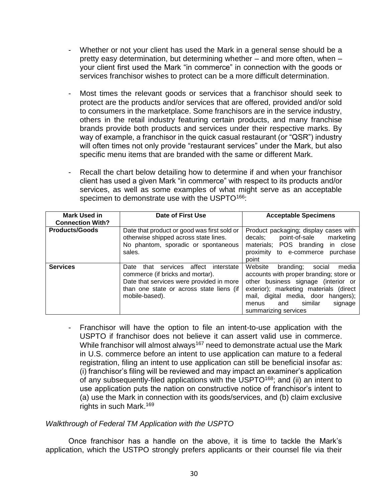- Whether or not your client has used the Mark in a general sense should be a pretty easy determination, but determining whether – and more often, when – your client first used the Mark "in commerce" in connection with the goods or services franchisor wishes to protect can be a more difficult determination.
- Most times the relevant goods or services that a franchisor should seek to protect are the products and/or services that are offered, provided and/or sold to consumers in the marketplace. Some franchisors are in the service industry, others in the retail industry featuring certain products, and many franchise brands provide both products and services under their respective marks. By way of example, a franchisor in the quick casual restaurant (or "QSR") industry will often times not only provide "restaurant services" under the Mark, but also specific menu items that are branded with the same or different Mark.
- Recall the chart below detailing how to determine if and when your franchisor client has used a given Mark "in commerce" with respect to its products and/or services, as well as some examples of what might serve as an acceptable specimen to demonstrate use with the USPTO<sup>166</sup>:

| <b>Mark Used in</b><br><b>Connection With?</b> | Date of First Use                                                                                                                                                                              | <b>Acceptable Specimens</b>                                                                                                                                                                                                                                              |
|------------------------------------------------|------------------------------------------------------------------------------------------------------------------------------------------------------------------------------------------------|--------------------------------------------------------------------------------------------------------------------------------------------------------------------------------------------------------------------------------------------------------------------------|
| <b>Products/Goods</b>                          | Date that product or good was first sold or<br>otherwise shipped across state lines.<br>No phantom, sporadic or spontaneous<br>sales.                                                          | Product packaging; display cases with<br>point-of-sale<br>decals;<br>marketing<br>materials; POS branding<br>in close<br>proximity to e-commerce<br>purchase<br>point                                                                                                    |
| <b>Services</b>                                | affect<br>interstate<br>services<br>Date<br>that<br>commerce (if bricks and mortar).<br>Date that services were provided in more<br>than one state or across state liens (if<br>mobile-based). | Website<br>social<br>branding;<br>media<br>accounts with proper branding; store or<br>other business signage (interior or<br>exterior); marketing materials (direct<br>mail, digital media, door hangers);<br>similar<br>signage<br>and<br>menus<br>summarizing services |

- Franchisor will have the option to file an intent-to-use application with the USPTO if franchisor does not believe it can assert valid use in commerce. While franchisor will almost always<sup>167</sup> need to demonstrate actual use the Mark in U.S. commerce before an intent to use application can mature to a federal registration, filing an intent to use application can still be beneficial insofar as: (i) franchisor's filing will be reviewed and may impact an examiner's application of any subsequently-filed applications with the USPTO<sup>168</sup>; and (ii) an intent to use application puts the nation on constructive notice of franchisor's intent to (a) use the Mark in connection with its goods/services, and (b) claim exclusive rights in such Mark.<sup>169</sup>

#### *Walkthrough of Federal TM Application with the USPTO*

Once franchisor has a handle on the above, it is time to tackle the Mark's application, which the USTPO strongly prefers applicants or their counsel file via their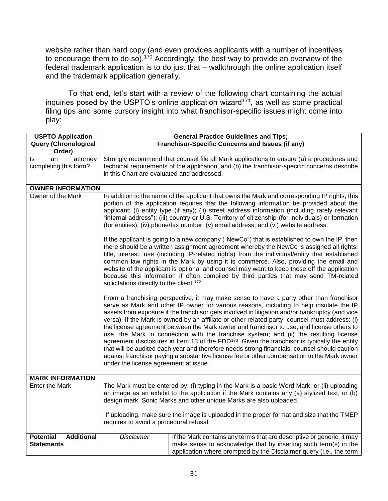website rather than hard copy (and even provides applicants with a number of incentives to encourage them to do so). <sup>170</sup> Accordingly, the best way to provide an overview of the federal trademark application is to do just that – walkthrough the online application itself and the trademark application generally.

To that end, let's start with a review of the following chart containing the actual inquiries posed by the USPTO's online application wizard $171$ , as well as some practical filing tips and some cursory insight into what franchisor-specific issues might come into play:

| <b>USPTO Application</b><br><b>Query (Chronological</b>    |                                                                                                                                                                                                                                                                                                                                                                                                                                                                                                                                   | <b>General Practice Guidelines and Tips;</b><br>Franchisor-Specific Concerns and Issues (if any)                                                                                                                                                                                                                                                                                                                                                                                                                                                                                                                                                                                                                                                                                                                                                                                |  |
|------------------------------------------------------------|-----------------------------------------------------------------------------------------------------------------------------------------------------------------------------------------------------------------------------------------------------------------------------------------------------------------------------------------------------------------------------------------------------------------------------------------------------------------------------------------------------------------------------------|---------------------------------------------------------------------------------------------------------------------------------------------------------------------------------------------------------------------------------------------------------------------------------------------------------------------------------------------------------------------------------------------------------------------------------------------------------------------------------------------------------------------------------------------------------------------------------------------------------------------------------------------------------------------------------------------------------------------------------------------------------------------------------------------------------------------------------------------------------------------------------|--|
| Order)                                                     |                                                                                                                                                                                                                                                                                                                                                                                                                                                                                                                                   |                                                                                                                                                                                                                                                                                                                                                                                                                                                                                                                                                                                                                                                                                                                                                                                                                                                                                 |  |
| attorney<br>ls<br>an<br>completing this form?              | Strongly recommend that counsel file all Mark applications to ensure (a) a procedures and<br>technical requirements of the application, and (b) the franchisor-specific concerns describe<br>in this Chart are evaluated and addressed.                                                                                                                                                                                                                                                                                           |                                                                                                                                                                                                                                                                                                                                                                                                                                                                                                                                                                                                                                                                                                                                                                                                                                                                                 |  |
|                                                            |                                                                                                                                                                                                                                                                                                                                                                                                                                                                                                                                   |                                                                                                                                                                                                                                                                                                                                                                                                                                                                                                                                                                                                                                                                                                                                                                                                                                                                                 |  |
| <b>OWNER INFORMATION</b>                                   |                                                                                                                                                                                                                                                                                                                                                                                                                                                                                                                                   |                                                                                                                                                                                                                                                                                                                                                                                                                                                                                                                                                                                                                                                                                                                                                                                                                                                                                 |  |
| Owner of the Mark                                          |                                                                                                                                                                                                                                                                                                                                                                                                                                                                                                                                   | In addition to the name of the applicant that owns the Mark and corresponding IP rights, this<br>portion of the application requires that the following information be provided about the<br>applicant: (i) entity type (if any); (ii) street address information (including rarely relevant<br>"internal address"); (iii) country or U.S. Territory of citizenship (for individuals) or formation<br>(for entities); (iv) phone/fax number; (v) email address; and (vi) website address.<br>If the applicant is going to a new company ("NewCo") that is established to own the IP, then                                                                                                                                                                                                                                                                                       |  |
|                                                            | there should be a written assignment agreement whereby the NewCo is assigned all rights,<br>title, interest, use (including IP-related rights) from the individual/entity that established<br>common law rights in the Mark by using it is commerce. Also, providing the email and<br>website of the applicant is optional and counsel may want to keep these off the application<br>because this information if often compiled by third parties that may send TM-related<br>solicitations directly to the client. <sup>172</sup> |                                                                                                                                                                                                                                                                                                                                                                                                                                                                                                                                                                                                                                                                                                                                                                                                                                                                                 |  |
|                                                            | under the license agreement at issue.                                                                                                                                                                                                                                                                                                                                                                                                                                                                                             | From a franchising perspective, it may make sense to have a party other than franchisor<br>serve as Mark and other IP owner for various reasons, including to help insulate the IP<br>assets from exposure if the franchisor gets involved in litigation and/or bankruptcy (and vice<br>versa). If the Mark is owned by an affiliate or other related party, counsel must address: (i)<br>the license agreement between the Mark owner and franchisor to use, and license others to<br>use, the Mark in connection with the franchise system; and (ii) the resulting license<br>agreement disclosures in Item 13 of the FDD $173$ . Given the franchisor is typically the entity<br>that will be audited each year and therefore needs strong financials, counsel should caution<br>against franchisor paying a substantive license fee or other compensation to the Mark owner |  |
| <b>MARK INFORMATION</b>                                    |                                                                                                                                                                                                                                                                                                                                                                                                                                                                                                                                   |                                                                                                                                                                                                                                                                                                                                                                                                                                                                                                                                                                                                                                                                                                                                                                                                                                                                                 |  |
| <b>Enter the Mark</b>                                      | The Mark must be entered by: (i) typing in the Mark is a basic Word Mark; or (ii) uploading<br>an image as an exhibit to the application if the Mark contains any (a) stylized text, or (b)<br>design mark. Sonic Marks and other unique Marks are also uploaded.<br>If uploading, make sure the image is uploaded in the proper format and size that the TMEP<br>requires to avoid a procedural refusal.                                                                                                                         |                                                                                                                                                                                                                                                                                                                                                                                                                                                                                                                                                                                                                                                                                                                                                                                                                                                                                 |  |
| <b>Additional</b><br><b>Potential</b><br><b>Statements</b> | <b>Disclaimer</b>                                                                                                                                                                                                                                                                                                                                                                                                                                                                                                                 | If the Mark contains any terms that are descriptive or generic, it may<br>make sense to acknowledge that by inserting such term(s) in the<br>application where prompted by the Disclaimer query (i.e., the term                                                                                                                                                                                                                                                                                                                                                                                                                                                                                                                                                                                                                                                                 |  |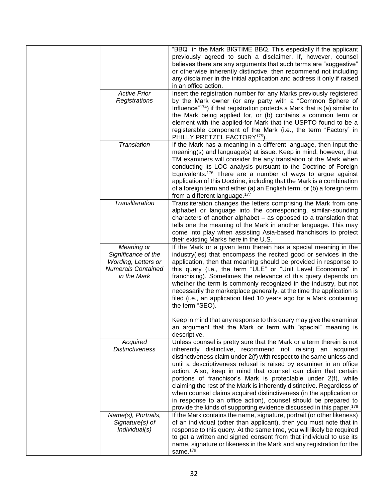|                                                                                                      | "BBQ" in the Mark BIGTIME BBQ. This especially if the applicant<br>previously agreed to such a disclaimer. If, however, counsel<br>believes there are any arguments that such terms are "suggestive"<br>or otherwise inherently distinctive, then recommend not including<br>any disclaimer in the initial application and address it only if raised<br>in an office action.                                                                                                                                                                                                                                                                                                                                                |
|------------------------------------------------------------------------------------------------------|-----------------------------------------------------------------------------------------------------------------------------------------------------------------------------------------------------------------------------------------------------------------------------------------------------------------------------------------------------------------------------------------------------------------------------------------------------------------------------------------------------------------------------------------------------------------------------------------------------------------------------------------------------------------------------------------------------------------------------|
| <b>Active Prior</b><br>Registrations                                                                 | Insert the registration number for any Marks previously registered<br>by the Mark owner (or any party with a "Common Sphere of<br>Influence" <sup>174</sup> ) if that registration protects a Mark that is (a) similar to                                                                                                                                                                                                                                                                                                                                                                                                                                                                                                   |
|                                                                                                      | the Mark being applied for, or (b) contains a common term or<br>element with the applied-for Mark that the USPTO found to be a<br>registerable component of the Mark (i.e., the term "Factory" in<br>PHILLY PRETZEL FACTORY <sup>175</sup> ).                                                                                                                                                                                                                                                                                                                                                                                                                                                                               |
| Translation                                                                                          | If the Mark has a meaning in a different language, then input the<br>meaning(s) and language(s) at issue. Keep in mind, however, that<br>TM examiners will consider the any translation of the Mark when<br>conducting its LOC analysis pursuant to the Doctrine of Foreign<br>Equivalents. <sup>176</sup> There are a number of ways to argue against<br>application of this Doctrine, including that the Mark is a combination<br>of a foreign term and either (a) an English term, or (b) a foreign term<br>from a different language. <sup>177</sup>                                                                                                                                                                    |
| <b>Transliteration</b>                                                                               | Transliteration changes the letters comprising the Mark from one<br>alphabet or language into the corresponding, similar-sounding<br>characters of another alphabet - as opposed to a translation that<br>tells one the meaning of the Mark in another language. This may<br>come into play when assisting Asia-based franchisors to protect<br>their existing Marks here in the U.S.                                                                                                                                                                                                                                                                                                                                       |
| Meaning or<br>Significance of the<br>Wording, Letters or<br><b>Numerals Contained</b><br>in the Mark | If the Mark or a given term therein has a special meaning in the<br>industry(ies) that encompass the recited good or services in the<br>application, then that meaning should be provided in response to<br>this query (i.e., the term "ULE" or "Unit Level Economics" in<br>franchising). Sometimes the relevance of this query depends on<br>whether the term is commonly recognized in the industry, but not<br>necessarily the marketplace generally, at the time the application is<br>filed (i.e., an application filed 10 years ago for a Mark containing<br>the term "SEO).                                                                                                                                         |
|                                                                                                      | Keep in mind that any response to this query may give the examiner<br>an argument that the Mark or term with "special" meaning is<br>descriptive.                                                                                                                                                                                                                                                                                                                                                                                                                                                                                                                                                                           |
| Acquired<br><b>Distinctiveness</b>                                                                   | Unless counsel is pretty sure that the Mark or a term therein is not<br>inherently distinctive, recommend not raising an acquired<br>distinctiveness claim under 2(f) with respect to the same unless and<br>until a descriptiveness refusal is raised by examiner in an office<br>action. Also, keep in mind that counsel can claim that certain<br>portions of franchisor's Mark is protectable under 2(f), while<br>claiming the rest of the Mark is inherently distinctive. Regardless of<br>when counsel claims acquired distinctiveness (in the application or<br>in response to an office action), counsel should be prepared to<br>provide the kinds of supporting evidence discussed in this paper. <sup>178</sup> |
| Name(s), Portraits,<br>Signature(s) of<br>Individual(s)                                              | If the Mark contains the name, signature, portrait (or other likeness)<br>of an individual (other than applicant), then you must note that in<br>response to this query. At the same time, you will likely be required<br>to get a written and signed consent from that individual to use its<br>name, signature or likeness in the Mark and any registration for the<br>same. <sup>179</sup>                                                                                                                                                                                                                                                                                                                               |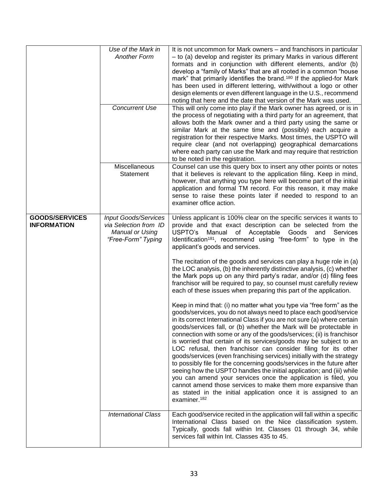|                                             | Use of the Mark in<br><b>Another Form</b><br><b>Concurrent Use</b>                            | It is not uncommon for Mark owners – and franchisors in particular<br>- to (a) develop and register its primary Marks in various different<br>formats and in conjunction with different elements, and/or (b)<br>develop a "family of Marks" that are all rooted in a common "house<br>mark" that primarily identifies the brand. <sup>180</sup> If the applied-for Mark<br>has been used in different lettering, with/without a logo or other<br>design elements or even different language in the U.S., recommend<br>noting that here and the date that version of the Mark was used.<br>This will only come into play if the Mark owner has agreed, or is in<br>the process of negotiating with a third party for an agreement, that                                                                                                                                                                                                                                      |
|---------------------------------------------|-----------------------------------------------------------------------------------------------|-----------------------------------------------------------------------------------------------------------------------------------------------------------------------------------------------------------------------------------------------------------------------------------------------------------------------------------------------------------------------------------------------------------------------------------------------------------------------------------------------------------------------------------------------------------------------------------------------------------------------------------------------------------------------------------------------------------------------------------------------------------------------------------------------------------------------------------------------------------------------------------------------------------------------------------------------------------------------------|
|                                             |                                                                                               | allows both the Mark owner and a third party using the same or<br>similar Mark at the same time and (possibly) each acquire a<br>registration for their respective Marks. Most times, the USPTO will<br>require clear (and not overlapping) geographical demarcations<br>where each party can use the Mark and may require that restriction<br>to be noted in the registration.                                                                                                                                                                                                                                                                                                                                                                                                                                                                                                                                                                                             |
|                                             | Miscellaneous<br>Statement                                                                    | Counsel can use this query box to insert any other points or notes<br>that it believes is relevant to the application filing. Keep in mind,<br>however, that anything you type here will become part of the initial<br>application and formal TM record. For this reason, it may make<br>sense to raise these points later if needed to respond to an<br>examiner office action.                                                                                                                                                                                                                                                                                                                                                                                                                                                                                                                                                                                            |
| <b>GOODS/SERVICES</b><br><b>INFORMATION</b> | <b>Input Goods/Services</b><br>via Selection from ID<br>Manual or Using<br>"Free-Form" Typing | Unless applicant is 100% clear on the specific services it wants to<br>provide and that exact description can be selected from the<br>USPTO's Manual of Acceptable Goods<br>and<br>Services<br>Identification <sup>181</sup> , recommend using "free-form" to type in the<br>applicant's goods and services.                                                                                                                                                                                                                                                                                                                                                                                                                                                                                                                                                                                                                                                                |
|                                             |                                                                                               | The recitation of the goods and services can play a huge role in (a)<br>the LOC analysis, (b) the inherently distinctive analysis, (c) whether<br>the Mark pops up on any third party's radar, and/or (d) filing fees<br>franchisor will be required to pay, so counsel must carefully review<br>each of these issues when preparing this part of the application.                                                                                                                                                                                                                                                                                                                                                                                                                                                                                                                                                                                                          |
|                                             |                                                                                               | Keep in mind that: (i) no matter what you type via "free form" as the<br>goods/services, you do not always need to place each good/service<br>in its correct International Class if you are not sure (a) where certain<br>goods/services fall, or (b) whether the Mark will be protectable in<br>connection with some or any of the goods/services; (ii) is franchisor<br>is worried that certain of its services/goods may be subject to an<br>LOC refusal, then franchisor can consider filing for its other<br>goods/services (even franchising services) initially with the strategy<br>to possibly file for the concerning goods/services in the future after<br>seeing how the USPTO handles the initial application; and (iii) while<br>you can amend your services once the application is filed, you<br>cannot amend those services to make them more expansive than<br>as stated in the initial application once it is assigned to an<br>examiner. <sup>182</sup> |
|                                             | <b>International Class</b>                                                                    | Each good/service recited in the application will fall within a specific<br>International Class based on the Nice classification system.<br>Typically, goods fall within Int. Classes 01 through 34, while<br>services fall within Int. Classes 435 to 45.                                                                                                                                                                                                                                                                                                                                                                                                                                                                                                                                                                                                                                                                                                                  |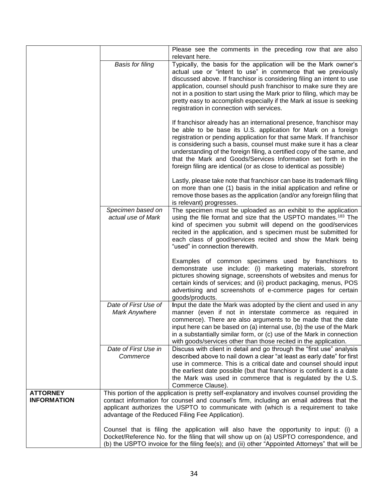|                                       |                                                                                                                                                                                                                                                                                                                                     | Please see the comments in the preceding row that are also<br>relevant here.                                                                                                                                                                                                                                                                                                                                                                                                                          |
|---------------------------------------|-------------------------------------------------------------------------------------------------------------------------------------------------------------------------------------------------------------------------------------------------------------------------------------------------------------------------------------|-------------------------------------------------------------------------------------------------------------------------------------------------------------------------------------------------------------------------------------------------------------------------------------------------------------------------------------------------------------------------------------------------------------------------------------------------------------------------------------------------------|
|                                       | <b>Basis for filing</b>                                                                                                                                                                                                                                                                                                             | Typically, the basis for the application will be the Mark owner's<br>actual use or "intent to use" in commerce that we previously<br>discussed above. If franchisor is considering filing an intent to use<br>application, counsel should push franchisor to make sure they are<br>not in a position to start using the Mark prior to filing, which may be<br>pretty easy to accomplish especially if the Mark at issue is seeking<br>registration in connection with services.                       |
|                                       |                                                                                                                                                                                                                                                                                                                                     | If franchisor already has an international presence, franchisor may<br>be able to be base its U.S. application for Mark on a foreign<br>registration or pending application for that same Mark. If franchisor<br>is considering such a basis, counsel must make sure it has a clear<br>understanding of the foreign filing, a certified copy of the same, and<br>that the Mark and Goods/Services Information set forth in the<br>foreign filing are identical (or as close to identical as possible) |
|                                       |                                                                                                                                                                                                                                                                                                                                     | Lastly, please take note that franchisor can base its trademark filing<br>on more than one (1) basis in the initial application and refine or<br>remove those bases as the application (and/or any foreign filing that<br>is relevant) progresses.                                                                                                                                                                                                                                                    |
|                                       | Specimen based on<br>actual use of Mark                                                                                                                                                                                                                                                                                             | The specimen must be uploaded as an exhibit to the application<br>using the file format and size that the USPTO mandates. <sup>183</sup> The<br>kind of specimen you submit will depend on the good/services<br>recited in the application, and s specimen must be submitted for<br>each class of good/services recited and show the Mark being<br>"used" in connection therewith.                                                                                                                    |
|                                       |                                                                                                                                                                                                                                                                                                                                     | Examples of common specimens used by franchisors to<br>demonstrate use include: (i) marketing materials, storefront<br>pictures showing signage, screenshots of websites and menus for<br>certain kinds of services; and (ii) product packaging, menus, POS<br>advertising and screenshots of e-commerce pages for certain<br>goods/products.                                                                                                                                                         |
|                                       | Date of First Use of<br>Mark Anywhere                                                                                                                                                                                                                                                                                               | Input the date the Mark was adopted by the client and used in any<br>manner (even if not in interstate commerce as required in<br>commerce). There are also arguments to be made that the date<br>input here can be based on (a) internal use, (b) the use of the Mark<br>in a substantially similar form, or (c) use of the Mark in connection<br>with goods/services other than those recited in the application.                                                                                   |
|                                       | Date of First Use in<br>Commerce                                                                                                                                                                                                                                                                                                    | Discuss with client in detail and go through the "first use" analysis<br>described above to nail down a clear "at least as early date" for first<br>use in commerce. This is a critical date and counsel should input<br>the earliest date possible (but that franchisor is confident is a date<br>the Mark was used in commerce that is regulated by the U.S.<br>Commerce Clause).                                                                                                                   |
| <b>ATTORNEY</b><br><b>INFORMATION</b> | This portion of the application is pretty self-explanatory and involves counsel providing the<br>contact information for counsel and counsel's firm, including an email address that the<br>applicant authorizes the USPTO to communicate with (which is a requirement to take<br>advantage of the Reduced Filing Fee Application). |                                                                                                                                                                                                                                                                                                                                                                                                                                                                                                       |
|                                       |                                                                                                                                                                                                                                                                                                                                     | Counsel that is filing the application will also have the opportunity to input: (i) a<br>Docket/Reference No. for the filing that will show up on (a) USPTO correspondence, and<br>(b) the USPTO invoice for the filing fee(s); and (ii) other "Appointed Attorneys" that will be                                                                                                                                                                                                                     |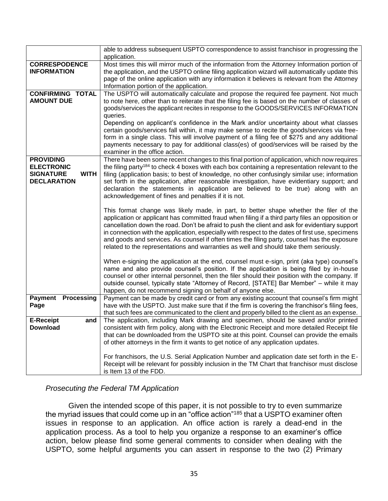|                                 | able to address subsequent USPTO correspondence to assist franchisor in progressing the<br>application.                                                                                    |  |  |
|---------------------------------|--------------------------------------------------------------------------------------------------------------------------------------------------------------------------------------------|--|--|
| <b>CORRESPODENCE</b>            | Most times this will mirror much of the information from the Attorney Information portion of                                                                                               |  |  |
| <b>INFORMATION</b>              | the application, and the USPTO online filing application wizard will automatically update this                                                                                             |  |  |
|                                 | page of the online application with any information it believes is relevant from the Attorney<br>Information portion of the application.                                                   |  |  |
| <b>CONFIRMING TOTAL</b>         | The USPTO will automatically calculate and propose the required fee payment. Not much                                                                                                      |  |  |
| <b>AMOUNT DUE</b>               | to note here, other than to reiterate that the filing fee is based on the number of classes of                                                                                             |  |  |
|                                 | goods/services the applicant recites in response to the GOODS/SERVICES INFORMATION                                                                                                         |  |  |
|                                 | queries.<br>Depending on applicant's confidence in the Mark and/or uncertainty about what classes                                                                                          |  |  |
|                                 | certain goods/services fall within, it may make sense to recite the goods/services via free-                                                                                               |  |  |
|                                 | form in a single class. This will involve payment of a filing fee of \$275 and any additional                                                                                              |  |  |
|                                 | payments necessary to pay for additional class(es) of good/services will be raised by the<br>examiner in the office action.                                                                |  |  |
| <b>PROVIDING</b>                | There have been some recent changes to this final portion of application, which now requires                                                                                               |  |  |
| <b>ELECTRONIC</b>               | the filing party <sup>184</sup> to check 4 boxes with each box containing a representation relevant to the                                                                                 |  |  |
| <b>SIGNATURE</b><br><b>WITH</b> | filing (application basis; to best of knowledge, no other confusingly similar use; information                                                                                             |  |  |
| <b>DECLARATION</b>              | set forth in the application, after reasonable investigation, have evidentiary support; and<br>declaration the statements in application are believed to be true) along with an            |  |  |
|                                 | acknowledgement of fines and penalties if it is not.                                                                                                                                       |  |  |
|                                 |                                                                                                                                                                                            |  |  |
|                                 | This format change was likely made, in part, to better shape whether the filer of the<br>application or applicant has committed fraud when filing if a third party files an opposition or  |  |  |
|                                 | cancellation down the road. Don't be afraid to push the client and ask for evidentiary support                                                                                             |  |  |
|                                 | in connection with the application, especially with respect to the dates of first use, specimens                                                                                           |  |  |
|                                 | and goods and services. As counsel if often times the filing party, counsel has the exposure                                                                                               |  |  |
|                                 | related to the representations and warranties as well and should take them seriously.                                                                                                      |  |  |
|                                 | When e-signing the application at the end, counsel must e-sign, print (aka type) counsel's                                                                                                 |  |  |
|                                 | name and also provide counsel's position. If the application is being filed by in-house                                                                                                    |  |  |
|                                 | counsel or other internal personnel, then the filer should their position with the company. If<br>outside counsel, typically state "Attorney of Record, [STATE] Bar Member" - while it may |  |  |
|                                 | happen, do not recommend signing on behalf of anyone else.                                                                                                                                 |  |  |
| <b>Payment Processing</b>       | Payment can be made by credit card or from any existing account that counsel's firm might                                                                                                  |  |  |
| Page                            | have with the USPTO. Just make sure that if the firm is covering the franchisor's filing fees,                                                                                             |  |  |
| <b>E-Receipt</b><br>and         | that such fees are communicated to the client and properly billed to the client as an expense.<br>The application, including Mark drawing and specimen, should be saved and/or printed     |  |  |
| <b>Download</b>                 | consistent with firm policy, along with the Electronic Receipt and more detailed Receipt file                                                                                              |  |  |
|                                 | that can be downloaded from the USPTO site at this point. Counsel can provide the emails                                                                                                   |  |  |
|                                 | of other attorneys in the firm it wants to get notice of any application updates.                                                                                                          |  |  |
|                                 | For franchisors, the U.S. Serial Application Number and application date set forth in the E-                                                                                               |  |  |
|                                 | Receipt will be relevant for possibly inclusion in the TM Chart that franchisor must disclose                                                                                              |  |  |
|                                 | is Item 13 of the FDD.                                                                                                                                                                     |  |  |

#### *Prosecuting the Federal TM Application*

Given the intended scope of this paper, it is not possible to try to even summarize the myriad issues that could come up in an "office action"<sup>185</sup> that a USPTO examiner often issues in response to an application. An office action is rarely a dead-end in the application process. As a tool to help you organize a response to an examiner's office action, below please find some general comments to consider when dealing with the USPTO, some helpful arguments you can assert in response to the two (2) Primary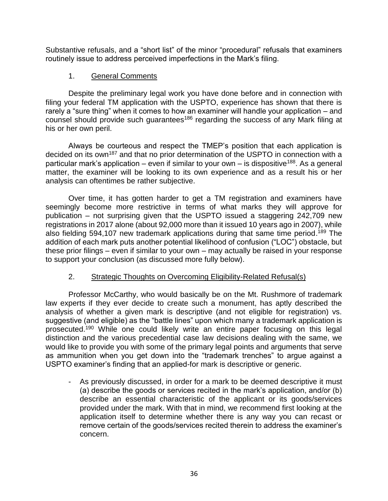Substantive refusals, and a "short list" of the minor "procedural" refusals that examiners routinely issue to address perceived imperfections in the Mark's filing.

## 1. General Comments

Despite the preliminary legal work you have done before and in connection with filing your federal TM application with the USPTO, experience has shown that there is rarely a "sure thing" when it comes to how an examiner will handle your application – and counsel should provide such guarantees<sup>186</sup> regarding the success of any Mark filing at his or her own peril.

Always be courteous and respect the TMEP's position that each application is decided on its own<sup>187</sup> and that no prior determination of the USPTO in connection with a particular mark's application – even if similar to your own – is dispositive<sup>188</sup>. As a general matter, the examiner will be looking to its own experience and as a result his or her analysis can oftentimes be rather subjective.

Over time, it has gotten harder to get a TM registration and examiners have seemingly become more restrictive in terms of what marks they will approve for publication – not surprising given that the USPTO issued a staggering 242,709 new registrations in 2017 alone (about 92,000 more than it issued 10 years ago in 2007), while also fielding 594,107 new trademark applications during that same time period.<sup>189</sup> The addition of each mark puts another potential likelihood of confusion ("LOC") obstacle, but these prior filings – even if similar to your own – may actually be raised in your response to support your conclusion (as discussed more fully below).

## 2. Strategic Thoughts on Overcoming Eligibility-Related Refusal(s)

Professor McCarthy, who would basically be on the Mt. Rushmore of trademark law experts if they ever decide to create such a monument, has aptly described the analysis of whether a given mark is descriptive (and not eligible for registration) vs. suggestive (and eligible) as the "battle lines" upon which many a trademark application is prosecuted.<sup>190</sup> While one could likely write an entire paper focusing on this legal distinction and the various precedential case law decisions dealing with the same, we would like to provide you with some of the primary legal points and arguments that serve as ammunition when you get down into the "trademark trenches" to argue against a USPTO examiner's finding that an applied-for mark is descriptive or generic.

- As previously discussed, in order for a mark to be deemed descriptive it must (a) describe the goods or services recited in the mark's application, and/or (b) describe an essential characteristic of the applicant or its goods/services provided under the mark. With that in mind, we recommend first looking at the application itself to determine whether there is any way you can recast or remove certain of the goods/services recited therein to address the examiner's concern.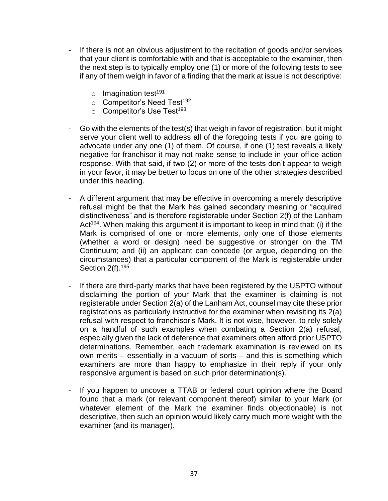- If there is not an obvious adjustment to the recitation of goods and/or services that your client is comfortable with and that is acceptable to the examiner, then the next step is to typically employ one (1) or more of the following tests to see if any of them weigh in favor of a finding that the mark at issue is not descriptive:
	- $\circ$  Imagination test<sup>191</sup>
	- o Competitor's Need Test<sup>192</sup>
	- $\circ$  Competitor's Use Test<sup>193</sup>
- Go with the elements of the test(s) that weigh in favor of registration, but it might serve your client well to address all of the foregoing tests if you are going to advocate under any one (1) of them. Of course, if one (1) test reveals a likely negative for franchisor it may not make sense to include in your office action response. With that said, if two (2) or more of the tests don't appear to weigh in your favor, it may be better to focus on one of the other strategies described under this heading.
- A different argument that may be effective in overcoming a merely descriptive refusal might be that the Mark has gained secondary meaning or "acquired distinctiveness" and is therefore registerable under Section 2(f) of the Lanham Act<sup>194</sup>. When making this argument it is important to keep in mind that: (i) if the Mark is comprised of one or more elements, only one of those elements (whether a word or design) need be suggestive or stronger on the TM Continuum; and (ii) an applicant can concede (or argue, depending on the circumstances) that a particular component of the Mark is registerable under Section 2(f).<sup>195</sup>
- If there are third-party marks that have been registered by the USPTO without disclaiming the portion of your Mark that the examiner is claiming is not registerable under Section 2(a) of the Lanham Act, counsel may cite these prior registrations as particularly instructive for the examiner when revisiting its 2(a) refusal with respect to franchisor's Mark. It is not wise, however, to rely solely on a handful of such examples when combating a Section 2(a) refusal, especially given the lack of deference that examiners often afford prior USPTO determinations. Remember, each trademark examination is reviewed on its own merits – essentially in a vacuum of sorts – and this is something which examiners are more than happy to emphasize in their reply if your only responsive argument is based on such prior determination(s).
- If you happen to uncover a TTAB or federal court opinion where the Board found that a mark (or relevant component thereof) similar to your Mark (or whatever element of the Mark the examiner finds objectionable) is not descriptive, then such an opinion would likely carry much more weight with the examiner (and its manager).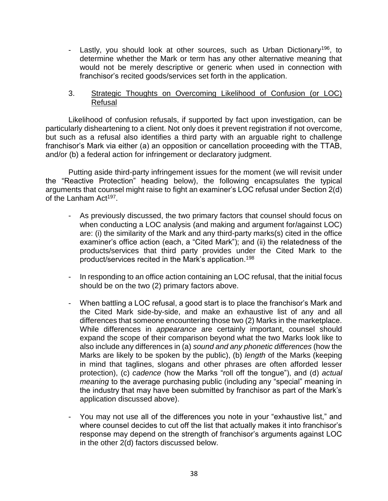- Lastly, you should look at other sources, such as Urban Dictionary<sup>196</sup>, to determine whether the Mark or term has any other alternative meaning that would not be merely descriptive or generic when used in connection with franchisor's recited goods/services set forth in the application.

## 3. Strategic Thoughts on Overcoming Likelihood of Confusion (or LOC) Refusal

Likelihood of confusion refusals, if supported by fact upon investigation, can be particularly disheartening to a client. Not only does it prevent registration if not overcome, but such as a refusal also identifies a third party with an arguable right to challenge franchisor's Mark via either (a) an opposition or cancellation proceeding with the TTAB, and/or (b) a federal action for infringement or declaratory judgment.

Putting aside third-party infringement issues for the moment (we will revisit under the "Reactive Protection" heading below), the following encapsulates the typical arguments that counsel might raise to fight an examiner's LOC refusal under Section 2(d) of the Lanham Act<sup>197</sup>.

- As previously discussed, the two primary factors that counsel should focus on when conducting a LOC analysis (and making and argument for/against LOC) are: (i) the similarity of the Mark and any third-party marks(s) cited in the office examiner's office action (each, a "Cited Mark"); and (ii) the relatedness of the products/services that third party provides under the Cited Mark to the product/services recited in the Mark's application.<sup>198</sup>
- In responding to an office action containing an LOC refusal, that the initial focus should be on the two (2) primary factors above.
- When battling a LOC refusal, a good start is to place the franchisor's Mark and the Cited Mark side-by-side, and make an exhaustive list of any and all differences that someone encountering those two (2) Marks in the marketplace. While differences in *appearance* are certainly important, counsel should expand the scope of their comparison beyond what the two Marks look like to also include any differences in (a) *sound and any phonetic differences* (how the Marks are likely to be spoken by the public), (b) *length* of the Marks (keeping in mind that taglines, slogans and other phrases are often afforded lesser protection), (c) *cadence* (how the Marks "roll off the tongue"), and (d) *actual meaning* to the average purchasing public (including any "special" meaning in the industry that may have been submitted by franchisor as part of the Mark's application discussed above).
- You may not use all of the differences you note in your "exhaustive list," and where counsel decides to cut off the list that actually makes it into franchisor's response may depend on the strength of franchisor's arguments against LOC in the other 2(d) factors discussed below.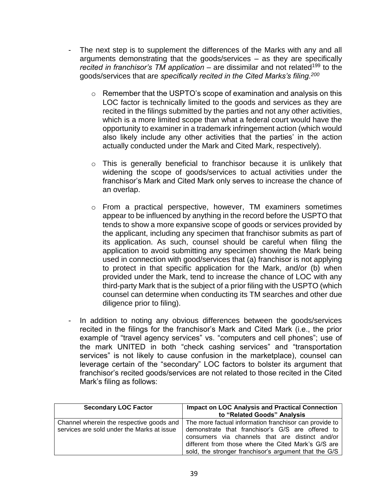- The next step is to supplement the differences of the Marks with any and all arguments demonstrating that the goods/services – as they are specifically *recited in franchisor's TM application* – are dissimilar and not related<sup>199</sup> to the goods/services that are *specifically recited in the Cited Marks's filing.<sup>200</sup>*
	- $\circ$  Remember that the USPTO's scope of examination and analysis on this LOC factor is technically limited to the goods and services as they are recited in the filings submitted by the parties and not any other activities, which is a more limited scope than what a federal court would have the opportunity to examiner in a trademark infringement action (which would also likely include any other activities that the parties' in the action actually conducted under the Mark and Cited Mark, respectively).
	- o This is generally beneficial to franchisor because it is unlikely that widening the scope of goods/services to actual activities under the franchisor's Mark and Cited Mark only serves to increase the chance of an overlap.
	- o From a practical perspective, however, TM examiners sometimes appear to be influenced by anything in the record before the USPTO that tends to show a more expansive scope of goods or services provided by the applicant, including any specimen that franchisor submits as part of its application. As such, counsel should be careful when filing the application to avoid submitting any specimen showing the Mark being used in connection with good/services that (a) franchisor is not applying to protect in that specific application for the Mark, and/or (b) when provided under the Mark, tend to increase the chance of LOC with any third-party Mark that is the subject of a prior filing with the USPTO (which counsel can determine when conducting its TM searches and other due diligence prior to filing).
- In addition to noting any obvious differences between the goods/services recited in the filings for the franchisor's Mark and Cited Mark (i.e., the prior example of "travel agency services" vs. "computers and cell phones"; use of the mark UNITED in both "check cashing services" and "transportation services" is not likely to cause confusion in the marketplace), counsel can leverage certain of the "secondary" LOC factors to bolster its argument that franchisor's recited goods/services are not related to those recited in the Cited Mark's filing as follows:

| <b>Secondary LOC Factor</b>                                                            | <b>Impact on LOC Analysis and Practical Connection</b><br>to "Related Goods" Analysis                                                                                                                                                                                         |
|----------------------------------------------------------------------------------------|-------------------------------------------------------------------------------------------------------------------------------------------------------------------------------------------------------------------------------------------------------------------------------|
| Channel wherein the respective goods and<br>services are sold under the Marks at issue | The more factual information franchisor can provide to<br>demonstrate that franchisor's G/S are offered to<br>consumers via channels that are distinct and/or<br>different from those where the Cited Mark's G/S are<br>sold, the stronger franchisor's argument that the G/S |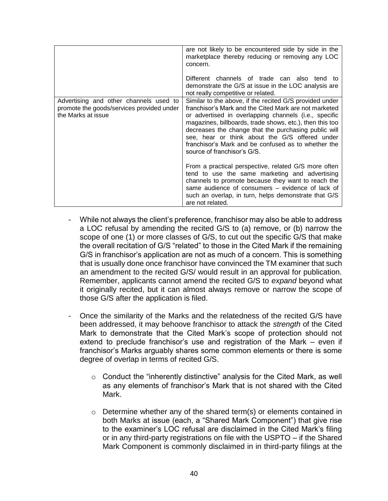|                                                                                                           | are not likely to be encountered side by side in the<br>marketplace thereby reducing or removing any LOC<br>concern.<br>Different channels of trade can also<br>tend to<br>demonstrate the G/S at issue in the LOC analysis are<br>not really competitive or related.                                                                                                                                                                 |
|-----------------------------------------------------------------------------------------------------------|---------------------------------------------------------------------------------------------------------------------------------------------------------------------------------------------------------------------------------------------------------------------------------------------------------------------------------------------------------------------------------------------------------------------------------------|
| Advertising and other channels used to<br>promote the goods/services provided under<br>the Marks at issue | Similar to the above, if the recited G/S provided under<br>franchisor's Mark and the Cited Mark are not marketed<br>or advertised in overlapping channels (i.e., specific<br>magazines, billboards, trade shows, etc.), then this too<br>decreases the change that the purchasing public will<br>see, hear or think about the G/S offered under<br>franchisor's Mark and be confused as to whether the<br>source of franchisor's G/S. |
|                                                                                                           | From a practical perspective, related G/S more often<br>tend to use the same marketing and advertising<br>channels to promote because they want to reach the<br>same audience of consumers - evidence of lack of<br>such an overlap, in turn, helps demonstrate that G/S<br>are not related.                                                                                                                                          |

- While not always the client's preference, franchisor may also be able to address a LOC refusal by amending the recited G/S to (a) remove, or (b) narrow the scope of one (1) or more classes of G/S, to cut out the specific G/S that make the overall recitation of G/S "related" to those in the Cited Mark if the remaining G/S in franchisor's application are not as much of a concern. This is something that is usually done once franchisor have convinced the TM examiner that such an amendment to the recited G/S/ would result in an approval for publication. Remember, applicants cannot amend the recited G/S to *expand* beyond what it originally recited, but it can almost always remove or narrow the scope of those G/S after the application is filed.
- Once the similarity of the Marks and the relatedness of the recited G/S have been addressed, it may behoove franchisor to attack the *strength* of the Cited Mark to demonstrate that the Cited Mark's scope of protection should not extend to preclude franchisor's use and registration of the Mark – even if franchisor's Marks arguably shares some common elements or there is some degree of overlap in terms of recited G/S.
	- o Conduct the "inherently distinctive" analysis for the Cited Mark, as well as any elements of franchisor's Mark that is not shared with the Cited Mark.
	- $\circ$  Determine whether any of the shared term(s) or elements contained in both Marks at issue (each, a "Shared Mark Component") that give rise to the examiner's LOC refusal are disclaimed in the Cited Mark's filing or in any third-party registrations on file with the USPTO – if the Shared Mark Component is commonly disclaimed in in third-party filings at the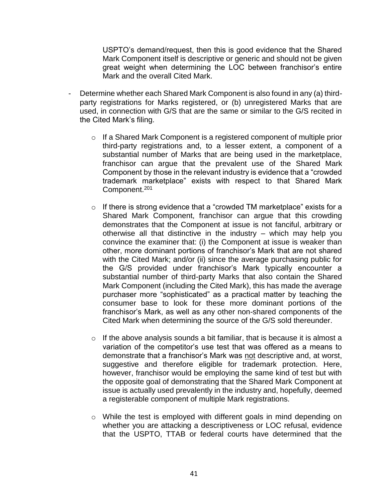USPTO's demand/request, then this is good evidence that the Shared Mark Component itself is descriptive or generic and should not be given great weight when determining the LOC between franchisor's entire Mark and the overall Cited Mark.

- Determine whether each Shared Mark Component is also found in any (a) thirdparty registrations for Marks registered, or (b) unregistered Marks that are used, in connection with G/S that are the same or similar to the G/S recited in the Cited Mark's filing.
	- o If a Shared Mark Component is a registered component of multiple prior third-party registrations and, to a lesser extent, a component of a substantial number of Marks that are being used in the marketplace, franchisor can argue that the prevalent use of the Shared Mark Component by those in the relevant industry is evidence that a "crowded trademark marketplace" exists with respect to that Shared Mark Component.<sup>201</sup>
	- $\circ$  If there is strong evidence that a "crowded TM marketplace" exists for a Shared Mark Component, franchisor can argue that this crowding demonstrates that the Component at issue is not fanciful, arbitrary or otherwise all that distinctive in the industry – which may help you convince the examiner that: (i) the Component at issue is weaker than other, more dominant portions of franchisor's Mark that are not shared with the Cited Mark; and/or (ii) since the average purchasing public for the G/S provided under franchisor's Mark typically encounter a substantial number of third-party Marks that also contain the Shared Mark Component (including the Cited Mark), this has made the average purchaser more "sophisticated" as a practical matter by teaching the consumer base to look for these more dominant portions of the franchisor's Mark, as well as any other non-shared components of the Cited Mark when determining the source of the G/S sold thereunder.
	- $\circ$  If the above analysis sounds a bit familiar, that is because it is almost a variation of the competitor's use test that was offered as a means to demonstrate that a franchisor's Mark was not descriptive and, at worst, suggestive and therefore eligible for trademark protection. Here, however, franchisor would be employing the same kind of test but with the opposite goal of demonstrating that the Shared Mark Component at issue is actually used prevalently in the industry and, hopefully, deemed a registerable component of multiple Mark registrations.
	- o While the test is employed with different goals in mind depending on whether you are attacking a descriptiveness or LOC refusal, evidence that the USPTO, TTAB or federal courts have determined that the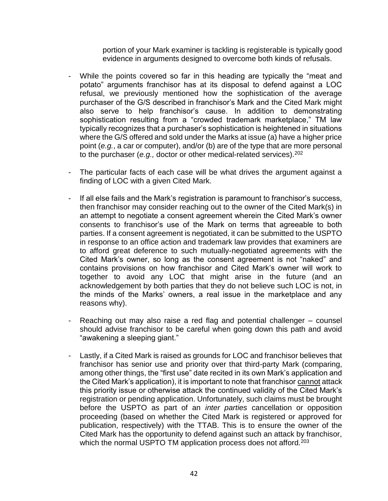portion of your Mark examiner is tackling is registerable is typically good evidence in arguments designed to overcome both kinds of refusals.

- While the points covered so far in this heading are typically the "meat and potato" arguments franchisor has at its disposal to defend against a LOC refusal, we previously mentioned how the sophistication of the average purchaser of the G/S described in franchisor's Mark and the Cited Mark might also serve to help franchisor's cause. In addition to demonstrating sophistication resulting from a "crowded trademark marketplace," TM law typically recognizes that a purchaser's sophistication is heightened in situations where the G/S offered and sold under the Marks at issue (a) have a higher price point (*e.g.*, a car or computer), and/or (b) are of the type that are more personal to the purchaser (*e.g.,* doctor or other medical-related services).<sup>202</sup>
- The particular facts of each case will be what drives the argument against a finding of LOC with a given Cited Mark.
- If all else fails and the Mark's registration is paramount to franchisor's success, then franchisor may consider reaching out to the owner of the Cited Mark(s) in an attempt to negotiate a consent agreement wherein the Cited Mark's owner consents to franchisor's use of the Mark on terms that agreeable to both parties. If a consent agreement is negotiated, it can be submitted to the USPTO in response to an office action and trademark law provides that examiners are to afford great deference to such mutually-negotiated agreements with the Cited Mark's owner, so long as the consent agreement is not "naked" and contains provisions on how franchisor and Cited Mark's owner will work to together to avoid any LOC that might arise in the future (and an acknowledgement by both parties that they do not believe such LOC is not, in the minds of the Marks' owners, a real issue in the marketplace and any reasons why).
- Reaching out may also raise a red flag and potential challenger counsel should advise franchisor to be careful when going down this path and avoid "awakening a sleeping giant."
- Lastly, if a Cited Mark is raised as grounds for LOC and franchisor believes that franchisor has senior use and priority over that third-party Mark (comparing, among other things, the "first use" date recited in its own Mark's application and the Cited Mark's application), it is important to note that franchisor cannot attack this priority issue or otherwise attack the continued validity of the Cited Mark's registration or pending application. Unfortunately, such claims must be brought before the USPTO as part of an *inter parties* cancellation or opposition proceeding (based on whether the Cited Mark is registered or approved for publication, respectively) with the TTAB. This is to ensure the owner of the Cited Mark has the opportunity to defend against such an attack by franchisor, which the normal USPTO TM application process does not afford.<sup>203</sup>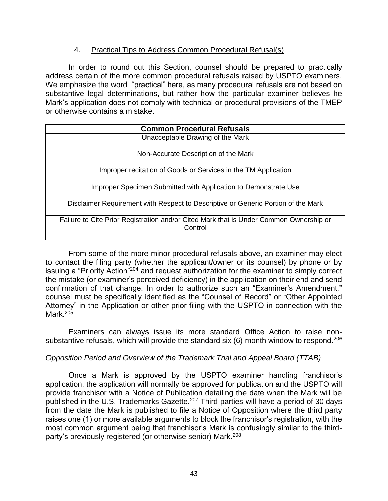## 4. Practical Tips to Address Common Procedural Refusal(s)

In order to round out this Section, counsel should be prepared to practically address certain of the more common procedural refusals raised by USPTO examiners. We emphasize the word "practical" here, as many procedural refusals are not based on substantive legal determinations, but rather how the particular examiner believes he Mark's application does not comply with technical or procedural provisions of the TMEP or otherwise contains a mistake.

| <b>Common Procedural Refusals</b>                                                                 |  |  |
|---------------------------------------------------------------------------------------------------|--|--|
| Unacceptable Drawing of the Mark                                                                  |  |  |
| Non-Accurate Description of the Mark                                                              |  |  |
| Improper recitation of Goods or Services in the TM Application                                    |  |  |
| Improper Specimen Submitted with Application to Demonstrate Use                                   |  |  |
| Disclaimer Requirement with Respect to Descriptive or Generic Portion of the Mark                 |  |  |
| Failure to Cite Prior Registration and/or Cited Mark that is Under Common Ownership or<br>Control |  |  |

From some of the more minor procedural refusals above, an examiner may elect to contact the filing party (whether the applicant/owner or its counsel) by phone or by issuing a "Priority Action"<sup>204</sup> and request authorization for the examiner to simply correct the mistake (or examiner's perceived deficiency) in the application on their end and send confirmation of that change. In order to authorize such an "Examiner's Amendment," counsel must be specifically identified as the "Counsel of Record" or "Other Appointed Attorney" in the Application or other prior filing with the USPTO in connection with the Mark.<sup>205</sup>

Examiners can always issue its more standard Office Action to raise nonsubstantive refusals, which will provide the standard six  $(6)$  month window to respond.<sup>206</sup>

## *Opposition Period and Overview of the Trademark Trial and Appeal Board (TTAB)*

Once a Mark is approved by the USPTO examiner handling franchisor's application, the application will normally be approved for publication and the USPTO will provide franchisor with a Notice of Publication detailing the date when the Mark will be published in the U.S. Trademarks Gazette.<sup>207</sup> Third-parties will have a period of 30 days from the date the Mark is published to file a Notice of Opposition where the third party raises one (1) or more available arguments to block the franchisor's registration, with the most common argument being that franchisor's Mark is confusingly similar to the thirdparty's previously registered (or otherwise senior) Mark.208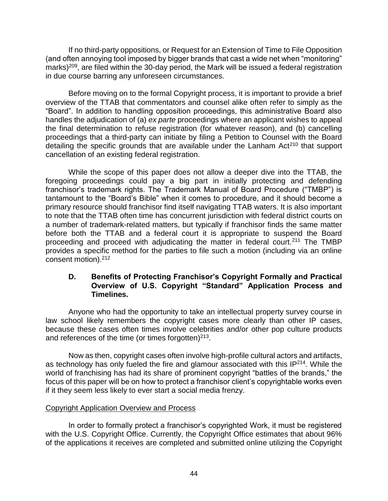If no third-party oppositions, or Request for an Extension of Time to File Opposition (and often annoying tool imposed by bigger brands that cast a wide net when "monitoring" marks)<sup>209</sup>, are filed within the 30-day period, the Mark will be issued a federal registration in due course barring any unforeseen circumstances.

Before moving on to the formal Copyright process, it is important to provide a brief overview of the TTAB that commentators and counsel alike often refer to simply as the "Board". In addition to handling opposition proceedings, this administrative Board also handles the adjudication of (a) *ex parte* proceedings where an applicant wishes to appeal the final determination to refuse registration (for whatever reason), and (b) cancelling proceedings that a third-party can initiate by filing a Petition to Counsel with the Board detailing the specific grounds that are available under the Lanham  $Act<sup>210</sup>$  that support cancellation of an existing federal registration.

While the scope of this paper does not allow a deeper dive into the TTAB, the foregoing proceedings could pay a big part in initially protecting and defending franchisor's trademark rights. The Trademark Manual of Board Procedure ("TMBP") is tantamount to the "Board's Bible" when it comes to procedure, and it should become a primary resource should franchisor find itself navigating TTAB waters. It is also important to note that the TTAB often time has concurrent jurisdiction with federal district courts on a number of trademark-related matters, but typically if franchisor finds the same matter before both the TTAB and a federal court it is appropriate to suspend the Board proceeding and proceed with adjudicating the matter in federal court.<sup>211</sup> The TMBP provides a specific method for the parties to file such a motion (including via an online consent motion).<sup>212</sup>

## **D. Benefits of Protecting Franchisor's Copyright Formally and Practical Overview of U.S. Copyright "Standard" Application Process and Timelines.**

Anyone who had the opportunity to take an intellectual property survey course in law school likely remembers the copyright cases more clearly than other IP cases, because these cases often times involve celebrities and/or other pop culture products and references of the time (or times forgotten) $213$ .

Now as then, copyright cases often involve high-profile cultural actors and artifacts, as technology has only fueled the fire and glamour associated with this IP<sup>214</sup>. While the world of franchising has had its share of prominent copyright "battles of the brands," the focus of this paper will be on how to protect a franchisor client's copyrightable works even if it they seem less likely to ever start a social media frenzy.

## Copyright Application Overview and Process

In order to formally protect a franchisor's copyrighted Work, it must be registered with the U.S. Copyright Office. Currently, the Copyright Office estimates that about 96% of the applications it receives are completed and submitted online utilizing the Copyright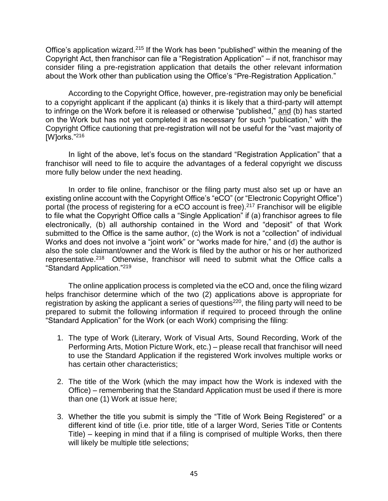Office's application wizard.<sup>215</sup> If the Work has been "published" within the meaning of the Copyright Act, then franchisor can file a "Registration Application" – if not, franchisor may consider filing a pre-registration application that details the other relevant information about the Work other than publication using the Office's "Pre-Registration Application."

According to the Copyright Office, however, pre-registration may only be beneficial to a copyright applicant if the applicant (a) thinks it is likely that a third-party will attempt to infringe on the Work before it is released or otherwise "published," and (b) has started on the Work but has not yet completed it as necessary for such "publication," with the Copyright Office cautioning that pre-registration will not be useful for the "vast majority of [W]orks."<sup>216</sup>

In light of the above, let's focus on the standard "Registration Application" that a franchisor will need to file to acquire the advantages of a federal copyright we discuss more fully below under the next heading.

In order to file online, franchisor or the filing party must also set up or have an existing online account with the Copyright Office's "eCO" (or "Electronic Copyright Office") portal (the process of registering for a eCO account is free).<sup>217</sup> Franchisor will be eligible to file what the Copyright Office calls a "Single Application" if (a) franchisor agrees to file electronically, (b) all authorship contained in the Word and "deposit" of that Work submitted to the Office is the same author, (c) the Work is not a "collection" of individual Works and does not involve a "joint work" or "works made for hire," and (d) the author is also the sole claimant/owner and the Work is filed by the author or his or her authorized representative.<sup>218</sup> Otherwise, franchisor will need to submit what the Office calls a "Standard Application."<sup>219</sup>

The online application process is completed via the eCO and, once the filing wizard helps franchisor determine which of the two (2) applications above is appropriate for registration by asking the applicant a series of questions<sup>220</sup>, the filing party will need to be prepared to submit the following information if required to proceed through the online "Standard Application" for the Work (or each Work) comprising the filing:

- 1. The type of Work (Literary, Work of Visual Arts, Sound Recording, Work of the Performing Arts, Motion Picture Work, etc.) – please recall that franchisor will need to use the Standard Application if the registered Work involves multiple works or has certain other characteristics;
- 2. The title of the Work (which the may impact how the Work is indexed with the Office) – remembering that the Standard Application must be used if there is more than one (1) Work at issue here;
- 3. Whether the title you submit is simply the "Title of Work Being Registered" or a different kind of title (i.e. prior title, title of a larger Word, Series Title or Contents Title) – keeping in mind that if a filing is comprised of multiple Works, then there will likely be multiple title selections;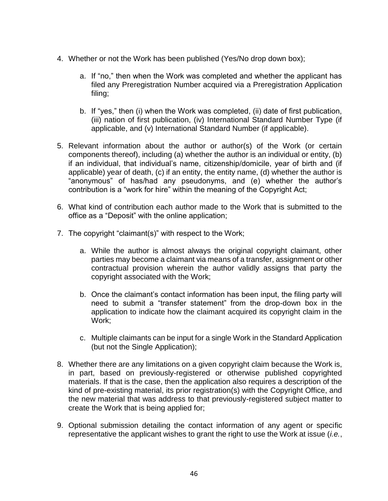- 4. Whether or not the Work has been published (Yes/No drop down box);
	- a. If "no," then when the Work was completed and whether the applicant has filed any Preregistration Number acquired via a Preregistration Application filing;
	- b. If "yes," then (i) when the Work was completed, (ii) date of first publication, (iii) nation of first publication, (iv) International Standard Number Type (if applicable, and (v) International Standard Number (if applicable).
- 5. Relevant information about the author or author(s) of the Work (or certain components thereof), including (a) whether the author is an individual or entity, (b) if an individual, that individual's name, citizenship/domicile, year of birth and (if applicable) year of death, (c) if an entity, the entity name, (d) whether the author is "anonymous" of has/had any pseudonyms, and (e) whether the author's contribution is a "work for hire" within the meaning of the Copyright Act;
- 6. What kind of contribution each author made to the Work that is submitted to the office as a "Deposit" with the online application;
- 7. The copyright "claimant(s)" with respect to the Work;
	- a. While the author is almost always the original copyright claimant, other parties may become a claimant via means of a transfer, assignment or other contractual provision wherein the author validly assigns that party the copyright associated with the Work;
	- b. Once the claimant's contact information has been input, the filing party will need to submit a "transfer statement" from the drop-down box in the application to indicate how the claimant acquired its copyright claim in the Work;
	- c. Multiple claimants can be input for a single Work in the Standard Application (but not the Single Application);
- 8. Whether there are any limitations on a given copyright claim because the Work is, in part, based on previously-registered or otherwise published copyrighted materials. If that is the case, then the application also requires a description of the kind of pre-existing material, its prior registration(s) with the Copyright Office, and the new material that was address to that previously-registered subject matter to create the Work that is being applied for;
- 9. Optional submission detailing the contact information of any agent or specific representative the applicant wishes to grant the right to use the Work at issue (*i.e.*,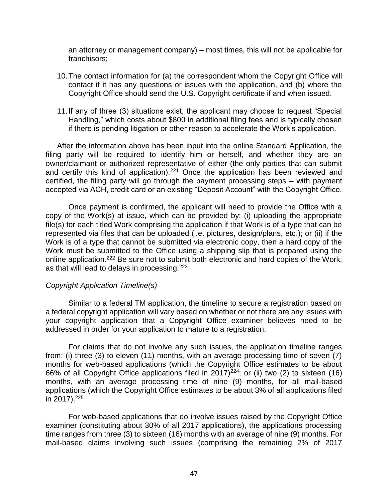an attorney or management company) – most times, this will not be applicable for franchisors;

- 10.The contact information for (a) the correspondent whom the Copyright Office will contact if it has any questions or issues with the application, and (b) where the Copyright Office should send the U.S. Copyright certificate if and when issued.
- 11.If any of three (3) situations exist, the applicant may choose to request "Special Handling," which costs about \$800 in additional filing fees and is typically chosen if there is pending litigation or other reason to accelerate the Work's application.

After the information above has been input into the online Standard Application, the filing party will be required to identify him or herself, and whether they are an owner/claimant or authorized representative of either (the only parties that can submit and certify this kind of application).<sup>221</sup> Once the application has been reviewed and certified, the filing party will go through the payment processing steps – with payment accepted via ACH, credit card or an existing "Deposit Account" with the Copyright Office.

Once payment is confirmed, the applicant will need to provide the Office with a copy of the Work(s) at issue, which can be provided by: (i) uploading the appropriate file(s) for each titled Work comprising the application if that Work is of a type that can be represented via files that can be uploaded (i.e. pictures, design/plans, etc.); or (ii) if the Work is of a type that cannot be submitted via electronic copy, then a hard copy of the Work must be submitted to the Office using a shipping slip that is prepared using the online application.<sup>222</sup> Be sure not to submit both electronic and hard copies of the Work, as that will lead to delays in processing.<sup>223</sup>

## *Copyright Application Timeline(s)*

Similar to a federal TM application, the timeline to secure a registration based on a federal copyright application will vary based on whether or not there are any issues with your copyright application that a Copyright Office examiner believes need to be addressed in order for your application to mature to a registration.

For claims that do not involve any such issues, the application timeline ranges from: (i) three (3) to eleven (11) months, with an average processing time of seven (7) months for web-based applications (which the Copyright Office estimates to be about 66% of all Copyright Office applications filed in  $2017)^{224}$ ; or (ii) two (2) to sixteen (16) months, with an average processing time of nine (9) months, for all mail-based applications (which the Copyright Office estimates to be about 3% of all applications filed in 2017). $225$ 

For web-based applications that do involve issues raised by the Copyright Office examiner (constituting about 30% of all 2017 applications), the applications processing time ranges from three (3) to sixteen (16) months with an average of nine (9) months. For mail-based claims involving such issues (comprising the remaining 2% of 2017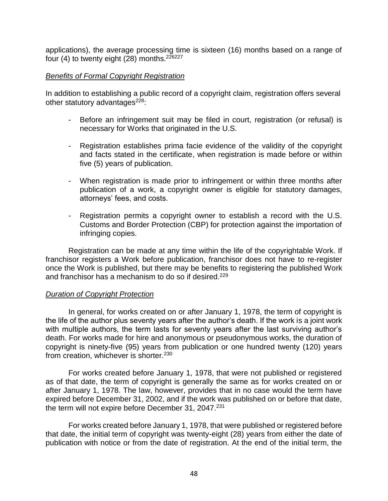applications), the average processing time is sixteen (16) months based on a range of four (4) to twenty eight  $(28)$  months.<sup>226227</sup>

#### *Benefits of Formal Copyright Registration*

In addition to establishing a public record of a copyright claim, registration offers several other statutory advantages $^{228}$ :

- Before an infringement suit may be filed in court, registration (or refusal) is necessary for Works that originated in the U.S.
- Registration establishes prima facie evidence of the validity of the copyright and facts stated in the certificate, when registration is made before or within five (5) years of publication.
- When registration is made prior to infringement or within three months after publication of a work, a copyright owner is eligible for statutory damages, attorneys' fees, and costs.
- Registration permits a copyright owner to establish a record with the U.S. Customs and Border Protection (CBP) for protection against the importation of infringing copies.

Registration can be made at any time within the life of the copyrightable Work. If franchisor registers a Work before publication, franchisor does not have to re-register once the Work is published, but there may be benefits to registering the published Work and franchisor has a mechanism to do so if desired.<sup>229</sup>

## *Duration of Copyright Protection*

In general, for works created on or after January 1, 1978, the term of copyright is the life of the author plus seventy years after the author's death. If the work is a joint work with multiple authors, the term lasts for seventy years after the last surviving author's death. For works made for hire and anonymous or pseudonymous works, the duration of copyright is ninety-five (95) years from publication or one hundred twenty (120) years from creation, whichever is shorter.<sup>230</sup>

For works created before January 1, 1978, that were not published or registered as of that date, the term of copyright is generally the same as for works created on or after January 1, 1978. The law, however, provides that in no case would the term have expired before December 31, 2002, and if the work was published on or before that date, the term will not expire before December 31, 2047.<sup>231</sup>

For works created before January 1, 1978, that were published or registered before that date, the initial term of copyright was twenty-eight (28) years from either the date of publication with notice or from the date of registration. At the end of the initial term, the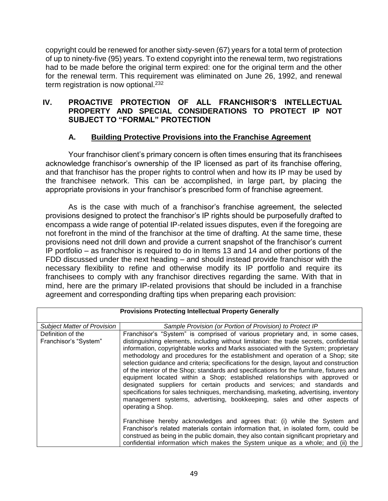copyright could be renewed for another sixty-seven (67) years for a total term of protection of up to ninety-five (95) years. To extend copyright into the renewal term, two registrations had to be made before the original term expired: one for the original term and the other for the renewal term. This requirement was eliminated on June 26, 1992, and renewal term registration is now optional.<sup>232</sup>

## **IV. PROACTIVE PROTECTION OF ALL FRANCHISOR'S INTELLECTUAL PROPERTY AND SPECIAL CONSIDERATIONS TO PROTECT IP NOT SUBJECT TO "FORMAL" PROTECTION**

## **A. Building Protective Provisions into the Franchise Agreement**

Your franchisor client's primary concern is often times ensuring that its franchisees acknowledge franchisor's ownership of the IP licensed as part of its franchise offering, and that franchisor has the proper rights to control when and how its IP may be used by the franchisee network. This can be accomplished, in large part, by placing the appropriate provisions in your franchisor's prescribed form of franchise agreement.

As is the case with much of a franchisor's franchise agreement, the selected provisions designed to protect the franchisor's IP rights should be purposefully drafted to encompass a wide range of potential IP-related issues disputes, even if the foregoing are not forefront in the mind of the franchisor at the time of drafting. At the same time, these provisions need not drill down and provide a current snapshot of the franchisor's current IP portfolio – as franchisor is required to do in Items 13 and 14 and other portions of the FDD discussed under the next heading – and should instead provide franchisor with the necessary flexibility to refine and otherwise modify its IP portfolio and require its franchisees to comply with any franchisor directives regarding the same. With that in mind, here are the primary IP-related provisions that should be included in a franchise agreement and corresponding drafting tips when preparing each provision:

| <b>Provisions Protecting Intellectual Property Generally</b> |                                                                                                                                                                                                                                                                                                                                                                                                                                                                                                                                                                                                                                                                                                                                                                                                                                                                                               |  |
|--------------------------------------------------------------|-----------------------------------------------------------------------------------------------------------------------------------------------------------------------------------------------------------------------------------------------------------------------------------------------------------------------------------------------------------------------------------------------------------------------------------------------------------------------------------------------------------------------------------------------------------------------------------------------------------------------------------------------------------------------------------------------------------------------------------------------------------------------------------------------------------------------------------------------------------------------------------------------|--|
| <b>Subject Matter of Provision</b>                           | Sample Provision (or Portion of Provision) to Protect IP                                                                                                                                                                                                                                                                                                                                                                                                                                                                                                                                                                                                                                                                                                                                                                                                                                      |  |
| Definition of the<br>Franchisor's "System"                   | Franchisor's "System" is comprised of various proprietary and, in some cases,<br>distinguishing elements, including without limitation: the trade secrets, confidential<br>information, copyrightable works and Marks associated with the System; proprietary<br>methodology and procedures for the establishment and operation of a Shop; site<br>selection guidance and criteria; specifications for the design, layout and construction<br>of the interior of the Shop; standards and specifications for the furniture, fixtures and<br>equipment located within a Shop; established relationships with approved or<br>designated suppliers for certain products and services; and standards and<br>specifications for sales techniques, merchandising, marketing, advertising, inventory<br>management systems, advertising, bookkeeping, sales and other aspects of<br>operating a Shop. |  |
|                                                              | Franchisee hereby acknowledges and agrees that: (i) while the System and<br>Franchisor's related materials contain information that, in isolated form, could be<br>construed as being in the public domain, they also contain significant proprietary and<br>confidential information which makes the System unique as a whole; and (ii) the                                                                                                                                                                                                                                                                                                                                                                                                                                                                                                                                                  |  |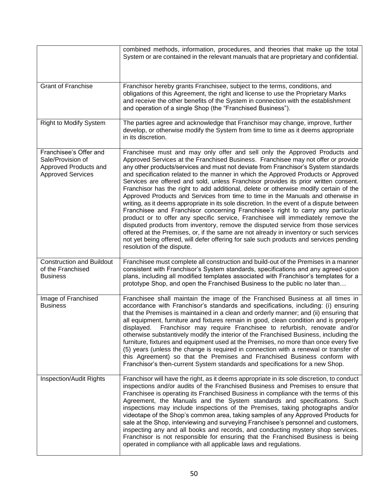|                                                                                                  | combined methods, information, procedures, and theories that make up the total<br>System or are contained in the relevant manuals that are proprietary and confidential.                                                                                                                                                                                                                                                                                                                                                                                                                                                                                                                                                                                                                                                                                                                                                                                                                                                                                                                                                                                                                      |
|--------------------------------------------------------------------------------------------------|-----------------------------------------------------------------------------------------------------------------------------------------------------------------------------------------------------------------------------------------------------------------------------------------------------------------------------------------------------------------------------------------------------------------------------------------------------------------------------------------------------------------------------------------------------------------------------------------------------------------------------------------------------------------------------------------------------------------------------------------------------------------------------------------------------------------------------------------------------------------------------------------------------------------------------------------------------------------------------------------------------------------------------------------------------------------------------------------------------------------------------------------------------------------------------------------------|
| <b>Grant of Franchise</b>                                                                        | Franchisor hereby grants Franchisee, subject to the terms, conditions, and<br>obligations of this Agreement, the right and license to use the Proprietary Marks<br>and receive the other benefits of the System in connection with the establishment<br>and operation of a single Shop (the "Franchised Business").                                                                                                                                                                                                                                                                                                                                                                                                                                                                                                                                                                                                                                                                                                                                                                                                                                                                           |
| <b>Right to Modify System</b>                                                                    | The parties agree and acknowledge that Franchisor may change, improve, further<br>develop, or otherwise modify the System from time to time as it deems appropriate<br>in its discretion.                                                                                                                                                                                                                                                                                                                                                                                                                                                                                                                                                                                                                                                                                                                                                                                                                                                                                                                                                                                                     |
| Franchisee's Offer and<br>Sale/Provision of<br>Approved Products and<br><b>Approved Services</b> | Franchisee must and may only offer and sell only the Approved Products and<br>Approved Services at the Franchised Business. Franchisee may not offer or provide<br>any other products/services and must not deviate from Franchisor's System standards<br>and specification related to the manner in which the Approved Products or Approved<br>Services are offered and sold, unless Franchisor provides its prior written consent.<br>Franchisor has the right to add additional, delete or otherwise modify certain of the<br>Approved Products and Services from time to time in the Manuals and otherwise in<br>writing, as it deems appropriate in its sole discretion. In the event of a dispute between<br>Franchisee and Franchisor concerning Franchisee's right to carry any particular<br>product or to offer any specific service, Franchisee will immediately remove the<br>disputed products from inventory, remove the disputed service from those services<br>offered at the Premises, or, if the same are not already in inventory or such services<br>not yet being offered, will defer offering for sale such products and services pending<br>resolution of the dispute. |
| <b>Construction and Buildout</b><br>of the Franchised<br><b>Business</b>                         | Franchisee must complete all construction and build-out of the Premises in a manner<br>consistent with Franchisor's System standards, specifications and any agreed-upon<br>plans, including all modified templates associated with Franchisor's templates for a<br>prototype Shop, and open the Franchised Business to the public no later than                                                                                                                                                                                                                                                                                                                                                                                                                                                                                                                                                                                                                                                                                                                                                                                                                                              |
| Image of Franchised<br><b>Business</b>                                                           | Franchisee shall maintain the image of the Franchised Business at all times in<br>accordance with Franchisor's standards and specifications, including: (i) ensuring<br>that the Premises is maintained in a clean and orderly manner; and (ii) ensuring that<br>all equipment, furniture and fixtures remain in good, clean condition and is properly<br>displayed. Franchisor may require Franchisee to refurbish, renovate and/or<br>otherwise substantively modify the interior of the Franchised Business, including the<br>furniture, fixtures and equipment used at the Premises, no more than once every five<br>(5) years (unless the change is required in connection with a renewal or transfer of<br>this Agreement) so that the Premises and Franchised Business conform with<br>Franchisor's then-current System standards and specifications for a new Shop.                                                                                                                                                                                                                                                                                                                   |
| <b>Inspection/Audit Rights</b>                                                                   | Franchisor will have the right, as it deems appropriate in its sole discretion, to conduct<br>inspections and/or audits of the Franchised Business and Premises to ensure that<br>Franchisee is operating its Franchised Business in compliance with the terms of this<br>Agreement, the Manuals and the System standards and specifications. Such<br>inspections may include inspections of the Premises, taking photographs and/or<br>videotape of the Shop's common area, taking samples of any Approved Products for<br>sale at the Shop, interviewing and surveying Franchisee's personnel and customers,<br>inspecting any and all books and records, and conducting mystery shop services.<br>Franchisor is not responsible for ensuring that the Franchised Business is being<br>operated in compliance with all applicable laws and regulations.                                                                                                                                                                                                                                                                                                                                     |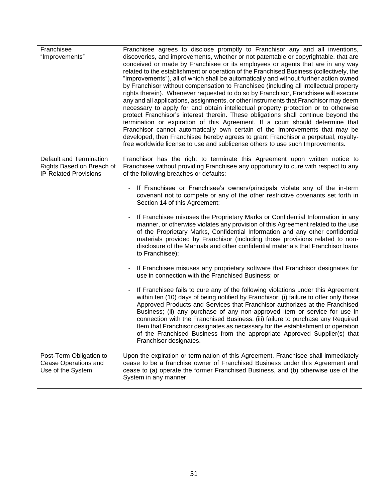| Franchisee<br>"Improvements"                                                         | Franchisee agrees to disclose promptly to Franchisor any and all inventions,<br>discoveries, and improvements, whether or not patentable or copyrightable, that are<br>conceived or made by Franchisee or its employees or agents that are in any way<br>related to the establishment or operation of the Franchised Business (collectively, the<br>"Improvements"), all of which shall be automatically and without further action owned<br>by Franchisor without compensation to Franchisee (including all intellectual property<br>rights therein). Whenever requested to do so by Franchisor, Franchisee will execute<br>any and all applications, assignments, or other instruments that Franchisor may deem<br>necessary to apply for and obtain intellectual property protection or to otherwise<br>protect Franchisor's interest therein. These obligations shall continue beyond the<br>termination or expiration of this Agreement. If a court should determine that<br>Franchisor cannot automatically own certain of the Improvements that may be<br>developed, then Franchisee hereby agrees to grant Franchisor a perpetual, royalty-<br>free worldwide license to use and sublicense others to use such Improvements. |
|--------------------------------------------------------------------------------------|--------------------------------------------------------------------------------------------------------------------------------------------------------------------------------------------------------------------------------------------------------------------------------------------------------------------------------------------------------------------------------------------------------------------------------------------------------------------------------------------------------------------------------------------------------------------------------------------------------------------------------------------------------------------------------------------------------------------------------------------------------------------------------------------------------------------------------------------------------------------------------------------------------------------------------------------------------------------------------------------------------------------------------------------------------------------------------------------------------------------------------------------------------------------------------------------------------------------------------------|
|                                                                                      |                                                                                                                                                                                                                                                                                                                                                                                                                                                                                                                                                                                                                                                                                                                                                                                                                                                                                                                                                                                                                                                                                                                                                                                                                                      |
| Default and Termination<br>Rights Based on Breach of<br><b>IP-Related Provisions</b> | Franchisor has the right to terminate this Agreement upon written notice to<br>Franchisee without providing Franchisee any opportunity to cure with respect to any<br>of the following breaches or defaults:                                                                                                                                                                                                                                                                                                                                                                                                                                                                                                                                                                                                                                                                                                                                                                                                                                                                                                                                                                                                                         |
|                                                                                      | If Franchisee or Franchisee's owners/principals violate any of the in-term<br>covenant not to compete or any of the other restrictive covenants set forth in<br>Section 14 of this Agreement;                                                                                                                                                                                                                                                                                                                                                                                                                                                                                                                                                                                                                                                                                                                                                                                                                                                                                                                                                                                                                                        |
|                                                                                      | If Franchisee misuses the Proprietary Marks or Confidential Information in any<br>$\blacksquare$<br>manner, or otherwise violates any provision of this Agreement related to the use<br>of the Proprietary Marks, Confidential Information and any other confidential<br>materials provided by Franchisor (including those provisions related to non-<br>disclosure of the Manuals and other confidential materials that Franchisor loans<br>to Franchisee);                                                                                                                                                                                                                                                                                                                                                                                                                                                                                                                                                                                                                                                                                                                                                                         |
|                                                                                      | If Franchisee misuses any proprietary software that Franchisor designates for<br>use in connection with the Franchised Business; or                                                                                                                                                                                                                                                                                                                                                                                                                                                                                                                                                                                                                                                                                                                                                                                                                                                                                                                                                                                                                                                                                                  |
|                                                                                      | If Franchisee fails to cure any of the following violations under this Agreement<br>$\overline{\phantom{a}}$<br>within ten (10) days of being notified by Franchisor: (i) failure to offer only those<br>Approved Products and Services that Franchisor authorizes at the Franchised<br>Business; (ii) any purchase of any non-approved item or service for use in<br>connection with the Franchised Business; (iii) failure to purchase any Required<br>Item that Franchisor designates as necessary for the establishment or operation<br>of the Franchised Business from the appropriate Approved Supplier(s) that<br>Franchisor designates.                                                                                                                                                                                                                                                                                                                                                                                                                                                                                                                                                                                      |
| Post-Term Obligation to<br>Cease Operations and<br>Use of the System                 | Upon the expiration or termination of this Agreement, Franchisee shall immediately<br>cease to be a franchise owner of Franchised Business under this Agreement and<br>cease to (a) operate the former Franchised Business, and (b) otherwise use of the<br>System in any manner.                                                                                                                                                                                                                                                                                                                                                                                                                                                                                                                                                                                                                                                                                                                                                                                                                                                                                                                                                    |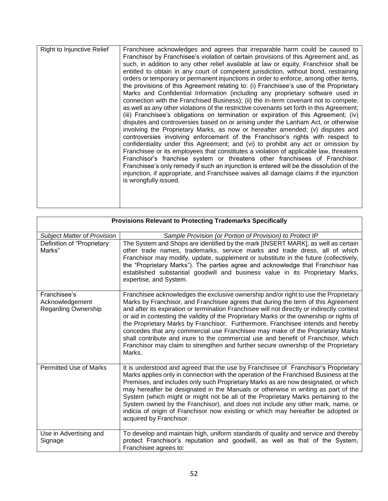| as well as any other violations of the restrictive covenants set forth in this Agreement;<br>(iii) Franchisee's obligations on termination or expiration of this Agreement; (iv)<br>disputes and controversies based on or arising under the Lanham Act, or otherwise<br>involving the Proprietary Marks, as now or hereafter amended; (v) disputes and<br>controversies involving enforcement of the Franchisor's rights with respect to<br>confidentiality under this Agreement; and (vi) to prohibit any act or omission by<br>Franchisee or its employees that constitutes a violation of applicable law, threatens<br>Franchisor's franchise system or threatens other franchisees of Franchisor.<br>Franchisee's only remedy if such an injunction is entered will be the dissolution of the<br>injunction, if appropriate, and Franchisee waives all damage claims if the injunction | Franchisee acknowledges and agrees that irreparable harm could be caused to<br>Franchisor by Franchisee's violation of certain provisions of this Agreement and, as<br>such, in addition to any other relief available at law or equity, Franchisor shall be<br>entitled to obtain in any court of competent jurisdiction, without bond, restraining<br>orders or temporary or permanent injunctions in order to enforce, among other items,<br>the provisions of this Agreement relating to: (i) Franchisee's use of the Proprietary<br>Marks and Confidential Information (including any proprietary software used in<br>connection with the Franchised Business); (ii) the in-term covenant not to compete, |
|---------------------------------------------------------------------------------------------------------------------------------------------------------------------------------------------------------------------------------------------------------------------------------------------------------------------------------------------------------------------------------------------------------------------------------------------------------------------------------------------------------------------------------------------------------------------------------------------------------------------------------------------------------------------------------------------------------------------------------------------------------------------------------------------------------------------------------------------------------------------------------------------|----------------------------------------------------------------------------------------------------------------------------------------------------------------------------------------------------------------------------------------------------------------------------------------------------------------------------------------------------------------------------------------------------------------------------------------------------------------------------------------------------------------------------------------------------------------------------------------------------------------------------------------------------------------------------------------------------------------|
| is wrongfully issued.                                                                                                                                                                                                                                                                                                                                                                                                                                                                                                                                                                                                                                                                                                                                                                                                                                                                       |                                                                                                                                                                                                                                                                                                                                                                                                                                                                                                                                                                                                                                                                                                                |

| <b>Provisions Relevant to Protecting Trademarks Specifically</b> |                                                                                                                                                                                                                                                                                                                                                                                                                                                                                                                                                                                                                                                                                                                             |  |
|------------------------------------------------------------------|-----------------------------------------------------------------------------------------------------------------------------------------------------------------------------------------------------------------------------------------------------------------------------------------------------------------------------------------------------------------------------------------------------------------------------------------------------------------------------------------------------------------------------------------------------------------------------------------------------------------------------------------------------------------------------------------------------------------------------|--|
| <b>Subject Matter of Provision</b>                               | Sample Provision (or Portion of Provision) to Protect IP                                                                                                                                                                                                                                                                                                                                                                                                                                                                                                                                                                                                                                                                    |  |
| Definition of "Proprietary<br>Marks"                             | The System and Shops are identified by the mark [INSERT MARK], as well as certain<br>other trade names, trademarks, service marks and trade dress, all of which<br>Franchisor may modify, update, supplement or substitute in the future (collectively,<br>the "Proprietary Marks"). The parties agree and acknowledge that Franchisor has<br>established substantial goodwill and business value in its Proprietary Marks,<br>expertise, and System.                                                                                                                                                                                                                                                                       |  |
| Franchisee's<br>Acknowledgement<br><b>Regarding Ownership</b>    | Franchisee acknowledges the exclusive ownership and/or right to use the Proprietary<br>Marks by Franchisor, and Franchisee agrees that during the term of this Agreement<br>and after its expiration or termination Franchisee will not directly or indirectly contest<br>or aid in contesting the validity of the Proprietary Marks or the ownership or rights of<br>the Proprietary Marks by Franchisor. Furthermore, Franchisee intends and hereby<br>concedes that any commercial use Franchisee may make of the Proprietary Marks<br>shall contribute and inure to the commercial use and benefit of Franchisor, which<br>Franchisor may claim to strengthen and further secure ownership of the Proprietary<br>Marks. |  |
| <b>Permitted Use of Marks</b>                                    | It is understood and agreed that the use by Franchisee of Franchisor's Proprietary<br>Marks applies only in connection with the operation of the Franchised Business at the<br>Premises, and includes only such Proprietary Marks as are now designated, or which<br>may hereafter be designated in the Manuals or otherwise in writing as part of the<br>System (which might or might not be all of the Proprietary Marks pertaining to the<br>System owned by the Franchisor), and does not include any other mark, name, or<br>indicia of origin of Franchisor now existing or which may hereafter be adopted or<br>acquired by Franchisor.                                                                              |  |
| Use in Advertising and<br>Signage                                | To develop and maintain high, uniform standards of quality and service and thereby<br>protect Franchisor's reputation and goodwill, as well as that of the System,<br>Franchisee agrees to:                                                                                                                                                                                                                                                                                                                                                                                                                                                                                                                                 |  |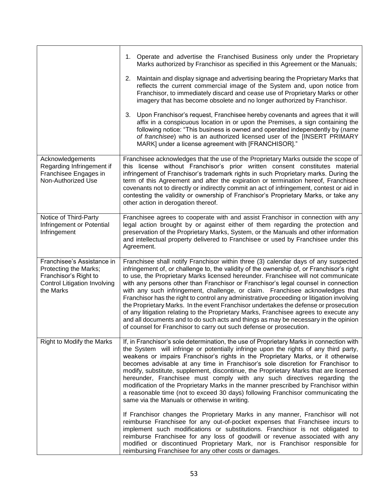|                                                                                                                                  | 1. Operate and advertise the Franchised Business only under the Proprietary<br>Marks authorized by Franchisor as specified in this Agreement or the Manuals;                                                                                                                                                                                                                                                                                                                                                                                                                                                                                                                                                                                                                                                                                                                            |
|----------------------------------------------------------------------------------------------------------------------------------|-----------------------------------------------------------------------------------------------------------------------------------------------------------------------------------------------------------------------------------------------------------------------------------------------------------------------------------------------------------------------------------------------------------------------------------------------------------------------------------------------------------------------------------------------------------------------------------------------------------------------------------------------------------------------------------------------------------------------------------------------------------------------------------------------------------------------------------------------------------------------------------------|
|                                                                                                                                  | 2. Maintain and display signage and advertising bearing the Proprietary Marks that<br>reflects the current commercial image of the System and, upon notice from<br>Franchisor, to immediately discard and cease use of Proprietary Marks or other<br>imagery that has become obsolete and no longer authorized by Franchisor.                                                                                                                                                                                                                                                                                                                                                                                                                                                                                                                                                           |
|                                                                                                                                  | 3. Upon Franchisor's request, Franchisee hereby covenants and agrees that it will<br>affix in a conspicuous location in or upon the Premises, a sign containing the<br>following notice: "This business is owned and operated independently by (name<br>of franchisee) who is an authorized licensed user of the [INSERT PRIMARY<br>MARK] under a license agreement with [FRANCHISOR]."                                                                                                                                                                                                                                                                                                                                                                                                                                                                                                 |
| Acknowledgements<br>Regarding Infringement if<br>Franchisee Engages in<br>Non-Authorized Use                                     | Franchisee acknowledges that the use of the Proprietary Marks outside the scope of<br>this license without Franchisor's prior written consent constitutes material<br>infringement of Franchisor's trademark rights in such Proprietary marks. During the<br>term of this Agreement and after the expiration or termination hereof, Franchisee<br>covenants not to directly or indirectly commit an act of infringement, contest or aid in<br>contesting the validity or ownership of Franchisor's Proprietary Marks, or take any<br>other action in derogation thereof.                                                                                                                                                                                                                                                                                                                |
| Notice of Third-Party<br>Infringement or Potential<br>Infringement                                                               | Franchisee agrees to cooperate with and assist Franchisor in connection with any<br>legal action brought by or against either of them regarding the protection and<br>preservation of the Proprietary Marks, System, or the Manuals and other information<br>and intellectual property delivered to Franchisee or used by Franchisee under this<br>Agreement.                                                                                                                                                                                                                                                                                                                                                                                                                                                                                                                           |
| Franchisee's Assistance in<br>Protecting the Marks;<br>Franchisor's Right to<br><b>Control Litigation Involving</b><br>the Marks | Franchisee shall notify Franchisor within three (3) calendar days of any suspected<br>infringement of, or challenge to, the validity of the ownership of, or Franchisor's right<br>to use, the Proprietary Marks licensed hereunder. Franchisee will not communicate<br>with any persons other than Franchisor or Franchisor's legal counsel in connection<br>with any such infringement, challenge, or claim. Franchisee acknowledges that<br>Franchisor has the right to control any administrative proceeding or litigation involving<br>the Proprietary Marks. In the event Franchisor undertakes the defense or prosecution<br>of any litigation relating to the Proprietary Marks, Franchisee agrees to execute any<br>and all documents and to do such acts and things as may be necessary in the opinion<br>of counsel for Franchisor to carry out such defense or prosecution. |
| Right to Modify the Marks                                                                                                        | If, in Franchisor's sole determination, the use of Proprietary Marks in connection with<br>the System will infringe or potentially infringe upon the rights of any third party,<br>weakens or impairs Franchisor's rights in the Proprietary Marks, or it otherwise<br>becomes advisable at any time in Franchisor's sole discretion for Franchisor to<br>modify, substitute, supplement, discontinue, the Proprietary Marks that are licensed<br>hereunder, Franchisee must comply with any such directives regarding the<br>modification of the Proprietary Marks in the manner prescribed by Franchisor within<br>a reasonable time (not to exceed 30 days) following Franchisor communicating the<br>same via the Manuals or otherwise in writing.                                                                                                                                  |
|                                                                                                                                  | If Franchisor changes the Proprietary Marks in any manner, Franchisor will not<br>reimburse Franchisee for any out-of-pocket expenses that Franchisee incurs to<br>implement such modifications or substitutions. Franchisor is not obligated to<br>reimburse Franchisee for any loss of goodwill or revenue associated with any<br>modified or discontinued Proprietary Mark, nor is Franchisor responsible for<br>reimbursing Franchisee for any other costs or damages.                                                                                                                                                                                                                                                                                                                                                                                                              |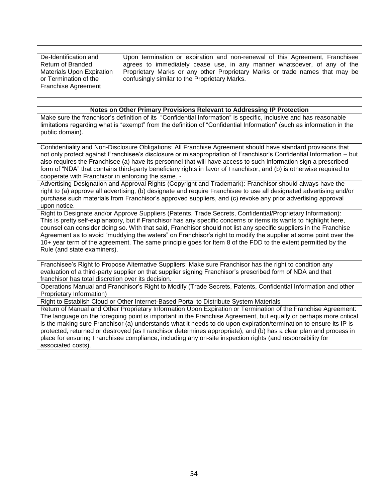| De-Identification and            | Upon termination or expiration and non-renewal of this Agreement, Franchisee |
|----------------------------------|------------------------------------------------------------------------------|
| Return of Branded                | agrees to immediately cease use, in any manner whatsoever, of any of the     |
| <b>Materials Upon Expiration</b> | Proprietary Marks or any other Proprietary Marks or trade names that may be  |
| or Termination of the            | confusingly similar to the Proprietary Marks.                                |
| <b>Franchise Agreement</b>       |                                                                              |
|                                  |                                                                              |

#### **Notes on Other Primary Provisions Relevant to Addressing IP Protection**

Make sure the franchisor's definition of its "Confidential Information" is specific, inclusive and has reasonable limitations regarding what is "exempt" from the definition of "Confidential Information" (such as information in the public domain).

Confidentiality and Non-Disclosure Obligations: All Franchise Agreement should have standard provisions that not only protect against Franchisee's disclosure or misappropriation of Franchisor's Confidential Information – but also requires the Franchisee (a) have its personnel that will have access to such information sign a prescribed form of "NDA" that contains third-party beneficiary rights in favor of Franchisor, and (b) is otherwise required to cooperate with Franchisor in enforcing the same. -

Advertising Designation and Approval Rights (Copyright and Trademark): Franchisor should always have the right to (a) approve all advertising, (b) designate and require Franchisee to use all designated advertising and/or purchase such materials from Franchisor's approved suppliers, and (c) revoke any prior advertising approval upon notice.

Right to Designate and/or Approve Suppliers (Patents, Trade Secrets, Confidential/Proprietary Information): This is pretty self-explanatory, but if Franchisor has any specific concerns or items its wants to highlight here, counsel can consider doing so. With that said, Franchisor should not list any specific suppliers in the Franchise Agreement as to avoid "muddying the waters" on Franchisor's right to modify the supplier at some point over the 10+ year term of the agreement. The same principle goes for Item 8 of the FDD to the extent permitted by the Rule (and state examiners).

Franchisee's Right to Propose Alternative Suppliers: Make sure Franchisor has the right to condition any evaluation of a third-party supplier on that supplier signing Franchisor's prescribed form of NDA and that franchisor has total discretion over its decision.

Operations Manual and Franchisor's Right to Modify (Trade Secrets, Patents, Confidential Information and other Proprietary Information)

Right to Establish Cloud or Other Internet-Based Portal to Distribute System Materials

Return of Manual and Other Proprietary Information Upon Expiration or Termination of the Franchise Agreement: The language on the foregoing point is important in the Franchise Agreement, but equally or perhaps more critical is the making sure Franchisor (a) understands what it needs to do upon expiration/termination to ensure its IP is protected, returned or destroyed (as Franchisor determines appropriate), and (b) has a clear plan and process in place for ensuring Franchisee compliance, including any on-site inspection rights (and responsibility for associated costs).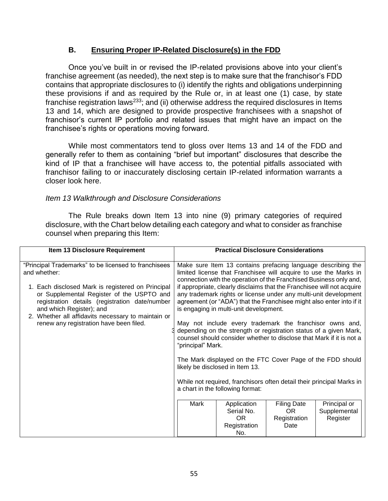## **B. Ensuring Proper IP-Related Disclosure(s) in the FDD**

Once you've built in or revised the IP-related provisions above into your client's franchise agreement (as needed), the next step is to make sure that the franchisor's FDD contains that appropriate disclosures to (i) identify the rights and obligations underpinning these provisions if and as required by the Rule or, in at least one (1) case, by state franchise registration laws<sup>233</sup>; and (ii) otherwise address the required disclosures in Items 13 and 14, which are designed to provide prospective franchisees with a snapshot of franchisor's current IP portfolio and related issues that might have an impact on the franchisee's rights or operations moving forward.

While most commentators tend to gloss over Items 13 and 14 of the FDD and generally refer to them as containing "brief but important" disclosures that describe the kind of IP that a franchisee will have access to, the potential pitfalls associated with franchisor failing to or inaccurately disclosing certain IP-related information warrants a closer look here.

## *Item 13 Walkthrough and Disclosure Considerations*

The Rule breaks down Item 13 into nine (9) primary categories of required disclosure, with the Chart below detailing each category and what to consider as franchise counsel when preparing this Item:

| Item 13 Disclosure Requirement                                                                                                                                               |                   | <b>Practical Disclosure Considerations</b>                                                                                                                                                                                                                   |                                                   |                                          |
|------------------------------------------------------------------------------------------------------------------------------------------------------------------------------|-------------------|--------------------------------------------------------------------------------------------------------------------------------------------------------------------------------------------------------------------------------------------------------------|---------------------------------------------------|------------------------------------------|
| "Principal Trademarks" to be licensed to franchisees<br>and whether:                                                                                                         |                   | Make sure Item 13 contains prefacing language describing the<br>limited license that Franchisee will acquire to use the Marks in<br>connection with the operation of the Franchised Business only and,                                                       |                                                   |                                          |
| 1. Each disclosed Mark is registered on Principal<br>or Supplemental Register of the USPTO and<br>registration details (registration date/number<br>and which Register); and |                   | if appropriate, clearly disclaims that the Franchisee will not acquire<br>any trademark rights or license under any multi-unit development<br>agreement (or "ADA") that the Franchisee might also enter into if it<br>is engaging in multi-unit development. |                                                   |                                          |
| 2. Whether all affidavits necessary to maintain or<br>renew any registration have been filed.                                                                                | "principal" Mark. | May not include every trademark the franchisor owns and,<br>depending on the strength or registration status of a given Mark,<br>counsel should consider whether to disclose that Mark if it is not a                                                        |                                                   |                                          |
|                                                                                                                                                                              |                   | The Mark displayed on the FTC Cover Page of the FDD should<br>likely be disclosed in Item 13.                                                                                                                                                                |                                                   |                                          |
|                                                                                                                                                                              |                   | While not required, franchisors often detail their principal Marks in<br>a chart in the following format:                                                                                                                                                    |                                                   |                                          |
|                                                                                                                                                                              | Mark              | Application<br>Serial No.<br>OR.<br>Registration<br>No.                                                                                                                                                                                                      | <b>Filing Date</b><br>OR.<br>Registration<br>Date | Principal or<br>Supplemental<br>Register |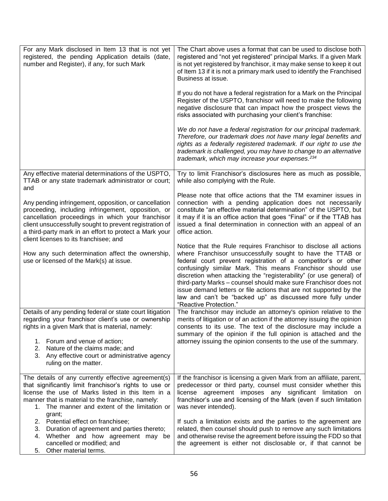| For any Mark disclosed in Item 13 that is not yet<br>registered, the pending Application details (date,<br>number and Register), if any, for such Mark                                                                                                                                                                          | The Chart above uses a format that can be used to disclose both<br>registered and "not yet registered" principal Marks. If a given Mark<br>is not yet registered by franchisor, it may make sense to keep it out<br>of Item 13 if it is not a primary mark used to identify the Franchised<br>Business at issue.                                                                                                                                                                                                                                                       |
|---------------------------------------------------------------------------------------------------------------------------------------------------------------------------------------------------------------------------------------------------------------------------------------------------------------------------------|------------------------------------------------------------------------------------------------------------------------------------------------------------------------------------------------------------------------------------------------------------------------------------------------------------------------------------------------------------------------------------------------------------------------------------------------------------------------------------------------------------------------------------------------------------------------|
|                                                                                                                                                                                                                                                                                                                                 | If you do not have a federal registration for a Mark on the Principal<br>Register of the USPTO, franchisor will need to make the following<br>negative disclosure that can impact how the prospect views the<br>risks associated with purchasing your client's franchise:                                                                                                                                                                                                                                                                                              |
|                                                                                                                                                                                                                                                                                                                                 | We do not have a federal registration for our principal trademark.<br>Therefore, our trademark does not have many legal benefits and<br>rights as a federally registered trademark. If our right to use the<br>trademark is challenged, you may have to change to an alternative<br>trademark, which may increase your expenses. <sup>234</sup>                                                                                                                                                                                                                        |
| Any effective material determinations of the USPTO,<br>TTAB or any state trademark administrator or court;<br>and                                                                                                                                                                                                               | Try to limit Franchisor's disclosures here as much as possible,<br>while also complying with the Rule.                                                                                                                                                                                                                                                                                                                                                                                                                                                                 |
| Any pending infringement, opposition, or cancellation<br>proceeding, including infringement, opposition, or<br>cancellation proceedings in which your franchisor<br>client unsuccessfully sought to prevent registration of<br>a third-party mark in an effort to protect a Mark your<br>client licenses to its franchisee; and | Please note that office actions that the TM examiner issues in<br>connection with a pending application does not necessarily<br>constitute "an effective material determination" of the USPTO, but<br>it may if it is an office action that goes "Final" or if the TTAB has<br>issued a final determination in connection with an appeal of an<br>office action.                                                                                                                                                                                                       |
| How any such determination affect the ownership,<br>use or licensed of the Mark(s) at issue.                                                                                                                                                                                                                                    | Notice that the Rule requires Franchisor to disclose all actions<br>where Franchisor unsuccessfully sought to have the TTAB or<br>federal court prevent registration of a competitor's or other<br>confusingly similar Mark. This means Franchisor should use<br>discretion when attacking the "registerability" (or use general) of<br>third-party Marks - counsel should make sure Franchisor does not<br>issue demand letters or file actions that are not supported by the<br>law and can't be "backed up" as discussed more fully under<br>"Reactive Protection." |
| Details of any pending federal or state court litigation<br>regarding your franchisor client's use or ownership<br>rights in a given Mark that is material, namely:                                                                                                                                                             | The franchisor may include an attorney's opinion relative to the<br>merits of litigation or of an action if the attorney issuing the opinion<br>consents to its use. The text of the disclosure may include a<br>summary of the opinion if the full opinion is attached and the                                                                                                                                                                                                                                                                                        |
| 1. Forum and venue of action;<br>Nature of the claims made; and<br>2.<br>Any effective court or administrative agency<br>3.<br>ruling on the matter.                                                                                                                                                                            | attorney issuing the opinion consents to the use of the summary.                                                                                                                                                                                                                                                                                                                                                                                                                                                                                                       |
| The details of any currently effective agreement(s)<br>that significantly limit franchisor's rights to use or<br>license the use of Marks listed in this Item in a<br>manner that is material to the franchise, namely:<br>1. The manner and extent of the limitation or<br>grant;                                              | If the franchisor is licensing a given Mark from an affiliate, parent,<br>predecessor or third party, counsel must consider whether this<br>license agreement imposes any significant limitation on<br>franchisor's use and licensing of the Mark (even if such limitation<br>was never intended).                                                                                                                                                                                                                                                                     |
| 2. Potential effect on franchisee;<br>Duration of agreement and parties thereto;<br>3.<br>Whether and how agreement may be<br>4.<br>cancelled or modified; and<br>Other material terms.<br>5.                                                                                                                                   | If such a limitation exists and the parties to the agreement are<br>related, then counsel should push to remove any such limitations<br>and otherwise revise the agreement before issuing the FDD so that<br>the agreement is either not disclosable or, if that cannot be                                                                                                                                                                                                                                                                                             |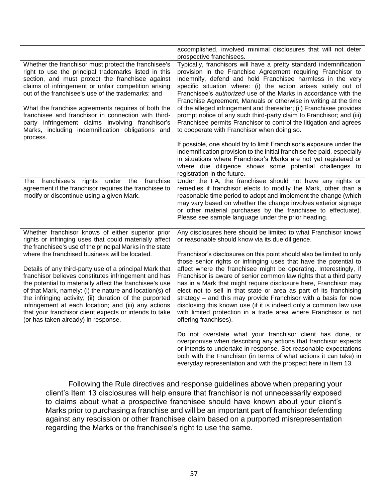|                                                                                                                                                                                                                                                                                                                                                                                                                                                                                                                                                                                                                                                                                        | accomplished, involved minimal disclosures that will not deter<br>prospective franchisees.                                                                                                                                                                                                                                                                                                                                                                                                                                                                                                                                                                                                                                                                                                |
|----------------------------------------------------------------------------------------------------------------------------------------------------------------------------------------------------------------------------------------------------------------------------------------------------------------------------------------------------------------------------------------------------------------------------------------------------------------------------------------------------------------------------------------------------------------------------------------------------------------------------------------------------------------------------------------|-------------------------------------------------------------------------------------------------------------------------------------------------------------------------------------------------------------------------------------------------------------------------------------------------------------------------------------------------------------------------------------------------------------------------------------------------------------------------------------------------------------------------------------------------------------------------------------------------------------------------------------------------------------------------------------------------------------------------------------------------------------------------------------------|
| Whether the franchisor must protect the franchisee's<br>right to use the principal trademarks listed in this<br>section, and must protect the franchisee against<br>claims of infringement or unfair competition arising<br>out of the franchisee's use of the trademarks; and<br>What the franchise agreements requires of both the<br>franchisee and franchisor in connection with third-<br>party infringement claims involving franchisor's<br>Marks, including indemnification obligations and<br>process.                                                                                                                                                                        | Typically, franchisors will have a pretty standard indemnification<br>provision in the Franchise Agreement requiring Franchisor to<br>indemnify, defend and hold Franchisee harmless in the very<br>specific situation where: (i) the action arises solely out of<br>Franchisee's <i>authorized</i> use of the Marks in accordance with the<br>Franchise Agreement, Manuals or otherwise in writing at the time<br>of the alleged infringement and thereafter; (ii) Franchisee provides<br>prompt notice of any such third-party claim to Franchisor; and (iii)<br>Franchisee permits Franchisor to control the litigation and agrees<br>to cooperate with Franchisor when doing so.                                                                                                      |
|                                                                                                                                                                                                                                                                                                                                                                                                                                                                                                                                                                                                                                                                                        | If possible, one should try to limit Franchisor's exposure under the<br>indemnification provision to the initial franchise fee paid, especially<br>in situations where Franchisor's Marks are not yet registered or<br>where due diligence shows some potential challenges to<br>registration in the future.                                                                                                                                                                                                                                                                                                                                                                                                                                                                              |
| under the franchise<br>franchisee's rights<br>The<br>agreement if the franchisor requires the franchisee to<br>modify or discontinue using a given Mark.                                                                                                                                                                                                                                                                                                                                                                                                                                                                                                                               | Under the FA, the franchisee should not have any rights or<br>remedies if franchisor elects to modify the Mark, other than a<br>reasonable time period to adopt and implement the change (which<br>may vary based on whether the change involves exterior signage<br>or other material purchases by the franchisee to effectuate).<br>Please see sample language under the prior heading.                                                                                                                                                                                                                                                                                                                                                                                                 |
| Whether franchisor knows of either superior prior<br>rights or infringing uses that could materially affect<br>the franchisee's use of the principal Marks in the state<br>where the franchised business will be located.<br>Details of any third-party use of a principal Mark that<br>franchisor believes constitutes infringement and has<br>the potential to materially affect the franchisee's use<br>of that Mark, namely: (i) the nature and location(s) of<br>the infringing activity; (ii) duration of the purported<br>infringement at each location; and (iii) any actions<br>that your franchisor client expects or intends to take<br>(or has taken already) in response. | Any disclosures here should be limited to what Franchisor knows<br>or reasonable should know via its due diligence.<br>Franchisor's disclosures on this point should also be limited to only<br>those senior rights or infringing uses that have the potential to<br>affect where the franchisee might be operating. Interestingly, if<br>Franchisor is aware of senior common law rights that a third party<br>has in a Mark that might require disclosure here, Franchisor may<br>elect not to sell in that state or area as part of its franchising<br>strategy - and this may provide Franchisor with a basis for now<br>disclosing this known use (if it is indeed only a common law use<br>with limited protection in a trade area where Franchisor is not<br>offering franchises). |
|                                                                                                                                                                                                                                                                                                                                                                                                                                                                                                                                                                                                                                                                                        | Do not overstate what your franchisor client has done, or<br>overpromise when describing any actions that franchisor expects<br>or intends to undertake in response. Set reasonable expectations<br>both with the Franchisor (in terms of what actions it can take) in<br>everyday representation and with the prospect here in Item 13.                                                                                                                                                                                                                                                                                                                                                                                                                                                  |

Following the Rule directives and response guidelines above when preparing your client's Item 13 disclosures will help ensure that franchisor is not unnecessarily exposed to claims about what a prospective franchisee should have known about your client's Marks prior to purchasing a franchise and will be an important part of franchisor defending against any rescission or other franchisee claim based on a purported misrepresentation regarding the Marks or the franchisee's right to use the same.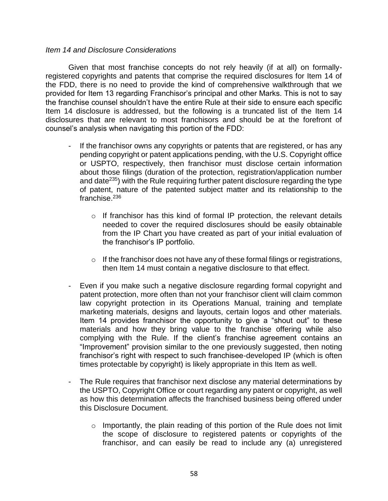#### *Item 14 and Disclosure Considerations*

Given that most franchise concepts do not rely heavily (if at all) on formallyregistered copyrights and patents that comprise the required disclosures for Item 14 of the FDD, there is no need to provide the kind of comprehensive walkthrough that we provided for Item 13 regarding Franchisor's principal and other Marks. This is not to say the franchise counsel shouldn't have the entire Rule at their side to ensure each specific Item 14 disclosure is addressed, but the following is a truncated list of the Item 14 disclosures that are relevant to most franchisors and should be at the forefront of counsel's analysis when navigating this portion of the FDD:

- If the franchisor owns any copyrights or patents that are registered, or has any pending copyright or patent applications pending, with the U.S. Copyright office or USPTO, respectively, then franchisor must disclose certain information about those filings (duration of the protection, registration/application number and date $^{235}$ ) with the Rule requiring further patent disclosure regarding the type of patent, nature of the patented subject matter and its relationship to the franchise. 236
	- o If franchisor has this kind of formal IP protection, the relevant details needed to cover the required disclosures should be easily obtainable from the IP Chart you have created as part of your initial evaluation of the franchisor's IP portfolio.
	- $\circ$  If the franchisor does not have any of these formal filings or registrations, then Item 14 must contain a negative disclosure to that effect.
- Even if you make such a negative disclosure regarding formal copyright and patent protection, more often than not your franchisor client will claim common law copyright protection in its Operations Manual, training and template marketing materials, designs and layouts, certain logos and other materials. Item 14 provides franchisor the opportunity to give a "shout out" to these materials and how they bring value to the franchise offering while also complying with the Rule. If the client's franchise agreement contains an "Improvement" provision similar to the one previously suggested, then noting franchisor's right with respect to such franchisee-developed IP (which is often times protectable by copyright) is likely appropriate in this Item as well.
- The Rule requires that franchisor next disclose any material determinations by the USPTO, Copyright Office or court regarding any patent or copyright, as well as how this determination affects the franchised business being offered under this Disclosure Document.
	- $\circ$  Importantly, the plain reading of this portion of the Rule does not limit the scope of disclosure to registered patents or copyrights of the franchisor, and can easily be read to include any (a) unregistered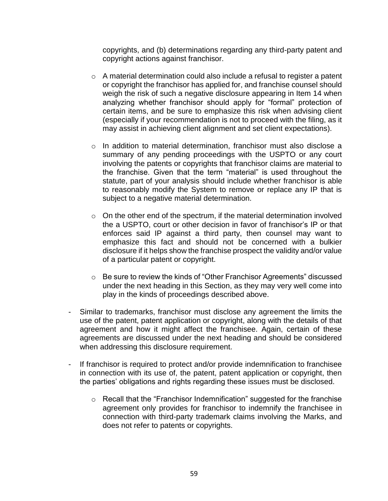copyrights, and (b) determinations regarding any third-party patent and copyright actions against franchisor.

- $\circ$  A material determination could also include a refusal to register a patent or copyright the franchisor has applied for, and franchise counsel should weigh the risk of such a negative disclosure appearing in Item 14 when analyzing whether franchisor should apply for "formal" protection of certain items, and be sure to emphasize this risk when advising client (especially if your recommendation is not to proceed with the filing, as it may assist in achieving client alignment and set client expectations).
- o In addition to material determination, franchisor must also disclose a summary of any pending proceedings with the USPTO or any court involving the patents or copyrights that franchisor claims are material to the franchise. Given that the term "material" is used throughout the statute, part of your analysis should include whether franchisor is able to reasonably modify the System to remove or replace any IP that is subject to a negative material determination.
- o On the other end of the spectrum, if the material determination involved the a USPTO, court or other decision in favor of franchisor's IP or that enforces said IP against a third party, then counsel may want to emphasize this fact and should not be concerned with a bulkier disclosure if it helps show the franchise prospect the validity and/or value of a particular patent or copyright.
- o Be sure to review the kinds of "Other Franchisor Agreements" discussed under the next heading in this Section, as they may very well come into play in the kinds of proceedings described above.
- Similar to trademarks, franchisor must disclose any agreement the limits the use of the patent, patent application or copyright, along with the details of that agreement and how it might affect the franchisee. Again, certain of these agreements are discussed under the next heading and should be considered when addressing this disclosure requirement.
- If franchisor is required to protect and/or provide indemnification to franchisee in connection with its use of, the patent, patent application or copyright, then the parties' obligations and rights regarding these issues must be disclosed.
	- o Recall that the "Franchisor Indemnification" suggested for the franchise agreement only provides for franchisor to indemnify the franchisee in connection with third-party trademark claims involving the Marks, and does not refer to patents or copyrights.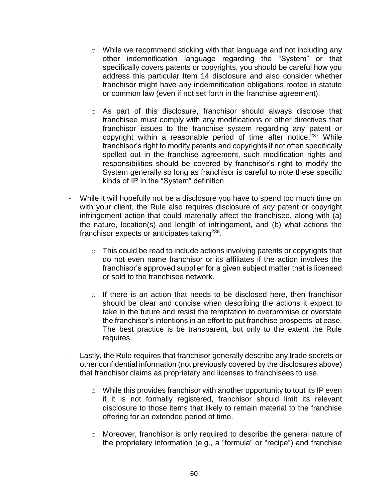- o While we recommend sticking with that language and not including any other indemnification language regarding the "System" or that specifically covers patents or copyrights, you should be careful how you address this particular Item 14 disclosure and also consider whether franchisor might have any indemnification obligations rooted in statute or common law (even if not set forth in the franchise agreement).
- o As part of this disclosure, franchisor should always disclose that franchisee must comply with any modifications or other directives that franchisor issues to the franchise system regarding any patent or copyright within a reasonable period of time after notice.<sup>237</sup> While franchisor's right to modify patents and copyrights if not often specifically spelled out in the franchise agreement, such modification rights and responsibilities should be covered by franchisor's right to modify the System generally so long as franchisor is careful to note these specific kinds of IP in the "System" definition.
- While it will hopefully not be a disclosure you have to spend too much time on with your client, the Rule also requires disclosure of *any* patent or copyright infringement action that could materially affect the franchisee, along with (a) the nature, location(s) and length of infringement, and (b) what actions the franchisor expects or anticipates taking<sup>238</sup>.
	- $\circ$  This could be read to include actions involving patents or copyrights that do not even name franchisor or its affiliates if the action involves the franchisor's approved supplier for a given subject matter that is licensed or sold to the franchisee network.
	- o If there is an action that needs to be disclosed here, then franchisor should be clear and concise when describing the actions it expect to take in the future and resist the temptation to overpromise or overstate the franchisor's intentions in an effort to put franchise prospects' at ease. The best practice is be transparent, but only to the extent the Rule requires.
- Lastly, the Rule requires that franchisor generally describe any trade secrets or other confidential information (not previously covered by the disclosures above) that franchisor claims as proprietary and licenses to franchisees to use.
	- $\circ$  While this provides franchisor with another opportunity to tout its IP even if it is not formally registered, franchisor should limit its relevant disclosure to those items that likely to remain material to the franchise offering for an extended period of time.
	- o Moreover, franchisor is only required to describe the general nature of the proprietary information (e.g., a "formula" or "recipe") and franchise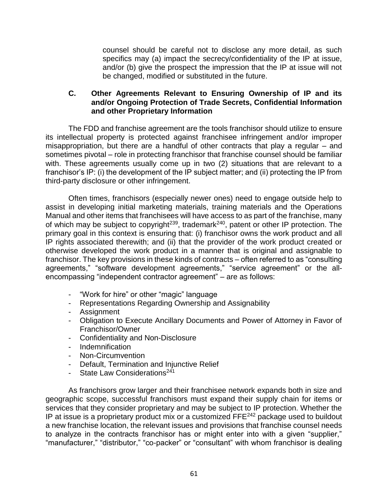counsel should be careful not to disclose any more detail, as such specifics may (a) impact the secrecy/confidentiality of the IP at issue, and/or (b) give the prospect the impression that the IP at issue will not be changed, modified or substituted in the future.

## **C. Other Agreements Relevant to Ensuring Ownership of IP and its and/or Ongoing Protection of Trade Secrets, Confidential Information and other Proprietary Information**

The FDD and franchise agreement are the tools franchisor should utilize to ensure its intellectual property is protected against franchisee infringement and/or improper misappropriation, but there are a handful of other contracts that play a regular – and sometimes pivotal – role in protecting franchisor that franchise counsel should be familiar with. These agreements usually come up in two (2) situations that are relevant to a franchisor's IP: (i) the development of the IP subject matter; and (ii) protecting the IP from third-party disclosure or other infringement.

Often times, franchisors (especially newer ones) need to engage outside help to assist in developing initial marketing materials, training materials and the Operations Manual and other items that franchisees will have access to as part of the franchise, many of which may be subject to copyright<sup>239</sup>, trademark<sup>240</sup>, patent or other IP protection. The primary goal in this context is ensuring that: (i) franchisor owns the work product and all IP rights associated therewith; and (ii) that the provider of the work product created or otherwise developed the work product in a manner that is original and assignable to franchisor. The key provisions in these kinds of contracts – often referred to as "consulting agreements," "software development agreements," "service agreement" or the allencompassing "independent contractor agreement" – are as follows:

- "Work for hire" or other "magic" language
- Representations Regarding Ownership and Assignability
- Assignment
- Obligation to Execute Ancillary Documents and Power of Attorney in Favor of Franchisor/Owner
- Confidentiality and Non-Disclosure
- Indemnification
- Non-Circumvention
- Default, Termination and Injunctive Relief
- State Law Considerations<sup>241</sup>

As franchisors grow larger and their franchisee network expands both in size and geographic scope, successful franchisors must expand their supply chain for items or services that they consider proprietary and may be subject to IP protection. Whether the IP at issue is a proprietary product mix or a customized FFE<sup>242</sup> package used to buildout a new franchise location, the relevant issues and provisions that franchise counsel needs to analyze in the contracts franchisor has or might enter into with a given "supplier," "manufacturer," "distributor," "co-packer" or "consultant" with whom franchisor is dealing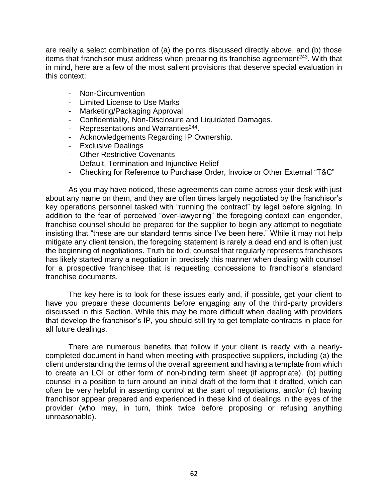are really a select combination of (a) the points discussed directly above, and (b) those items that franchisor must address when preparing its franchise agreement<sup>243</sup>. With that in mind, here are a few of the most salient provisions that deserve special evaluation in this context:

- Non-Circumvention
- Limited License to Use Marks
- Marketing/Packaging Approval
- Confidentiality, Non-Disclosure and Liquidated Damages.
- Representations and Warranties<sup>244</sup>.
- Acknowledgements Regarding IP Ownership.
- Exclusive Dealings
- Other Restrictive Covenants
- Default, Termination and Injunctive Relief
- Checking for Reference to Purchase Order, Invoice or Other External "T&C"

As you may have noticed, these agreements can come across your desk with just about any name on them, and they are often times largely negotiated by the franchisor's key operations personnel tasked with "running the contract" by legal before signing. In addition to the fear of perceived "over-lawyering" the foregoing context can engender, franchise counsel should be prepared for the supplier to begin any attempt to negotiate insisting that "these are our standard terms since I've been here." While it may not help mitigate any client tension, the foregoing statement is rarely a dead end and is often just the beginning of negotiations. Truth be told, counsel that regularly represents franchisors has likely started many a negotiation in precisely this manner when dealing with counsel for a prospective franchisee that is requesting concessions to franchisor's standard franchise documents.

The key here is to look for these issues early and, if possible, get your client to have you prepare these documents before engaging any of the third-party providers discussed in this Section. While this may be more difficult when dealing with providers that develop the franchisor's IP, you should still try to get template contracts in place for all future dealings.

There are numerous benefits that follow if your client is ready with a nearlycompleted document in hand when meeting with prospective suppliers, including (a) the client understanding the terms of the overall agreement and having a template from which to create an LOI or other form of non-binding term sheet (if appropriate), (b) putting counsel in a position to turn around an initial draft of the form that it drafted, which can often be very helpful in asserting control at the start of negotiations, and/or (c) having franchisor appear prepared and experienced in these kind of dealings in the eyes of the provider (who may, in turn, think twice before proposing or refusing anything unreasonable).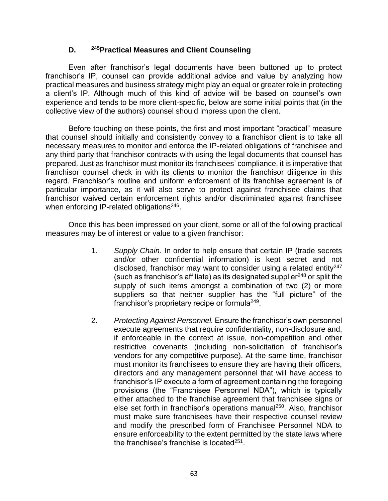## **D. <sup>245</sup>Practical Measures and Client Counseling**

Even after franchisor's legal documents have been buttoned up to protect franchisor's IP, counsel can provide additional advice and value by analyzing how practical measures and business strategy might play an equal or greater role in protecting a client's IP. Although much of this kind of advice will be based on counsel's own experience and tends to be more client-specific, below are some initial points that (in the collective view of the authors) counsel should impress upon the client.

Before touching on these points, the first and most important "practical" measure that counsel should initially and consistently convey to a franchisor client is to take all necessary measures to monitor and enforce the IP-related obligations of franchisee and any third party that franchisor contracts with using the legal documents that counsel has prepared. Just as franchisor must monitor its franchisees' compliance, it is imperative that franchisor counsel check in with its clients to monitor the franchisor diligence in this regard. Franchisor's routine and uniform enforcement of its franchise agreement is of particular importance, as it will also serve to protect against franchisee claims that franchisor waived certain enforcement rights and/or discriminated against franchisee when enforcing IP-related obligations<sup>246</sup>.

Once this has been impressed on your client, some or all of the following practical measures may be of interest or value to a given franchisor:

- 1. *Supply Chain.* In order to help ensure that certain IP (trade secrets and/or other confidential information) is kept secret and not disclosed, franchisor may want to consider using a related entity  $247$ (such as franchisor's affiliate) as its designated supplier $^{248}$  or split the supply of such items amongst a combination of two (2) or more suppliers so that neither supplier has the "full picture" of the franchisor's proprietary recipe or formula<sup>249</sup>.
- 2. *Protecting Against Personnel.* Ensure the franchisor's own personnel execute agreements that require confidentiality, non-disclosure and, if enforceable in the context at issue, non-competition and other restrictive covenants (including non-solicitation of franchisor's vendors for any competitive purpose). At the same time, franchisor must monitor its franchisees to ensure they are having their officers, directors and any management personnel that will have access to franchisor's IP execute a form of agreement containing the foregoing provisions (the "Franchisee Personnel NDA"), which is typically either attached to the franchise agreement that franchisee signs or else set forth in franchisor's operations manual<sup>250</sup>. Also, franchisor must make sure franchisees have their respective counsel review and modify the prescribed form of Franchisee Personnel NDA to ensure enforceability to the extent permitted by the state laws where the franchisee's franchise is located $251$ .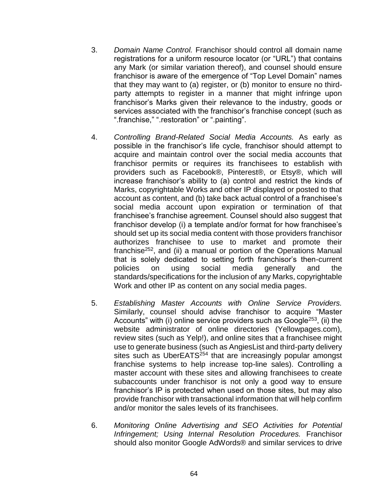- 3. *Domain Name Control.* Franchisor should control all domain name registrations for a uniform resource locator (or "URL") that contains any Mark (or similar variation thereof), and counsel should ensure franchisor is aware of the emergence of "Top Level Domain" names that they may want to (a) register, or (b) monitor to ensure no thirdparty attempts to register in a manner that might infringe upon franchisor's Marks given their relevance to the industry, goods or services associated with the franchisor's franchise concept (such as ".franchise," ".restoration" or ".painting".
- 4. *Controlling Brand-Related Social Media Accounts.* As early as possible in the franchisor's life cycle, franchisor should attempt to acquire and maintain control over the social media accounts that franchisor permits or requires its franchisees to establish with providers such as Facebook®, Pinterest®, or Etsy®, which will increase franchisor's ability to (a) control and restrict the kinds of Marks, copyrightable Works and other IP displayed or posted to that account as content, and (b) take back actual control of a franchisee's social media account upon expiration or termination of that franchisee's franchise agreement. Counsel should also suggest that franchisor develop (i) a template and/or format for how franchisee's should set up its social media content with those providers franchisor authorizes franchisee to use to market and promote their franchise<sup>252</sup>, and (ii) a manual or portion of the Operations Manual that is solely dedicated to setting forth franchisor's then-current policies on using social media generally and the standards/specifications for the inclusion of any Marks, copyrightable Work and other IP as content on any social media pages.
- 5. *Establishing Master Accounts with Online Service Providers.*  Similarly, counsel should advise franchisor to acquire "Master Accounts" with (i) online service providers such as Google<sup>253</sup>, (ii) the website administrator of online directories (Yellowpages.com), review sites (such as Yelp!), and online sites that a franchisee might use to generate business (such as AngiesList and third-party delivery sites such as UberEATS<sup>254</sup> that are increasingly popular amongst franchise systems to help increase top-line sales). Controlling a master account with these sites and allowing franchisees to create subaccounts under franchisor is not only a good way to ensure franchisor's IP is protected when used on those sites, but may also provide franchisor with transactional information that will help confirm and/or monitor the sales levels of its franchisees.
- 6. *Monitoring Online Advertising and SEO Activities for Potential Infringement; Using Internal Resolution Procedures.* Franchisor should also monitor Google AdWords® and similar services to drive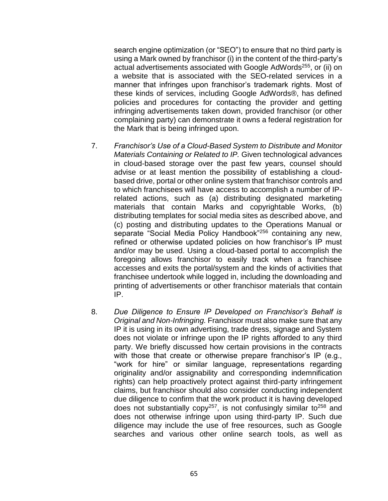search engine optimization (or "SEO") to ensure that no third party is using a Mark owned by franchisor (i) in the content of the third-party's actual advertisements associated with Google AdWords<sup>255</sup>, or (ii) on a website that is associated with the SEO-related services in a manner that infringes upon franchisor's trademark rights. Most of these kinds of services, including Google AdWords®, has defined policies and procedures for contacting the provider and getting infringing advertisements taken down, provided franchisor (or other complaining party) can demonstrate it owns a federal registration for the Mark that is being infringed upon.

- 7. *Franchisor's Use of a Cloud-Based System to Distribute and Monitor Materials Containing or Related to IP.* Given technological advances in cloud-based storage over the past few years, counsel should advise or at least mention the possibility of establishing a cloudbased drive, portal or other online system that franchisor controls and to which franchisees will have access to accomplish a number of IPrelated actions, such as (a) distributing designated marketing materials that contain Marks and copyrightable Works, (b) distributing templates for social media sites as described above, and (c) posting and distributing updates to the Operations Manual or separate "Social Media Policy Handbook"<sup>256</sup> containing any new, refined or otherwise updated policies on how franchisor's IP must and/or may be used. Using a cloud-based portal to accomplish the foregoing allows franchisor to easily track when a franchisee accesses and exits the portal/system and the kinds of activities that franchisee undertook while logged in, including the downloading and printing of advertisements or other franchisor materials that contain IP.
- 8. *Due Diligence to Ensure IP Developed on Franchisor's Behalf is Original and Non-Infringing.* Franchisor must also make sure that any IP it is using in its own advertising, trade dress, signage and System does not violate or infringe upon the IP rights afforded to any third party. We briefly discussed how certain provisions in the contracts with those that create or otherwise prepare franchisor's IP (e.g., "work for hire" or similar language, representations regarding originality and/or assignability and corresponding indemnification rights) can help proactively protect against third-party infringement claims, but franchisor should also consider conducting independent due diligence to confirm that the work product it is having developed does not substantially copy<sup>257</sup>, is not confusingly similar to<sup>258</sup> and does not otherwise infringe upon using third-party IP. Such due diligence may include the use of free resources, such as Google searches and various other online search tools, as well as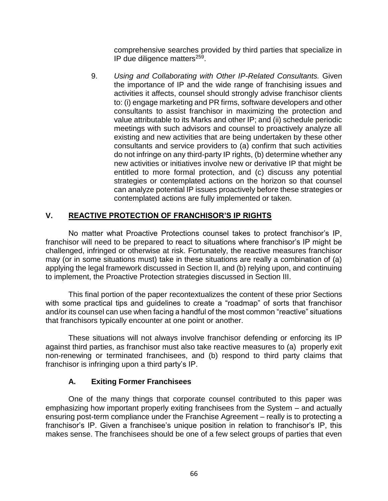comprehensive searches provided by third parties that specialize in IP due diligence matters<sup>259</sup>.

9. *Using and Collaborating with Other IP-Related Consultants.* Given the importance of IP and the wide range of franchising issues and activities it affects, counsel should strongly advise franchisor clients to: (i) engage marketing and PR firms, software developers and other consultants to assist franchisor in maximizing the protection and value attributable to its Marks and other IP; and (ii) schedule periodic meetings with such advisors and counsel to proactively analyze all existing and new activities that are being undertaken by these other consultants and service providers to (a) confirm that such activities do not infringe on any third-party IP rights, (b) determine whether any new activities or initiatives involve new or derivative IP that might be entitled to more formal protection, and (c) discuss any potential strategies or contemplated actions on the horizon so that counsel can analyze potential IP issues proactively before these strategies or contemplated actions are fully implemented or taken.

# **V. REACTIVE PROTECTION OF FRANCHISOR'S IP RIGHTS**

No matter what Proactive Protections counsel takes to protect franchisor's IP, franchisor will need to be prepared to react to situations where franchisor's IP might be challenged, infringed or otherwise at risk. Fortunately, the reactive measures franchisor may (or in some situations must) take in these situations are really a combination of (a) applying the legal framework discussed in Section II, and (b) relying upon, and continuing to implement, the Proactive Protection strategies discussed in Section III.

This final portion of the paper recontextualizes the content of these prior Sections with some practical tips and quidelines to create a "roadmap" of sorts that franchisor and/or its counsel can use when facing a handful of the most common "reactive" situations that franchisors typically encounter at one point or another.

These situations will not always involve franchisor defending or enforcing its IP against third parties, as franchisor must also take reactive measures to (a) properly exit non-renewing or terminated franchisees, and (b) respond to third party claims that franchisor is infringing upon a third party's IP.

## **A. Exiting Former Franchisees**

One of the many things that corporate counsel contributed to this paper was emphasizing how important properly exiting franchisees from the System – and actually ensuring post-term compliance under the Franchise Agreement – really is to protecting a franchisor's IP. Given a franchisee's unique position in relation to franchisor's IP, this makes sense. The franchisees should be one of a few select groups of parties that even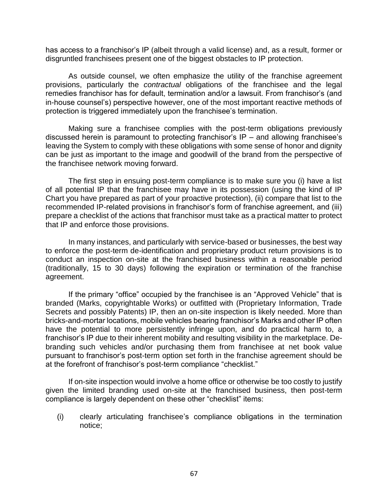has access to a franchisor's IP (albeit through a valid license) and, as a result, former or disgruntled franchisees present one of the biggest obstacles to IP protection.

As outside counsel, we often emphasize the utility of the franchise agreement provisions, particularly the *contractual* obligations of the franchisee and the legal remedies franchisor has for default, termination and/or a lawsuit. From franchisor's (and in-house counsel's) perspective however, one of the most important reactive methods of protection is triggered immediately upon the franchisee's termination.

Making sure a franchisee complies with the post-term obligations previously discussed herein is paramount to protecting franchisor's IP – and allowing franchisee's leaving the System to comply with these obligations with some sense of honor and dignity can be just as important to the image and goodwill of the brand from the perspective of the franchisee network moving forward.

The first step in ensuing post-term compliance is to make sure you (i) have a list of all potential IP that the franchisee may have in its possession (using the kind of IP Chart you have prepared as part of your proactive protection), (ii) compare that list to the recommended IP-related provisions in franchisor's form of franchise agreement, and (iii) prepare a checklist of the actions that franchisor must take as a practical matter to protect that IP and enforce those provisions.

In many instances, and particularly with service-based or businesses, the best way to enforce the post-term de-identification and proprietary product return provisions is to conduct an inspection on-site at the franchised business within a reasonable period (traditionally, 15 to 30 days) following the expiration or termination of the franchise agreement.

If the primary "office" occupied by the franchisee is an "Approved Vehicle" that is branded (Marks, copyrightable Works) or outfitted with (Proprietary Information, Trade Secrets and possibly Patents) IP, then an on-site inspection is likely needed. More than bricks-and-mortar locations, mobile vehicles bearing franchisor's Marks and other IP often have the potential to more persistently infringe upon, and do practical harm to, a franchisor's IP due to their inherent mobility and resulting visibility in the marketplace. Debranding such vehicles and/or purchasing them from franchisee at net book value pursuant to franchisor's post-term option set forth in the franchise agreement should be at the forefront of franchisor's post-term compliance "checklist."

If on-site inspection would involve a home office or otherwise be too costly to justify given the limited branding used on-site at the franchised business, then post-term compliance is largely dependent on these other "checklist" items:

(i) clearly articulating franchisee's compliance obligations in the termination notice;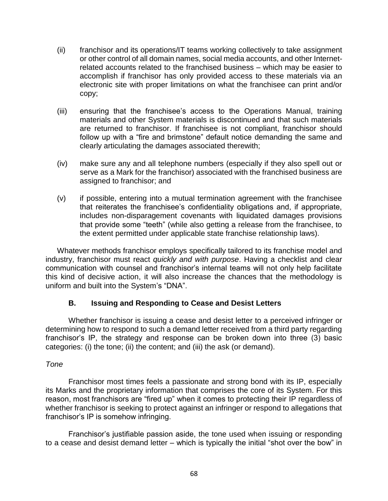- (ii) franchisor and its operations/IT teams working collectively to take assignment or other control of all domain names, social media accounts, and other Internetrelated accounts related to the franchised business – which may be easier to accomplish if franchisor has only provided access to these materials via an electronic site with proper limitations on what the franchisee can print and/or copy;
- (iii) ensuring that the franchisee's access to the Operations Manual, training materials and other System materials is discontinued and that such materials are returned to franchisor. If franchisee is not compliant, franchisor should follow up with a "fire and brimstone" default notice demanding the same and clearly articulating the damages associated therewith;
- (iv) make sure any and all telephone numbers (especially if they also spell out or serve as a Mark for the franchisor) associated with the franchised business are assigned to franchisor; and
- (v) if possible, entering into a mutual termination agreement with the franchisee that reiterates the franchisee's confidentiality obligations and, if appropriate, includes non-disparagement covenants with liquidated damages provisions that provide some "teeth" (while also getting a release from the franchisee, to the extent permitted under applicable state franchise relationship laws).

Whatever methods franchisor employs specifically tailored to its franchise model and industry, franchisor must react *quickly and with purpose*. Having a checklist and clear communication with counsel and franchisor's internal teams will not only help facilitate this kind of decisive action, it will also increase the chances that the methodology is uniform and built into the System's "DNA".

## **B. Issuing and Responding to Cease and Desist Letters**

Whether franchisor is issuing a cease and desist letter to a perceived infringer or determining how to respond to such a demand letter received from a third party regarding franchisor's IP, the strategy and response can be broken down into three (3) basic categories: (i) the tone; (ii) the content; and (iii) the ask (or demand).

## *Tone*

Franchisor most times feels a passionate and strong bond with its IP, especially its Marks and the proprietary information that comprises the core of its System. For this reason, most franchisors are "fired up" when it comes to protecting their IP regardless of whether franchisor is seeking to protect against an infringer or respond to allegations that franchisor's IP is somehow infringing.

Franchisor's justifiable passion aside, the tone used when issuing or responding to a cease and desist demand letter – which is typically the initial "shot over the bow" in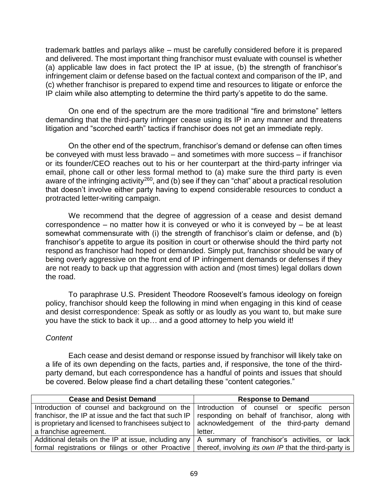trademark battles and parlays alike – must be carefully considered before it is prepared and delivered. The most important thing franchisor must evaluate with counsel is whether (a) applicable law does in fact protect the IP at issue, (b) the strength of franchisor's infringement claim or defense based on the factual context and comparison of the IP, and (c) whether franchisor is prepared to expend time and resources to litigate or enforce the IP claim while also attempting to determine the third party's appetite to do the same.

On one end of the spectrum are the more traditional "fire and brimstone" letters demanding that the third-party infringer cease using its IP in any manner and threatens litigation and "scorched earth" tactics if franchisor does not get an immediate reply.

On the other end of the spectrum, franchisor's demand or defense can often times be conveyed with must less bravado – and sometimes with more success – if franchisor or its founder/CEO reaches out to his or her counterpart at the third-party infringer via email, phone call or other less formal method to (a) make sure the third party is even aware of the infringing activity<sup>260</sup>, and (b) see if they can "chat" about a practical resolution that doesn't involve either party having to expend considerable resources to conduct a protracted letter-writing campaign.

We recommend that the degree of aggression of a cease and desist demand correspondence – no matter how it is conveyed or who it is conveyed by – be at least somewhat commensurate with (i) the strength of franchisor's claim or defense, and (b) franchisor's appetite to argue its position in court or otherwise should the third party not respond as franchisor had hoped or demanded. Simply put, franchisor should be wary of being overly aggressive on the front end of IP infringement demands or defenses if they are not ready to back up that aggression with action and (most times) legal dollars down the road.

To paraphrase U.S. President Theodore Roosevelt's famous ideology on foreign policy, franchisor should keep the following in mind when engaging in this kind of cease and desist correspondence: Speak as softly or as loudly as you want to, but make sure you have the stick to back it up… and a good attorney to help you wield it!

## *Content*

Each cease and desist demand or response issued by franchisor will likely take on a life of its own depending on the facts, parties and, if responsive, the tone of the thirdparty demand, but each correspondence has a handful of points and issues that should be covered. Below please find a chart detailing these "content categories."

| <b>Cease and Desist Demand</b>                                                                                   | <b>Response to Demand</b>                      |
|------------------------------------------------------------------------------------------------------------------|------------------------------------------------|
| Introduction of counsel and background on the   Introduction of counsel or specific person                       |                                                |
| franchisor, the IP at issue and the fact that such IP                                                            | responding on behalf of franchisor, along with |
| is proprietary and licensed to franchisees subject to                                                            | acknowledgement of the third-party demand      |
| a franchise agreement.                                                                                           | letter.                                        |
| Additional details on the IP at issue, including any $\vert A \vert$ summary of franchisor's activities, or lack |                                                |
| formal registrations or filings or other Proactive   thereof, involving its own IP that the third-party is       |                                                |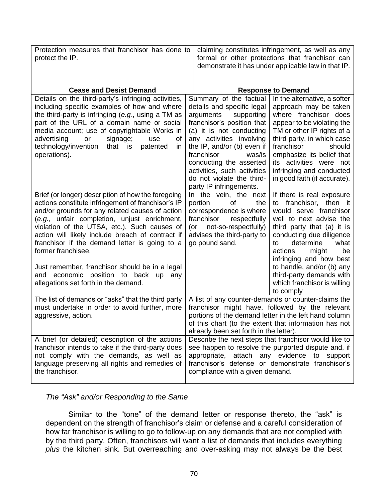| Protection measures that franchisor has done to<br>protect the IP.                                                                                                                                                                                                                                                                                                                                                                                                                                                          | claiming constitutes infringement, as well as any<br>formal or other protections that franchisor can<br>demonstrate it has under applicable law in that IP.                                                                                                                                                                                                                                                                                                                                                                                                                                                                                                           |  |
|-----------------------------------------------------------------------------------------------------------------------------------------------------------------------------------------------------------------------------------------------------------------------------------------------------------------------------------------------------------------------------------------------------------------------------------------------------------------------------------------------------------------------------|-----------------------------------------------------------------------------------------------------------------------------------------------------------------------------------------------------------------------------------------------------------------------------------------------------------------------------------------------------------------------------------------------------------------------------------------------------------------------------------------------------------------------------------------------------------------------------------------------------------------------------------------------------------------------|--|
|                                                                                                                                                                                                                                                                                                                                                                                                                                                                                                                             |                                                                                                                                                                                                                                                                                                                                                                                                                                                                                                                                                                                                                                                                       |  |
| <b>Cease and Desist Demand</b>                                                                                                                                                                                                                                                                                                                                                                                                                                                                                              | <b>Response to Demand</b>                                                                                                                                                                                                                                                                                                                                                                                                                                                                                                                                                                                                                                             |  |
| Details on the third-party's infringing activities,<br>including specific examples of how and where<br>the third-party is infringing $(e.g.,$ using a TM as<br>part of the URL of a domain name or social<br>media account; use of copyrightable Works in<br>advertising<br>signage;<br>οf<br>or<br>use<br>technology/invention<br>that is<br>patented<br>in<br>operations).                                                                                                                                                | Summary of the factual<br>In the alternative, a softer<br>details and specific legal<br>approach may be taken<br>where franchisor does<br>arguments<br>supporting<br>franchisor's position that<br>appear to be violating the<br>(a) it is not conducting<br>TM or other IP rights of a<br>any activities involving<br>third party, in which case<br>the IP, and/or (b) even if<br>franchisor<br>should<br>franchisor<br>was/is<br>emphasize its belief that<br>conducting the asserted<br>its activities were not<br>infringing and conducted<br>activities, such activities<br>do not violate the third-<br>in good faith (if accurate).<br>party IP infringements. |  |
| Brief (or longer) description of how the foregoing<br>actions constitute infringement of franchisor's IP<br>and/or grounds for any related causes of action<br>(e.g., unfair completion, unjust enrichment,<br>violation of the UTSA, etc.). Such causes of<br>action will likely include breach of contract if<br>franchisor if the demand letter is going to a<br>former franchisee.<br>Just remember, franchisor should be in a legal<br>and economic position to back up<br>any<br>allegations set forth in the demand. | If there is real exposure<br>In the vein, the next<br>portion<br>of<br>the<br>franchisor, then it<br>to<br>would serve franchisor<br>correspondence is where<br>franchisor<br>respectfully<br>well to next advise the<br>not-so-respectfully)<br>third party that (a) it is<br>(or<br>conducting due diligence<br>advises the third-party to<br>go pound sand.<br>determine<br>what<br>to<br>actions<br>might<br>be<br>infringing and how best<br>to handle, and/or (b) any<br>third-party demands with<br>which franchisor is willing<br>to comply                                                                                                                   |  |
| The list of demands or "asks" that the third party<br>must undertake in order to avoid further, more<br>aggressive, action.                                                                                                                                                                                                                                                                                                                                                                                                 | A list of any counter-demands or counter-claims the<br>franchisor might have, followed by the relevant<br>portions of the demand letter in the left hand column<br>of this chart (to the extent that information has not<br>already been set forth in the letter).                                                                                                                                                                                                                                                                                                                                                                                                    |  |
| A brief (or detailed) description of the actions<br>franchisor intends to take if the third-party does<br>not comply with the demands, as well as<br>language preserving all rights and remedies of<br>the franchisor.                                                                                                                                                                                                                                                                                                      | Describe the next steps that franchisor would like to<br>see happen to resolve the purported dispute and, if<br>attach any evidence to support<br>appropriate,<br>franchisor's defense or demonstrate franchisor's<br>compliance with a given demand.                                                                                                                                                                                                                                                                                                                                                                                                                 |  |

## *The "Ask" and/or Responding to the Same*

Similar to the "tone" of the demand letter or response thereto, the "ask" is dependent on the strength of franchisor's claim or defense and a careful consideration of how far franchisor is willing to go to follow-up on any demands that are not complied with by the third party. Often, franchisors will want a list of demands that includes everything *plus* the kitchen sink. But overreaching and over-asking may not always be the best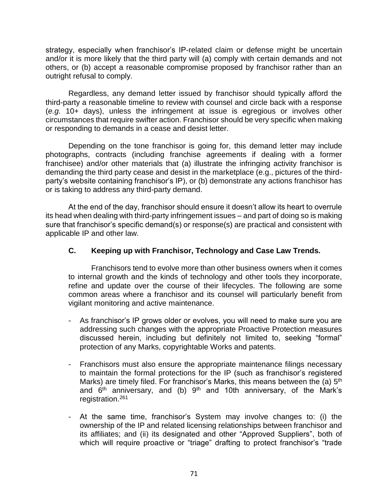strategy, especially when franchisor's IP-related claim or defense might be uncertain and/or it is more likely that the third party will (a) comply with certain demands and not others, or (b) accept a reasonable compromise proposed by franchisor rather than an outright refusal to comply.

Regardless, any demand letter issued by franchisor should typically afford the third-party a reasonable timeline to review with counsel and circle back with a response (*e.g.* 10+ days), unless the infringement at issue is egregious or involves other circumstances that require swifter action. Franchisor should be very specific when making or responding to demands in a cease and desist letter.

Depending on the tone franchisor is going for, this demand letter may include photographs, contracts (including franchise agreements if dealing with a former franchisee) and/or other materials that (a) illustrate the infringing activity franchisor is demanding the third party cease and desist in the marketplace (e.g., pictures of the thirdparty's website containing franchisor's IP), or (b) demonstrate any actions franchisor has or is taking to address any third-party demand.

At the end of the day, franchisor should ensure it doesn't allow its heart to overrule its head when dealing with third-party infringement issues – and part of doing so is making sure that franchisor's specific demand(s) or response(s) are practical and consistent with applicable IP and other law.

## **C. Keeping up with Franchisor, Technology and Case Law Trends.**

Franchisors tend to evolve more than other business owners when it comes to internal growth and the kinds of technology and other tools they incorporate, refine and update over the course of their lifecycles. The following are some common areas where a franchisor and its counsel will particularly benefit from vigilant monitoring and active maintenance.

- As franchisor's IP grows older or evolves, you will need to make sure you are addressing such changes with the appropriate Proactive Protection measures discussed herein, including but definitely not limited to, seeking "formal" protection of any Marks, copyrightable Works and patents.
- Franchisors must also ensure the appropriate maintenance filings necessary to maintain the formal protections for the IP (such as franchisor's registered Marks) are timely filed. For franchisor's Marks, this means between the (a)  $5<sup>th</sup>$ and  $6<sup>th</sup>$  anniversary, and (b)  $9<sup>th</sup>$  and 10th anniversary, of the Mark's registration.<sup>261</sup>
- At the same time, franchisor's System may involve changes to: (i) the ownership of the IP and related licensing relationships between franchisor and its affiliates; and (ii) its designated and other "Approved Suppliers", both of which will require proactive or "triage" drafting to protect franchisor's "trade